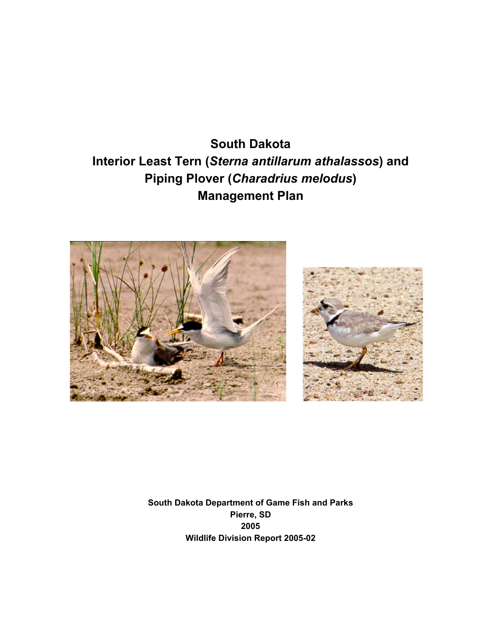**South Dakota Interior Least Tern (***Sterna antillarum athalassos***) and Piping Plover (***Charadrius melodus***) Management Plan**





**South Dakota Department of Game Fish and Parks Pierre, SD 2005 Wildlife Division Report 2005-02**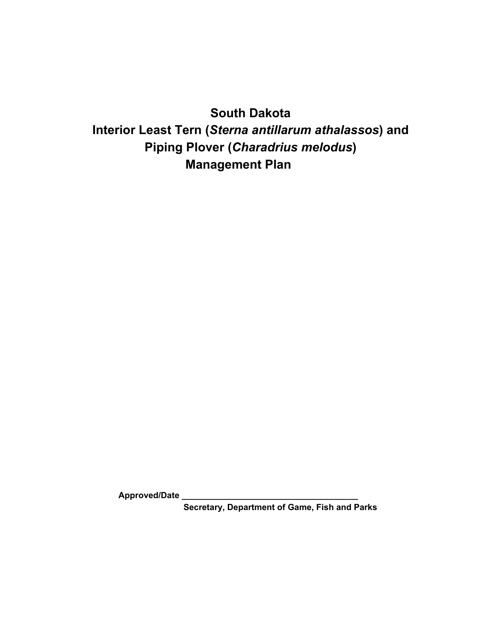# **South Dakota**

# **Interior Least Tern (***Sterna antillarum athalassos***) and Piping Plover (***Charadrius melodus***) Management Plan**

**Approved/Date \_\_\_\_\_\_\_\_\_\_\_\_\_\_\_\_\_\_\_\_\_\_\_\_\_\_\_\_\_\_\_\_\_\_\_\_\_**

**Secretary, Department of Game, Fish and Parks**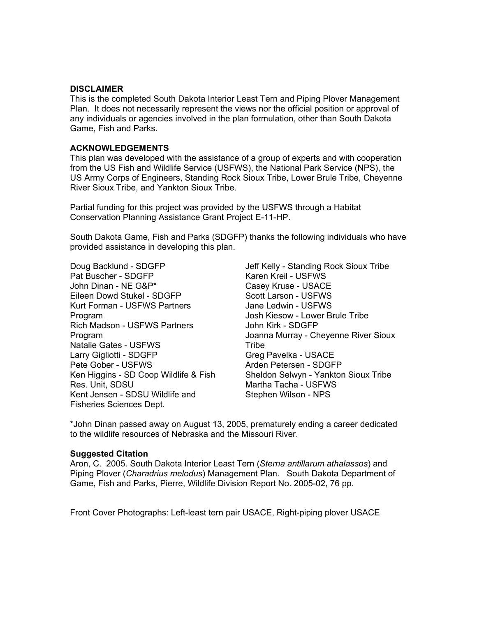#### **DISCLAIMER**

This is the completed South Dakota Interior Least Tern and Piping Plover Management Plan. It does not necessarily represent the views nor the official position or approval of any individuals or agencies involved in the plan formulation, other than South Dakota Game, Fish and Parks.

#### **ACKNOWLEDGEMENTS**

This plan was developed with the assistance of a group of experts and with cooperation from the US Fish and Wildlife Service (USFWS), the National Park Service (NPS), the US Army Corps of Engineers, Standing Rock Sioux Tribe, Lower Brule Tribe, Cheyenne River Sioux Tribe, and Yankton Sioux Tribe.

Partial funding for this project was provided by the USFWS through a Habitat Conservation Planning Assistance Grant Project E-11-HP.

South Dakota Game, Fish and Parks (SDGFP) thanks the following individuals who have provided assistance in developing this plan.

Doug Backlund - SDGFP Pat Buscher - SDGFP John Dinan - NE G&P\* Eileen Dowd Stukel - SDGFP Kurt Forman - USFWS Partners Program Rich Madson - USFWS Partners Program Natalie Gates - USFWS Larry Gigliotti - SDGFP Pete Gober - USFWS Ken Higgins - SD Coop Wildlife & Fish Res. Unit, SDSU Kent Jensen - SDSU Wildlife and Fisheries Sciences Dept.

Jeff Kelly - Standing Rock Sioux Tribe Karen Kreil - USFWS Casey Kruse - USACE Scott Larson - USFWS Jane Ledwin - USFWS Josh Kiesow - Lower Brule Tribe John Kirk - SDGFP Joanna Murray - Cheyenne River Sioux **Tribe** Greg Pavelka - USACE Arden Petersen - SDGFP Sheldon Selwyn - Yankton Sioux Tribe Martha Tacha - USFWS Stephen Wilson - NPS

\*John Dinan passed away on August 13, 2005, prematurely ending a career dedicated to the wildlife resources of Nebraska and the Missouri River.

#### **Suggested Citation**

Aron, C. 2005. South Dakota Interior Least Tern (*Sterna antillarum athalassos*) and Piping Plover (*Charadrius melodus*) Management Plan. South Dakota Department of Game, Fish and Parks, Pierre, Wildlife Division Report No. 2005-02, 76 pp.

Front Cover Photographs: Left-least tern pair USACE, Right-piping plover USACE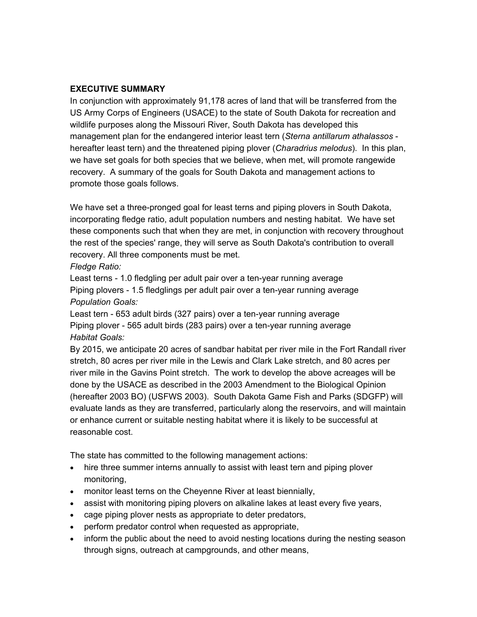### **EXECUTIVE SUMMARY**

In conjunction with approximately 91,178 acres of land that will be transferred from the US Army Corps of Engineers (USACE) to the state of South Dakota for recreation and wildlife purposes along the Missouri River, South Dakota has developed this management plan for the endangered interior least tern (*Sterna antillarum athalassos*  hereafter least tern) and the threatened piping plover (*Charadrius melodus*). In this plan, we have set goals for both species that we believe, when met, will promote rangewide recovery. A summary of the goals for South Dakota and management actions to promote those goals follows.

We have set a three-pronged goal for least terns and piping plovers in South Dakota, incorporating fledge ratio, adult population numbers and nesting habitat. We have set these components such that when they are met, in conjunction with recovery throughout the rest of the species' range, they will serve as South Dakota's contribution to overall recovery. All three components must be met.

*Fledge Ratio:*

Least terns - 1.0 fledgling per adult pair over a ten-year running average Piping plovers - 1.5 fledglings per adult pair over a ten-year running average *Population Goals:*

Least tern - 653 adult birds (327 pairs) over a ten-year running average Piping plover - 565 adult birds (283 pairs) over a ten-year running average *Habitat Goals:*

By 2015, we anticipate 20 acres of sandbar habitat per river mile in the Fort Randall river stretch, 80 acres per river mile in the Lewis and Clark Lake stretch, and 80 acres per river mile in the Gavins Point stretch. The work to develop the above acreages will be done by the USACE as described in the 2003 Amendment to the Biological Opinion (hereafter 2003 BO) (USFWS 2003). South Dakota Game Fish and Parks (SDGFP) will evaluate lands as they are transferred, particularly along the reservoirs, and will maintain or enhance current or suitable nesting habitat where it is likely to be successful at reasonable cost.

The state has committed to the following management actions:

- hire three summer interns annually to assist with least tern and piping plover monitoring,
- monitor least terns on the Cheyenne River at least biennially,
- assist with monitoring piping plovers on alkaline lakes at least every five years,
- cage piping plover nests as appropriate to deter predators,
- perform predator control when requested as appropriate,
- inform the public about the need to avoid nesting locations during the nesting season through signs, outreach at campgrounds, and other means,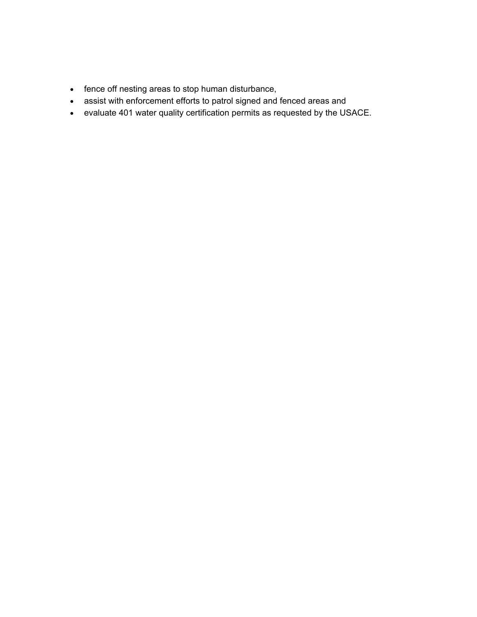- fence off nesting areas to stop human disturbance,
- assist with enforcement efforts to patrol signed and fenced areas and
- evaluate 401 water quality certification permits as requested by the USACE.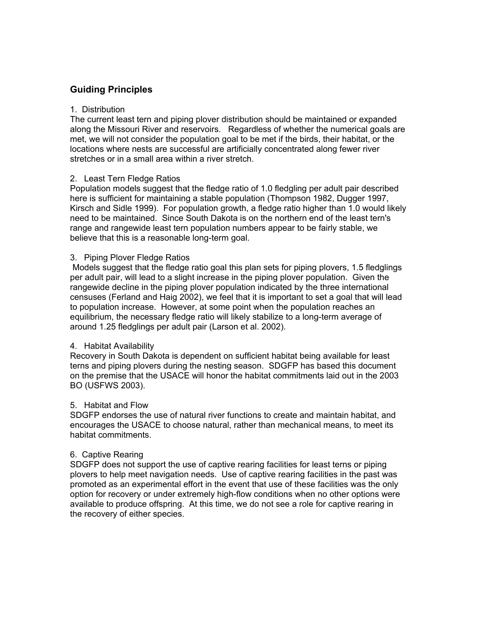# **Guiding Principles**

#### 1. Distribution

The current least tern and piping plover distribution should be maintained or expanded along the Missouri River and reservoirs. Regardless of whether the numerical goals are met, we will not consider the population goal to be met if the birds, their habitat, or the locations where nests are successful are artificially concentrated along fewer river stretches or in a small area within a river stretch.

#### 2. Least Tern Fledge Ratios

Population models suggest that the fledge ratio of 1.0 fledgling per adult pair described here is sufficient for maintaining a stable population (Thompson 1982, Dugger 1997, Kirsch and Sidle 1999). For population growth, a fledge ratio higher than 1.0 would likely need to be maintained. Since South Dakota is on the northern end of the least tern's range and rangewide least tern population numbers appear to be fairly stable, we believe that this is a reasonable long-term goal.

#### 3. Piping Plover Fledge Ratios

 Models suggest that the fledge ratio goal this plan sets for piping plovers, 1.5 fledglings per adult pair, will lead to a slight increase in the piping plover population. Given the rangewide decline in the piping plover population indicated by the three international censuses (Ferland and Haig 2002), we feel that it is important to set a goal that will lead to population increase. However, at some point when the population reaches an equilibrium, the necessary fledge ratio will likely stabilize to a long-term average of around 1.25 fledglings per adult pair (Larson et al. 2002).

#### 4. Habitat Availability

Recovery in South Dakota is dependent on sufficient habitat being available for least terns and piping plovers during the nesting season. SDGFP has based this document on the premise that the USACE will honor the habitat commitments laid out in the 2003 BO (USFWS 2003).

#### 5. Habitat and Flow

SDGFP endorses the use of natural river functions to create and maintain habitat, and encourages the USACE to choose natural, rather than mechanical means, to meet its habitat commitments.

#### 6. Captive Rearing

SDGFP does not support the use of captive rearing facilities for least terns or piping plovers to help meet navigation needs. Use of captive rearing facilities in the past was promoted as an experimental effort in the event that use of these facilities was the only option for recovery or under extremely high-flow conditions when no other options were available to produce offspring. At this time, we do not see a role for captive rearing in the recovery of either species.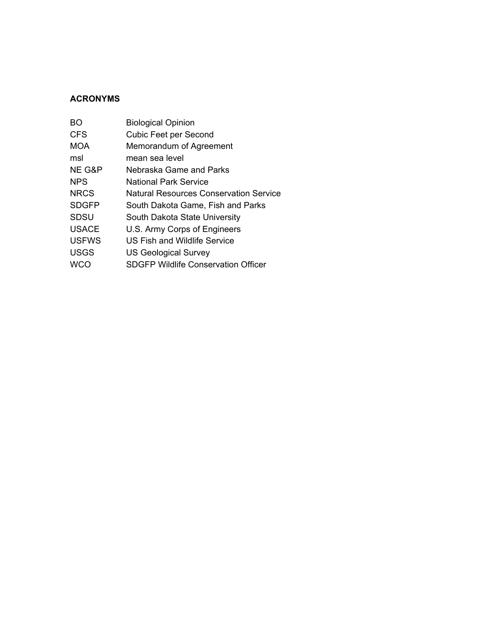# **ACRONYMS**

| BO           | <b>Biological Opinion</b>                     |
|--------------|-----------------------------------------------|
| <b>CFS</b>   | <b>Cubic Feet per Second</b>                  |
| MOA          | Memorandum of Agreement                       |
| msl          | mean sea level                                |
| NE G&P       | Nebraska Game and Parks                       |
| <b>NPS</b>   | National Park Service                         |
| <b>NRCS</b>  | <b>Natural Resources Conservation Service</b> |
| <b>SDGFP</b> | South Dakota Game, Fish and Parks             |
| <b>SDSU</b>  | South Dakota State University                 |
| <b>USACE</b> | U.S. Army Corps of Engineers                  |
| <b>USFWS</b> | US Fish and Wildlife Service                  |
| <b>USGS</b>  | <b>US Geological Survey</b>                   |
| WCO          | <b>SDGFP Wildlife Conservation Officer</b>    |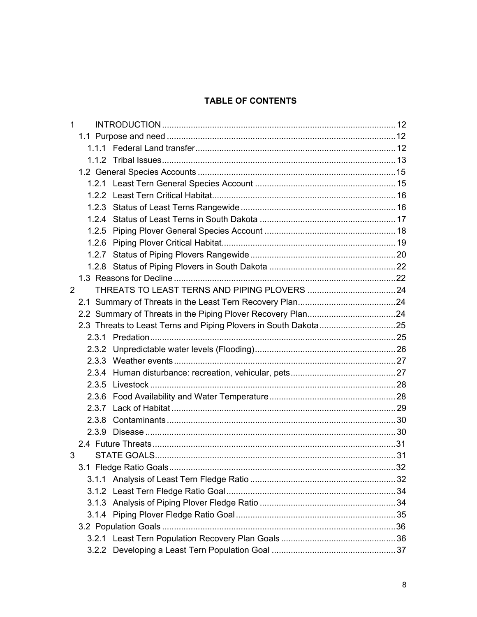# **TABLE OF CONTENTS**

| $\mathbf{1}$ |  |  |
|--------------|--|--|
|              |  |  |
|              |  |  |
|              |  |  |
|              |  |  |
|              |  |  |
|              |  |  |
|              |  |  |
|              |  |  |
|              |  |  |
|              |  |  |
|              |  |  |
|              |  |  |
|              |  |  |
| 2            |  |  |
|              |  |  |
|              |  |  |
|              |  |  |
|              |  |  |
|              |  |  |
|              |  |  |
|              |  |  |
|              |  |  |
|              |  |  |
|              |  |  |
|              |  |  |
|              |  |  |
|              |  |  |
| 3            |  |  |
|              |  |  |
|              |  |  |
|              |  |  |
|              |  |  |
|              |  |  |
|              |  |  |
|              |  |  |
|              |  |  |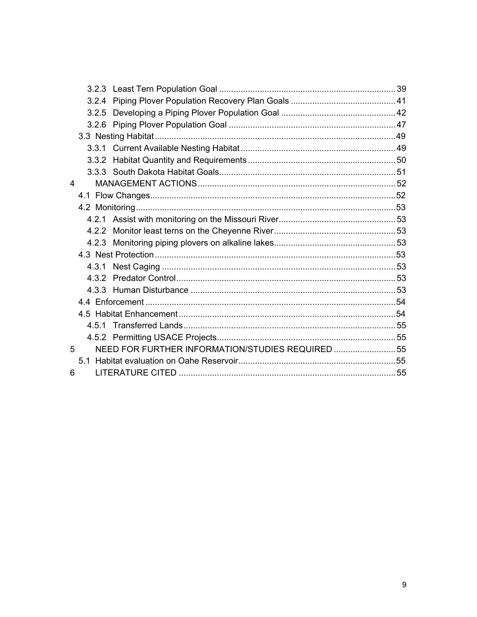| 4 |                                                  |  |
|---|--------------------------------------------------|--|
|   |                                                  |  |
|   |                                                  |  |
|   |                                                  |  |
|   |                                                  |  |
|   |                                                  |  |
|   |                                                  |  |
|   |                                                  |  |
|   |                                                  |  |
|   |                                                  |  |
|   |                                                  |  |
|   |                                                  |  |
|   |                                                  |  |
|   |                                                  |  |
| 5 | NEED FOR FURTHER INFORMATION/STUDIES REQUIRED 55 |  |
|   |                                                  |  |
| 6 |                                                  |  |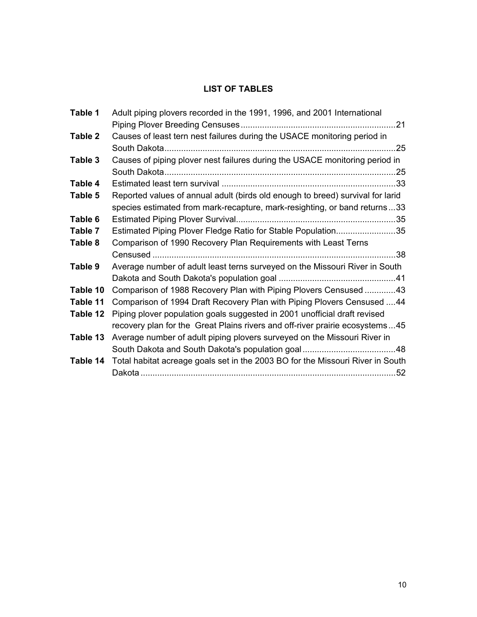# **LIST OF TABLES**

| Table 1  | Adult piping plovers recorded in the 1991, 1996, and 2001 International        |  |
|----------|--------------------------------------------------------------------------------|--|
|          |                                                                                |  |
| Table 2  | Causes of least tern nest failures during the USACE monitoring period in       |  |
|          |                                                                                |  |
| Table 3  | Causes of piping plover nest failures during the USACE monitoring period in    |  |
|          |                                                                                |  |
| Table 4  |                                                                                |  |
| Table 5  | Reported values of annual adult (birds old enough to breed) survival for larid |  |
|          | species estimated from mark-recapture, mark-resighting, or band returns33      |  |
| Table 6  |                                                                                |  |
| Table 7  | Estimated Piping Plover Fledge Ratio for Stable Population35                   |  |
| Table 8  | Comparison of 1990 Recovery Plan Requirements with Least Terns                 |  |
|          |                                                                                |  |
| Table 9  | Average number of adult least terns surveyed on the Missouri River in South    |  |
|          |                                                                                |  |
| Table 10 | Comparison of 1988 Recovery Plan with Piping Plovers Censused 43               |  |
| Table 11 | Comparison of 1994 Draft Recovery Plan with Piping Plovers Censused  44        |  |
| Table 12 | Piping plover population goals suggested in 2001 unofficial draft revised      |  |
|          | recovery plan for the Great Plains rivers and off-river prairie ecosystems45   |  |
| Table 13 | Average number of adult piping plovers surveyed on the Missouri River in       |  |
|          |                                                                                |  |
| Table 14 | Total habitat acreage goals set in the 2003 BO for the Missouri River in South |  |
|          |                                                                                |  |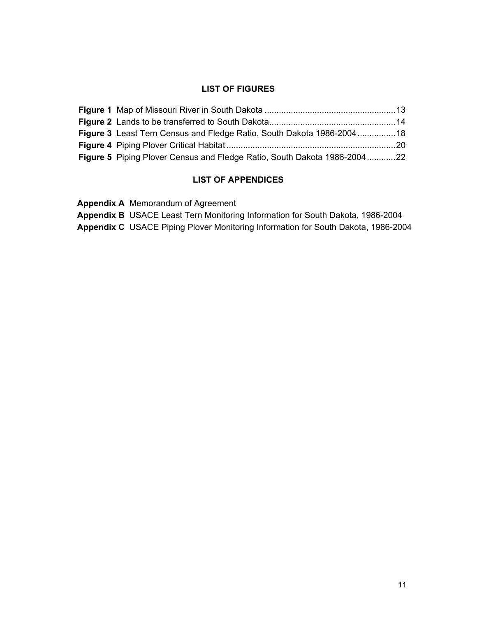### **LIST OF FIGURES**

| Figure 3 Least Tern Census and Fledge Ratio, South Dakota 1986-200418    |  |
|--------------------------------------------------------------------------|--|
|                                                                          |  |
| Figure 5 Piping Plover Census and Fledge Ratio, South Dakota 1986-200422 |  |

# **LIST OF APPENDICES**

**Appendix A** Memorandum of Agreement

**Appendix B** USACE Least Tern Monitoring Information for South Dakota, 1986-2004

**Appendix C** USACE Piping Plover Monitoring Information for South Dakota, 1986-2004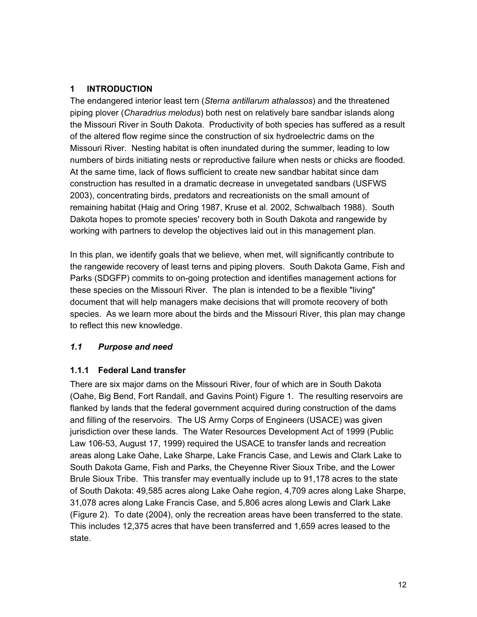# **1 INTRODUCTION**

The endangered interior least tern (*Sterna antillarum athalassos*) and the threatened piping plover (*Charadrius melodus*) both nest on relatively bare sandbar islands along the Missouri River in South Dakota. Productivity of both species has suffered as a result of the altered flow regime since the construction of six hydroelectric dams on the Missouri River. Nesting habitat is often inundated during the summer, leading to low numbers of birds initiating nests or reproductive failure when nests or chicks are flooded. At the same time, lack of flows sufficient to create new sandbar habitat since dam construction has resulted in a dramatic decrease in unvegetated sandbars (USFWS 2003), concentrating birds, predators and recreationists on the small amount of remaining habitat (Haig and Oring 1987, Kruse et al. 2002, Schwalbach 1988). South Dakota hopes to promote species' recovery both in South Dakota and rangewide by working with partners to develop the objectives laid out in this management plan.

In this plan, we identify goals that we believe, when met, will significantly contribute to the rangewide recovery of least terns and piping plovers. South Dakota Game, Fish and Parks (SDGFP) commits to on-going protection and identifies management actions for these species on the Missouri River. The plan is intended to be a flexible "living" document that will help managers make decisions that will promote recovery of both species. As we learn more about the birds and the Missouri River, this plan may change to reflect this new knowledge.

# *1.1 Purpose and need*

# **1.1.1 Federal Land transfer**

There are six major dams on the Missouri River, four of which are in South Dakota (Oahe, Big Bend, Fort Randall, and Gavins Point) Figure 1. The resulting reservoirs are flanked by lands that the federal government acquired during construction of the dams and filling of the reservoirs. The US Army Corps of Engineers (USACE) was given jurisdiction over these lands. The Water Resources Development Act of 1999 (Public Law 106-53, August 17, 1999) required the USACE to transfer lands and recreation areas along Lake Oahe, Lake Sharpe, Lake Francis Case, and Lewis and Clark Lake to South Dakota Game, Fish and Parks, the Cheyenne River Sioux Tribe, and the Lower Brule Sioux Tribe. This transfer may eventually include up to 91,178 acres to the state of South Dakota: 49,585 acres along Lake Oahe region, 4,709 acres along Lake Sharpe, 31,078 acres along Lake Francis Case, and 5,806 acres along Lewis and Clark Lake (Figure 2). To date (2004), only the recreation areas have been transferred to the state. This includes 12,375 acres that have been transferred and 1,659 acres leased to the state.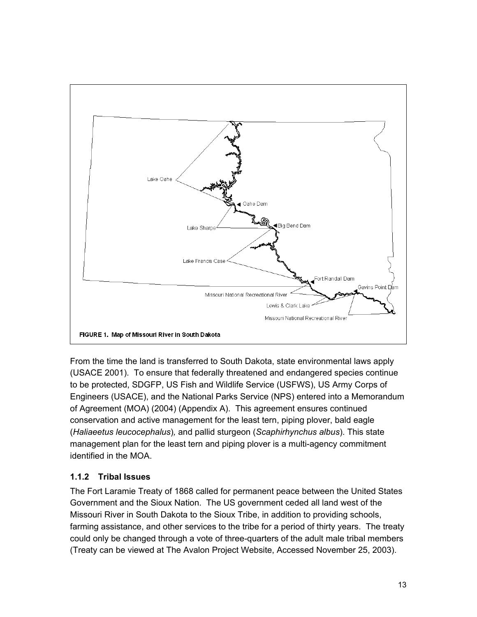

From the time the land is transferred to South Dakota, state environmental laws apply (USACE 2001). To ensure that federally threatened and endangered species continue to be protected, SDGFP, US Fish and Wildlife Service (USFWS), US Army Corps of Engineers (USACE), and the National Parks Service (NPS) entered into a Memorandum of Agreement (MOA) (2004) (Appendix A). This agreement ensures continued conservation and active management for the least tern, piping plover, bald eagle (*Haliaeetus leucocephalus*)*,* and pallid sturgeon (*Scaphirhynchus albus*). This state management plan for the least tern and piping plover is a multi-agency commitment identified in the MOA.

# **1.1.2 Tribal Issues**

The Fort Laramie Treaty of 1868 called for permanent peace between the United States Government and the Sioux Nation. The US government ceded all land west of the Missouri River in South Dakota to the Sioux Tribe, in addition to providing schools, farming assistance, and other services to the tribe for a period of thirty years. The treaty could only be changed through a vote of three-quarters of the adult male tribal members (Treaty can be viewed at The Avalon Project Website, Accessed November 25, 2003).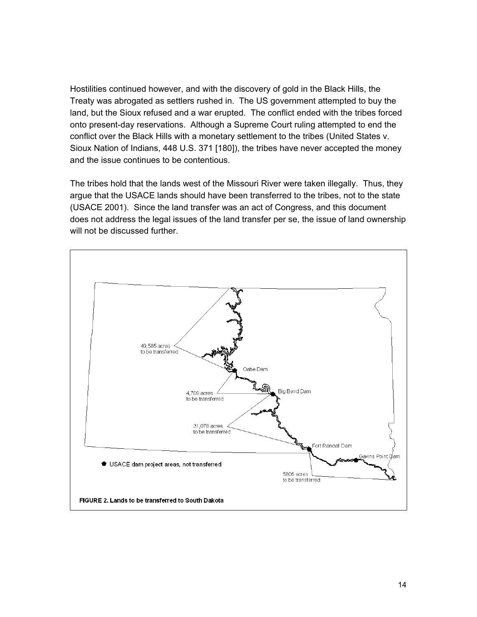Hostilities continued however, and with the discovery of gold in the Black Hills, the Treaty was abrogated as settlers rushed in. The US government attempted to buy the land, but the Sioux refused and a war erupted. The conflict ended with the tribes forced onto present-day reservations. Although a Supreme Court ruling attempted to end the conflict over the Black Hills with a monetary settlement to the tribes (United States v. Sioux Nation of Indians, 448 U.S. 371 [180]), the tribes have never accepted the money and the issue continues to be contentious.

The tribes hold that the lands west of the Missouri River were taken illegally. Thus, they argue that the USACE lands should have been transferred to the tribes, not to the state (USACE 2001). Since the land transfer was an act of Congress, and this document does not address the legal issues of the land transfer per se, the issue of land ownership will not be discussed further.

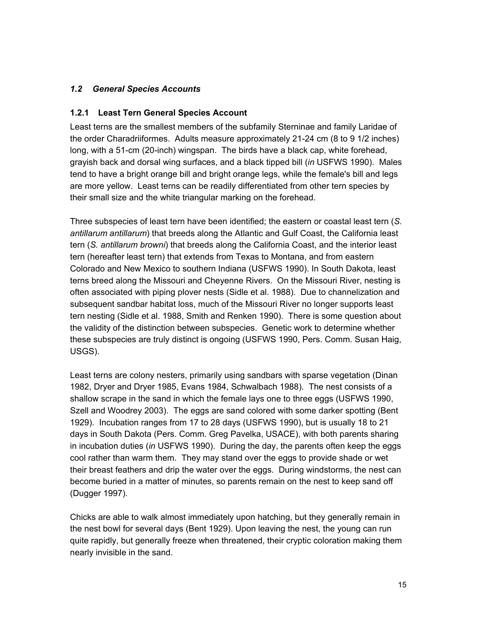# *1.2 General Species Accounts*

#### **1.2.1 Least Tern General Species Account**

Least terns are the smallest members of the subfamily Sterninae and family Laridae of the order Charadriiformes. Adults measure approximately 21-24 cm (8 to 9 1/2 inches) long, with a 51-cm (20-inch) wingspan. The birds have a black cap, white forehead, grayish back and dorsal wing surfaces, and a black tipped bill (*in* USFWS 1990). Males tend to have a bright orange bill and bright orange legs, while the female's bill and legs are more yellow. Least terns can be readily differentiated from other tern species by their small size and the white triangular marking on the forehead.

Three subspecies of least tern have been identified; the eastern or coastal least tern (*S. antillarum antillarum*) that breeds along the Atlantic and Gulf Coast, the California least tern (*S. antillarum browni*) that breeds along the California Coast, and the interior least tern (hereafter least tern) that extends from Texas to Montana, and from eastern Colorado and New Mexico to southern Indiana (USFWS 1990). In South Dakota, least terns breed along the Missouri and Cheyenne Rivers. On the Missouri River, nesting is often associated with piping plover nests (Sidle et al. 1988). Due to channelization and subsequent sandbar habitat loss, much of the Missouri River no longer supports least tern nesting (Sidle et al. 1988, Smith and Renken 1990). There is some question about the validity of the distinction between subspecies. Genetic work to determine whether these subspecies are truly distinct is ongoing (USFWS 1990, Pers. Comm. Susan Haig, USGS).

Least terns are colony nesters, primarily using sandbars with sparse vegetation (Dinan 1982, Dryer and Dryer 1985, Evans 1984, Schwalbach 1988). The nest consists of a shallow scrape in the sand in which the female lays one to three eggs (USFWS 1990, Szell and Woodrey 2003). The eggs are sand colored with some darker spotting (Bent 1929). Incubation ranges from 17 to 28 days (USFWS 1990), but is usually 18 to 21 days in South Dakota (Pers. Comm. Greg Pavelka, USACE), with both parents sharing in incubation duties (*in* USFWS 1990). During the day, the parents often keep the eggs cool rather than warm them. They may stand over the eggs to provide shade or wet their breast feathers and drip the water over the eggs. During windstorms, the nest can become buried in a matter of minutes, so parents remain on the nest to keep sand off (Dugger 1997).

Chicks are able to walk almost immediately upon hatching, but they generally remain in the nest bowl for several days (Bent 1929). Upon leaving the nest, the young can run quite rapidly, but generally freeze when threatened, their cryptic coloration making them nearly invisible in the sand.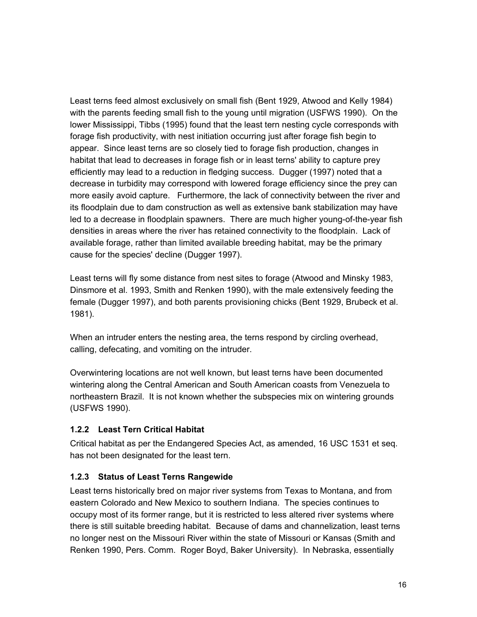Least terns feed almost exclusively on small fish (Bent 1929, Atwood and Kelly 1984) with the parents feeding small fish to the young until migration (USFWS 1990). On the lower Mississippi, Tibbs (1995) found that the least tern nesting cycle corresponds with forage fish productivity, with nest initiation occurring just after forage fish begin to appear. Since least terns are so closely tied to forage fish production, changes in habitat that lead to decreases in forage fish or in least terns' ability to capture prey efficiently may lead to a reduction in fledging success. Dugger (1997) noted that a decrease in turbidity may correspond with lowered forage efficiency since the prey can more easily avoid capture. Furthermore, the lack of connectivity between the river and its floodplain due to dam construction as well as extensive bank stabilization may have led to a decrease in floodplain spawners. There are much higher young-of-the-year fish densities in areas where the river has retained connectivity to the floodplain. Lack of available forage, rather than limited available breeding habitat, may be the primary cause for the species' decline (Dugger 1997).

Least terns will fly some distance from nest sites to forage (Atwood and Minsky 1983, Dinsmore et al. 1993, Smith and Renken 1990), with the male extensively feeding the female (Dugger 1997), and both parents provisioning chicks (Bent 1929, Brubeck et al. 1981).

When an intruder enters the nesting area, the terns respond by circling overhead, calling, defecating, and vomiting on the intruder.

Overwintering locations are not well known, but least terns have been documented wintering along the Central American and South American coasts from Venezuela to northeastern Brazil. It is not known whether the subspecies mix on wintering grounds (USFWS 1990).

# **1.2.2 Least Tern Critical Habitat**

Critical habitat as per the Endangered Species Act, as amended, 16 USC 1531 et seq. has not been designated for the least tern.

# **1.2.3 Status of Least Terns Rangewide**

Least terns historically bred on major river systems from Texas to Montana, and from eastern Colorado and New Mexico to southern Indiana. The species continues to occupy most of its former range, but it is restricted to less altered river systems where there is still suitable breeding habitat. Because of dams and channelization, least terns no longer nest on the Missouri River within the state of Missouri or Kansas (Smith and Renken 1990, Pers. Comm. Roger Boyd, Baker University). In Nebraska, essentially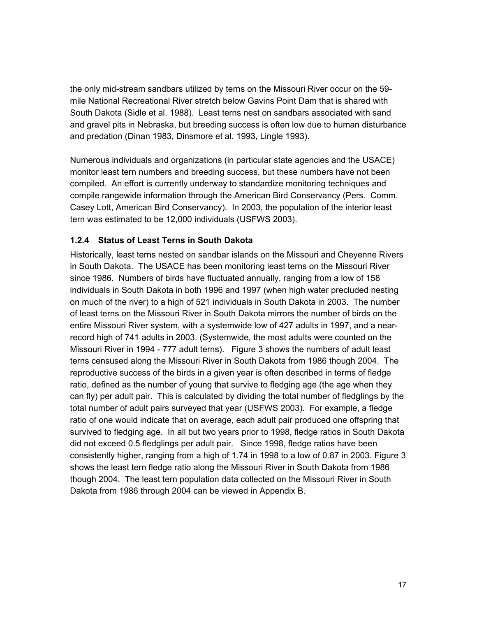the only mid-stream sandbars utilized by terns on the Missouri River occur on the 59 mile National Recreational River stretch below Gavins Point Dam that is shared with South Dakota (Sidle et al. 1988). Least terns nest on sandbars associated with sand and gravel pits in Nebraska, but breeding success is often low due to human disturbance and predation (Dinan 1983, Dinsmore et al. 1993, Lingle 1993).

Numerous individuals and organizations (in particular state agencies and the USACE) monitor least tern numbers and breeding success, but these numbers have not been compiled. An effort is currently underway to standardize monitoring techniques and compile rangewide information through the American Bird Conservancy (Pers. Comm. Casey Lott, American Bird Conservancy). In 2003, the population of the interior least tern was estimated to be 12,000 individuals (USFWS 2003).

# **1.2.4 Status of Least Terns in South Dakota**

Historically, least terns nested on sandbar islands on the Missouri and Cheyenne Rivers in South Dakota. The USACE has been monitoring least terns on the Missouri River since 1986. Numbers of birds have fluctuated annually, ranging from a low of 158 individuals in South Dakota in both 1996 and 1997 (when high water precluded nesting on much of the river) to a high of 521 individuals in South Dakota in 2003. The number of least terns on the Missouri River in South Dakota mirrors the number of birds on the entire Missouri River system, with a systemwide low of 427 adults in 1997, and a nearrecord high of 741 adults in 2003. (Systemwide, the most adults were counted on the Missouri River in 1994 - 777 adult terns). Figure 3 shows the numbers of adult least terns censused along the Missouri River in South Dakota from 1986 though 2004. The reproductive success of the birds in a given year is often described in terms of fledge ratio, defined as the number of young that survive to fledging age (the age when they can fly) per adult pair. This is calculated by dividing the total number of fledglings by the total number of adult pairs surveyed that year (USFWS 2003). For example, a fledge ratio of one would indicate that on average, each adult pair produced one offspring that survived to fledging age. In all but two years prior to 1998, fledge ratios in South Dakota did not exceed 0.5 fledglings per adult pair. Since 1998, fledge ratios have been consistently higher, ranging from a high of 1.74 in 1998 to a low of 0.87 in 2003. Figure 3 shows the least tern fledge ratio along the Missouri River in South Dakota from 1986 though 2004. The least tern population data collected on the Missouri River in South Dakota from 1986 through 2004 can be viewed in Appendix B.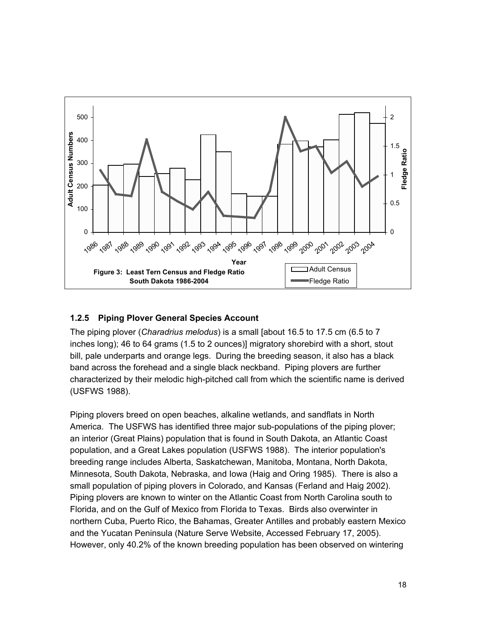

# **1.2.5 Piping Plover General Species Account**

The piping plover (*Charadrius melodus*) is a small [about 16.5 to 17.5 cm (6.5 to 7 inches long); 46 to 64 grams (1.5 to 2 ounces)] migratory shorebird with a short, stout bill, pale underparts and orange legs. During the breeding season, it also has a black band across the forehead and a single black neckband. Piping plovers are further characterized by their melodic high-pitched call from which the scientific name is derived (USFWS 1988).

Piping plovers breed on open beaches, alkaline wetlands, and sandflats in North America. The USFWS has identified three major sub-populations of the piping plover; an interior (Great Plains) population that is found in South Dakota, an Atlantic Coast population, and a Great Lakes population (USFWS 1988). The interior population's breeding range includes Alberta, Saskatchewan, Manitoba, Montana, North Dakota, Minnesota, South Dakota, Nebraska, and Iowa (Haig and Oring 1985). There is also a small population of piping plovers in Colorado, and Kansas (Ferland and Haig 2002). Piping plovers are known to winter on the Atlantic Coast from North Carolina south to Florida, and on the Gulf of Mexico from Florida to Texas. Birds also overwinter in northern Cuba, Puerto Rico, the Bahamas, Greater Antilles and probably eastern Mexico and the Yucatan Peninsula (Nature Serve Website, Accessed February 17, 2005). However, only 40.2% of the known breeding population has been observed on wintering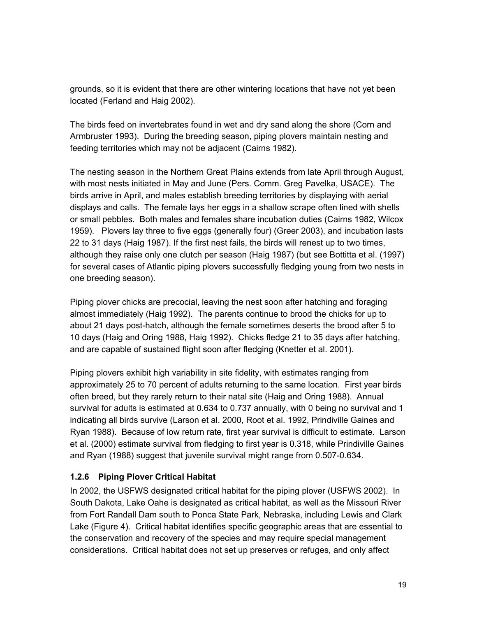grounds, so it is evident that there are other wintering locations that have not yet been located (Ferland and Haig 2002).

The birds feed on invertebrates found in wet and dry sand along the shore (Corn and Armbruster 1993). During the breeding season, piping plovers maintain nesting and feeding territories which may not be adjacent (Cairns 1982).

The nesting season in the Northern Great Plains extends from late April through August, with most nests initiated in May and June (Pers. Comm. Greg Pavelka, USACE). The birds arrive in April, and males establish breeding territories by displaying with aerial displays and calls. The female lays her eggs in a shallow scrape often lined with shells or small pebbles. Both males and females share incubation duties (Cairns 1982, Wilcox 1959). Plovers lay three to five eggs (generally four) (Greer 2003), and incubation lasts 22 to 31 days (Haig 1987). If the first nest fails, the birds will renest up to two times, although they raise only one clutch per season (Haig 1987) (but see Bottitta et al. (1997) for several cases of Atlantic piping plovers successfully fledging young from two nests in one breeding season).

Piping plover chicks are precocial, leaving the nest soon after hatching and foraging almost immediately (Haig 1992). The parents continue to brood the chicks for up to about 21 days post-hatch, although the female sometimes deserts the brood after 5 to 10 days (Haig and Oring 1988, Haig 1992). Chicks fledge 21 to 35 days after hatching, and are capable of sustained flight soon after fledging (Knetter et al. 2001).

Piping plovers exhibit high variability in site fidelity, with estimates ranging from approximately 25 to 70 percent of adults returning to the same location. First year birds often breed, but they rarely return to their natal site (Haig and Oring 1988). Annual survival for adults is estimated at 0.634 to 0.737 annually, with 0 being no survival and 1 indicating all birds survive (Larson et al. 2000, Root et al. 1992, Prindiville Gaines and Ryan 1988). Because of low return rate, first year survival is difficult to estimate. Larson et al. (2000) estimate survival from fledging to first year is 0.318, while Prindiville Gaines and Ryan (1988) suggest that juvenile survival might range from 0.507-0.634.

# **1.2.6 Piping Plover Critical Habitat**

In 2002, the USFWS designated critical habitat for the piping plover (USFWS 2002). In South Dakota, Lake Oahe is designated as critical habitat, as well as the Missouri River from Fort Randall Dam south to Ponca State Park, Nebraska, including Lewis and Clark Lake (Figure 4). Critical habitat identifies specific geographic areas that are essential to the conservation and recovery of the species and may require special management considerations. Critical habitat does not set up preserves or refuges, and only affect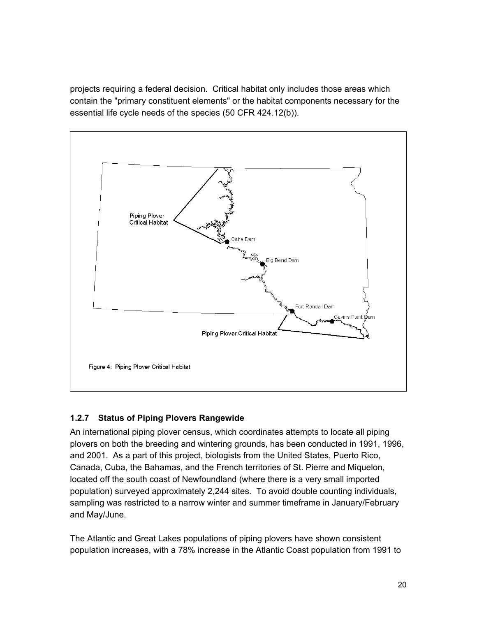projects requiring a federal decision. Critical habitat only includes those areas which contain the "primary constituent elements" or the habitat components necessary for the essential life cycle needs of the species (50 CFR 424.12(b)).



# **1.2.7 Status of Piping Plovers Rangewide**

An international piping plover census, which coordinates attempts to locate all piping plovers on both the breeding and wintering grounds, has been conducted in 1991, 1996, and 2001. As a part of this project, biologists from the United States, Puerto Rico, Canada, Cuba, the Bahamas, and the French territories of St. Pierre and Miquelon, located off the south coast of Newfoundland (where there is a very small imported population) surveyed approximately 2,244 sites. To avoid double counting individuals, sampling was restricted to a narrow winter and summer timeframe in January/February and May/June.

The Atlantic and Great Lakes populations of piping plovers have shown consistent population increases, with a 78% increase in the Atlantic Coast population from 1991 to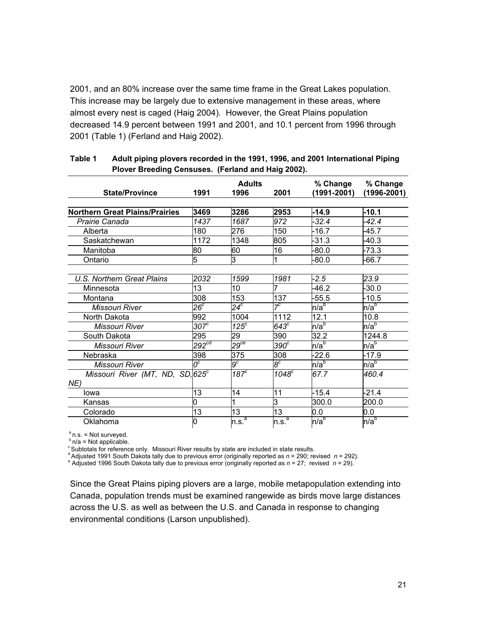2001, and an 80% increase over the same time frame in the Great Lakes population. This increase may be largely due to extensive management in these areas, where almost every nest is caged (Haig 2004). However, the Great Plains population decreased 14.9 percent between 1991 and 2001, and 10.1 percent from 1996 through 2001 (Table 1) (Ferland and Haig 2002).

|                                              | <b>Adults</b>     |                   |                      | % Change         | % Change         |  |
|----------------------------------------------|-------------------|-------------------|----------------------|------------------|------------------|--|
| <b>State/Province</b>                        | 1991              | 1996              | 2001                 | $(1991 - 2001)$  | $(1996 - 2001)$  |  |
|                                              |                   |                   |                      |                  |                  |  |
| <b>Northern Great Plains/Prairies</b>        | 3469              | 3286              | 2953                 | $-14.9$          | $-10.1$          |  |
| Prairie Canada                               | 1437              | 1687              | 972                  | $-32.4$          | $-42.4$          |  |
| Alberta                                      | 180               | 276               | 150                  | $-16.7$          | -45.7            |  |
| Saskatchewan                                 | 1172              | 1348              | 805                  | -31.3            | $-40.3$          |  |
| Manitoba                                     | 80                | 60                | 16                   | $-80.0$          | $-73.3$          |  |
| Ontario                                      | 5                 | ω                 | 1                    | $-80.0$          | -66.7            |  |
|                                              |                   |                   |                      |                  |                  |  |
| <b>U.S. Northern Great Plains</b>            | 2032              | 1599              | 1981                 | $-2.5$           | 23.9             |  |
| Minnesota                                    | 13                | 10                |                      | $-46.2$          | $-30.0$          |  |
| Montana                                      | 308               | 153               | 137                  | $-55.5$          | $-10.5$          |  |
| Missouri River                               | $26^c$            | $24^{\circ}$      | $7^c$                | n/a <sup>b</sup> | n/a <sup>b</sup> |  |
| North Dakota                                 | 992               | 1004              | 1112                 | 12.1             | 10.8             |  |
| Missouri River                               | $307^c$           | $125^{\circ}$     | $643^{\overline{c}}$ | n/a <sup>b</sup> | n/a <sup>b</sup> |  |
| South Dakota                                 | 295               | 29                | 390                  | 32.2             | 1244.8           |  |
| Missouri River                               | 292 <sup>cd</sup> | 29 <sup>ce</sup>  | $390^\circ$          | n/a <sup>b</sup> | n/a <sup>b</sup> |  |
| Nebraska                                     | 398               | 375               | 308                  | $-22.6$          | $-17.9$          |  |
| Missouri River                               | $\overline{O^c}$  | $g^c$             | စိ                   | n/a <sup>b</sup> | n/a <sup>b</sup> |  |
| Missouri River (MT, ND, SD, 625 <sup>c</sup> |                   | 187 <sup>c</sup>  | $1048^{\circ}$       | 67.7             | 460.4            |  |
| NE)                                          |                   |                   |                      |                  |                  |  |
| Iowa                                         | 13                | 14                | 11                   | $-15.4$          | $-21.4$          |  |
| Kansas                                       | 0                 |                   | lЗ                   | 300.0            | 200.0            |  |
| Colorado                                     | 13                | 13                | 13                   | 0.0              | 0.0              |  |
| Oklahoma                                     | 0                 | n.s. <sup>a</sup> | n.s. <sup>a</sup>    | n/a <sup>b</sup> | n/a <sup>b</sup> |  |

#### **Table 1 Adult piping plovers recorded in the 1991, 1996, and 2001 International Piping Plover Breeding Censuses. (Ferland and Haig 2002).**

<sup>a</sup>n.s. = Not surveyed.<br><sup>b</sup>n/a = Not applicable.<br><sup>c</sup>Subtotals for reference only. Missouri River results by state are included in state results.<br><sup>d</sup>Adjusted 1991 South Dakota tally due to previous error (originally report

Adjusted 1996 South Dakota tally due to previous error (originally reported as *n* = 27; revised *n* = 29).

Since the Great Plains piping plovers are a large, mobile metapopulation extending into Canada, population trends must be examined rangewide as birds move large distances across the U.S. as well as between the U.S. and Canada in response to changing environmental conditions (Larson unpublished).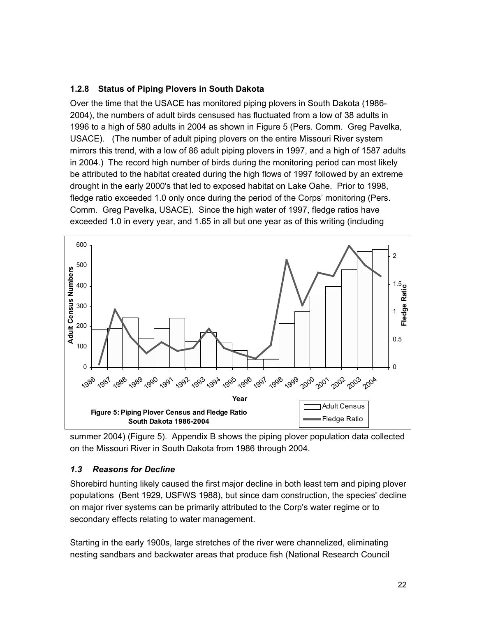# **1.2.8 Status of Piping Plovers in South Dakota**

Over the time that the USACE has monitored piping plovers in South Dakota (1986- 2004), the numbers of adult birds censused has fluctuated from a low of 38 adults in 1996 to a high of 580 adults in 2004 as shown in Figure 5 (Pers. Comm. Greg Pavelka, USACE). (The number of adult piping plovers on the entire Missouri River system mirrors this trend, with a low of 86 adult piping plovers in 1997, and a high of 1587 adults in 2004.) The record high number of birds during the monitoring period can most likely be attributed to the habitat created during the high flows of 1997 followed by an extreme drought in the early 2000's that led to exposed habitat on Lake Oahe. Prior to 1998, fledge ratio exceeded 1.0 only once during the period of the Corps' monitoring (Pers. Comm. Greg Pavelka, USACE). Since the high water of 1997, fledge ratios have exceeded 1.0 in every year, and 1.65 in all but one year as of this writing (including



summer 2004) (Figure 5). Appendix B shows the piping plover population data collected on the Missouri River in South Dakota from 1986 through 2004.

# *1.3 Reasons for Decline*

Shorebird hunting likely caused the first major decline in both least tern and piping plover populations (Bent 1929, USFWS 1988), but since dam construction, the species' decline on major river systems can be primarily attributed to the Corp's water regime or to secondary effects relating to water management.

Starting in the early 1900s, large stretches of the river were channelized, eliminating nesting sandbars and backwater areas that produce fish (National Research Council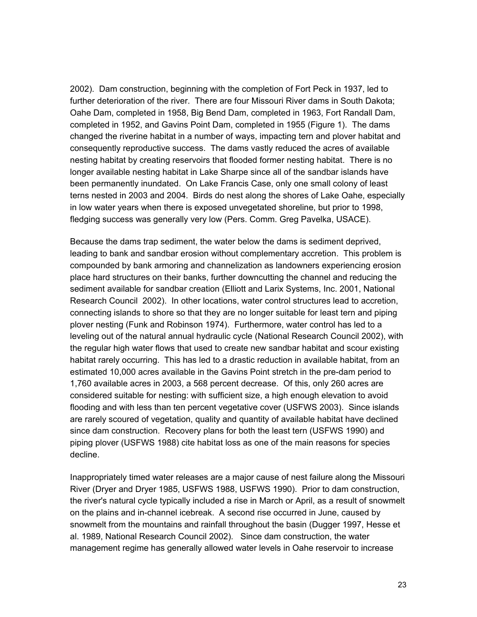2002). Dam construction, beginning with the completion of Fort Peck in 1937, led to further deterioration of the river. There are four Missouri River dams in South Dakota; Oahe Dam, completed in 1958, Big Bend Dam, completed in 1963, Fort Randall Dam, completed in 1952, and Gavins Point Dam, completed in 1955 (Figure 1). The dams changed the riverine habitat in a number of ways, impacting tern and plover habitat and consequently reproductive success. The dams vastly reduced the acres of available nesting habitat by creating reservoirs that flooded former nesting habitat. There is no longer available nesting habitat in Lake Sharpe since all of the sandbar islands have been permanently inundated. On Lake Francis Case, only one small colony of least terns nested in 2003 and 2004. Birds do nest along the shores of Lake Oahe, especially in low water years when there is exposed unvegetated shoreline, but prior to 1998, fledging success was generally very low (Pers. Comm. Greg Pavelka, USACE).

Because the dams trap sediment, the water below the dams is sediment deprived, leading to bank and sandbar erosion without complementary accretion. This problem is compounded by bank armoring and channelization as landowners experiencing erosion place hard structures on their banks, further downcutting the channel and reducing the sediment available for sandbar creation (Elliott and Larix Systems, Inc. 2001, National Research Council 2002). In other locations, water control structures lead to accretion, connecting islands to shore so that they are no longer suitable for least tern and piping plover nesting (Funk and Robinson 1974). Furthermore, water control has led to a leveling out of the natural annual hydraulic cycle (National Research Council 2002), with the regular high water flows that used to create new sandbar habitat and scour existing habitat rarely occurring. This has led to a drastic reduction in available habitat, from an estimated 10,000 acres available in the Gavins Point stretch in the pre-dam period to 1,760 available acres in 2003, a 568 percent decrease. Of this, only 260 acres are considered suitable for nesting: with sufficient size, a high enough elevation to avoid flooding and with less than ten percent vegetative cover (USFWS 2003). Since islands are rarely scoured of vegetation, quality and quantity of available habitat have declined since dam construction. Recovery plans for both the least tern (USFWS 1990) and piping plover (USFWS 1988) cite habitat loss as one of the main reasons for species decline.

Inappropriately timed water releases are a major cause of nest failure along the Missouri River (Dryer and Dryer 1985, USFWS 1988, USFWS 1990). Prior to dam construction, the river's natural cycle typically included a rise in March or April, as a result of snowmelt on the plains and in-channel icebreak. A second rise occurred in June, caused by snowmelt from the mountains and rainfall throughout the basin (Dugger 1997, Hesse et al. 1989, National Research Council 2002). Since dam construction, the water management regime has generally allowed water levels in Oahe reservoir to increase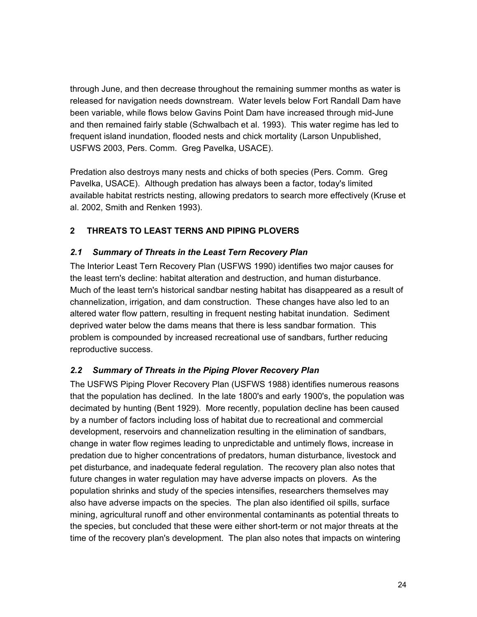through June, and then decrease throughout the remaining summer months as water is released for navigation needs downstream. Water levels below Fort Randall Dam have been variable, while flows below Gavins Point Dam have increased through mid-June and then remained fairly stable (Schwalbach et al. 1993). This water regime has led to frequent island inundation, flooded nests and chick mortality (Larson Unpublished, USFWS 2003, Pers. Comm. Greg Pavelka, USACE).

Predation also destroys many nests and chicks of both species (Pers. Comm. Greg Pavelka, USACE). Although predation has always been a factor, today's limited available habitat restricts nesting, allowing predators to search more effectively (Kruse et al. 2002, Smith and Renken 1993).

# **2 THREATS TO LEAST TERNS AND PIPING PLOVERS**

# *2.1 Summary of Threats in the Least Tern Recovery Plan*

The Interior Least Tern Recovery Plan (USFWS 1990) identifies two major causes for the least tern's decline: habitat alteration and destruction, and human disturbance. Much of the least tern's historical sandbar nesting habitat has disappeared as a result of channelization, irrigation, and dam construction. These changes have also led to an altered water flow pattern, resulting in frequent nesting habitat inundation. Sediment deprived water below the dams means that there is less sandbar formation. This problem is compounded by increased recreational use of sandbars, further reducing reproductive success.

# *2.2 Summary of Threats in the Piping Plover Recovery Plan*

The USFWS Piping Plover Recovery Plan (USFWS 1988) identifies numerous reasons that the population has declined. In the late 1800's and early 1900's, the population was decimated by hunting (Bent 1929). More recently, population decline has been caused by a number of factors including loss of habitat due to recreational and commercial development, reservoirs and channelization resulting in the elimination of sandbars, change in water flow regimes leading to unpredictable and untimely flows, increase in predation due to higher concentrations of predators, human disturbance, livestock and pet disturbance, and inadequate federal regulation. The recovery plan also notes that future changes in water regulation may have adverse impacts on plovers. As the population shrinks and study of the species intensifies, researchers themselves may also have adverse impacts on the species. The plan also identified oil spills, surface mining, agricultural runoff and other environmental contaminants as potential threats to the species, but concluded that these were either short-term or not major threats at the time of the recovery plan's development. The plan also notes that impacts on wintering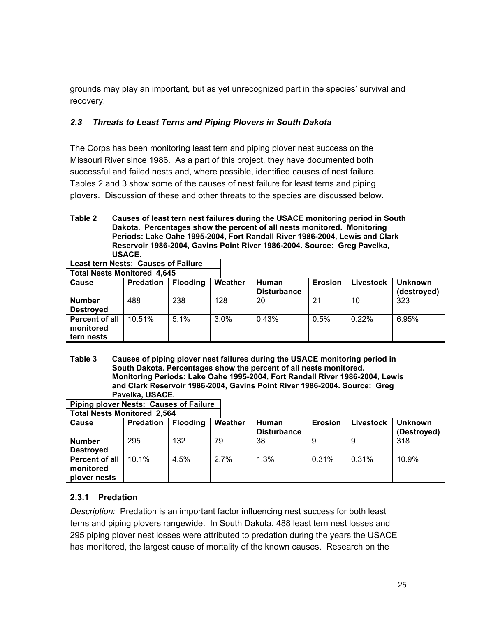grounds may play an important, but as yet unrecognized part in the species' survival and recovery.

# *2.3 Threats to Least Terns and Piping Plovers in South Dakota*

The Corps has been monitoring least tern and piping plover nest success on the Missouri River since 1986. As a part of this project, they have documented both successful and failed nests and, where possible, identified causes of nest failure. Tables 2 and 3 show some of the causes of nest failure for least terns and piping plovers. Discussion of these and other threats to the species are discussed below.

**Table 2 Causes of least tern nest failures during the USACE monitoring period in South Dakota. Percentages show the percent of all nests monitored. Monitoring Periods: Lake Oahe 1995-2004, Fort Randall River 1986-2004, Lewis and Clark Reservoir 1986-2004, Gavins Point River 1986-2004. Source: Greg Pavelka, USACE.**

| <b>Total Nests Monitored 4,645</b>               |                  |                 |         |                                    |                |           |                               |
|--------------------------------------------------|------------------|-----------------|---------|------------------------------------|----------------|-----------|-------------------------------|
| Cause                                            | <b>Predation</b> | <b>Flooding</b> | Weather | <b>Human</b><br><b>Disturbance</b> | <b>Erosion</b> | Livestock | <b>Unknown</b><br>(destroyed) |
| <b>Number</b><br><b>Destroyed</b>                | 488              | 238             | 128     | 20                                 | 21             | 10        | 323                           |
| <b>Percent of all</b><br>monitored<br>tern nests | 10.51%           | $5.1\%$         | $3.0\%$ | 0.43%                              | 0.5%           | $0.22\%$  | 6.95%                         |

**Least tern Nests: Causes of Failure**

**Table 3 Causes of piping plover nest failures during the USACE monitoring period in South Dakota. Percentages show the percent of all nests monitored. Monitoring Periods: Lake Oahe 1995-2004, Fort Randall River 1986-2004, Lewis and Clark Reservoir 1986-2004, Gavins Point River 1986-2004. Source: Greg Pavelka, USACE.**

| <b>Total Nests Monitored 2,564</b>                 |                  |                 |         |                             |                |           |                               |
|----------------------------------------------------|------------------|-----------------|---------|-----------------------------|----------------|-----------|-------------------------------|
| Cause                                              | <b>Predation</b> | <b>Flooding</b> | Weather | Human<br><b>Disturbance</b> | <b>Erosion</b> | ∟ivestock | <b>Unknown</b><br>(Destroyed) |
| <b>Number</b><br><b>Destroyed</b>                  | 295              | 132             | 79      | 38                          |                | 9         | 318                           |
| <b>Percent of all</b><br>monitored<br>plover nests | $10.1\%$         | 4.5%            | 2.7%    | 1.3%                        | 0.31%          | 0.31%     | 10.9%                         |

**Piping plover Nests: Causes of Failure**

# **2.3.1 Predation**

*Description:* Predation is an important factor influencing nest success for both least terns and piping plovers rangewide. In South Dakota, 488 least tern nest losses and 295 piping plover nest losses were attributed to predation during the years the USACE has monitored, the largest cause of mortality of the known causes. Research on the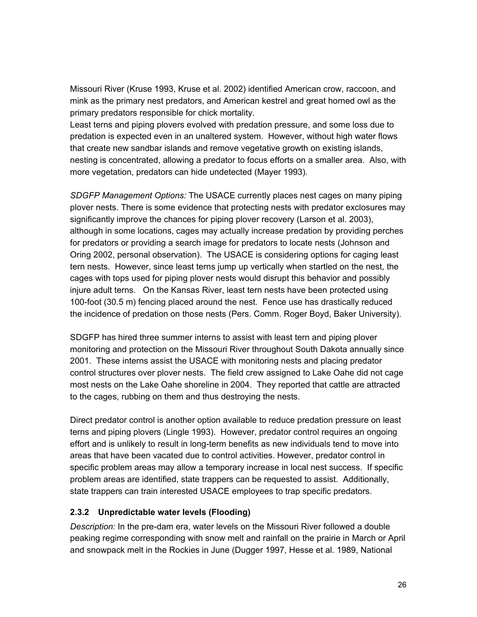Missouri River (Kruse 1993, Kruse et al. 2002) identified American crow, raccoon, and mink as the primary nest predators, and American kestrel and great horned owl as the primary predators responsible for chick mortality.

Least terns and piping plovers evolved with predation pressure, and some loss due to predation is expected even in an unaltered system. However, without high water flows that create new sandbar islands and remove vegetative growth on existing islands, nesting is concentrated, allowing a predator to focus efforts on a smaller area. Also, with more vegetation, predators can hide undetected (Mayer 1993).

*SDGFP Management Options:* The USACE currently places nest cages on many piping plover nests. There is some evidence that protecting nests with predator exclosures may significantly improve the chances for piping plover recovery (Larson et al. 2003), although in some locations, cages may actually increase predation by providing perches for predators or providing a search image for predators to locate nests (Johnson and Oring 2002, personal observation). The USACE is considering options for caging least tern nests. However, since least terns jump up vertically when startled on the nest, the cages with tops used for piping plover nests would disrupt this behavior and possibly injure adult terns. On the Kansas River, least tern nests have been protected using 100-foot (30.5 m) fencing placed around the nest. Fence use has drastically reduced the incidence of predation on those nests (Pers. Comm. Roger Boyd, Baker University).

SDGFP has hired three summer interns to assist with least tern and piping plover monitoring and protection on the Missouri River throughout South Dakota annually since 2001. These interns assist the USACE with monitoring nests and placing predator control structures over plover nests. The field crew assigned to Lake Oahe did not cage most nests on the Lake Oahe shoreline in 2004. They reported that cattle are attracted to the cages, rubbing on them and thus destroying the nests.

Direct predator control is another option available to reduce predation pressure on least terns and piping plovers (Lingle 1993). However, predator control requires an ongoing effort and is unlikely to result in long-term benefits as new individuals tend to move into areas that have been vacated due to control activities. However, predator control in specific problem areas may allow a temporary increase in local nest success. If specific problem areas are identified, state trappers can be requested to assist. Additionally, state trappers can train interested USACE employees to trap specific predators.

# **2.3.2 Unpredictable water levels (Flooding)**

*Description:* In the pre-dam era, water levels on the Missouri River followed a double peaking regime corresponding with snow melt and rainfall on the prairie in March or April and snowpack melt in the Rockies in June (Dugger 1997, Hesse et al. 1989, National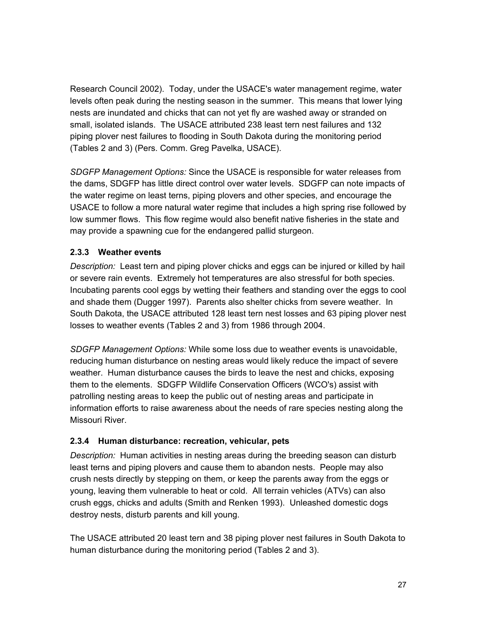Research Council 2002). Today, under the USACE's water management regime, water levels often peak during the nesting season in the summer. This means that lower lying nests are inundated and chicks that can not yet fly are washed away or stranded on small, isolated islands. The USACE attributed 238 least tern nest failures and 132 piping plover nest failures to flooding in South Dakota during the monitoring period (Tables 2 and 3) (Pers. Comm. Greg Pavelka, USACE).

*SDGFP Management Options:* Since the USACE is responsible for water releases from the dams, SDGFP has little direct control over water levels. SDGFP can note impacts of the water regime on least terns, piping plovers and other species, and encourage the USACE to follow a more natural water regime that includes a high spring rise followed by low summer flows. This flow regime would also benefit native fisheries in the state and may provide a spawning cue for the endangered pallid sturgeon.

# **2.3.3 Weather events**

*Description:* Least tern and piping plover chicks and eggs can be injured or killed by hail or severe rain events. Extremely hot temperatures are also stressful for both species. Incubating parents cool eggs by wetting their feathers and standing over the eggs to cool and shade them (Dugger 1997). Parents also shelter chicks from severe weather. In South Dakota, the USACE attributed 128 least tern nest losses and 63 piping plover nest losses to weather events (Tables 2 and 3) from 1986 through 2004.

*SDGFP Management Options:* While some loss due to weather events is unavoidable, reducing human disturbance on nesting areas would likely reduce the impact of severe weather. Human disturbance causes the birds to leave the nest and chicks, exposing them to the elements. SDGFP Wildlife Conservation Officers (WCO's) assist with patrolling nesting areas to keep the public out of nesting areas and participate in information efforts to raise awareness about the needs of rare species nesting along the Missouri River.

# **2.3.4 Human disturbance: recreation, vehicular, pets**

*Description:* Human activities in nesting areas during the breeding season can disturb least terns and piping plovers and cause them to abandon nests. People may also crush nests directly by stepping on them, or keep the parents away from the eggs or young, leaving them vulnerable to heat or cold. All terrain vehicles (ATVs) can also crush eggs, chicks and adults (Smith and Renken 1993). Unleashed domestic dogs destroy nests, disturb parents and kill young.

The USACE attributed 20 least tern and 38 piping plover nest failures in South Dakota to human disturbance during the monitoring period (Tables 2 and 3).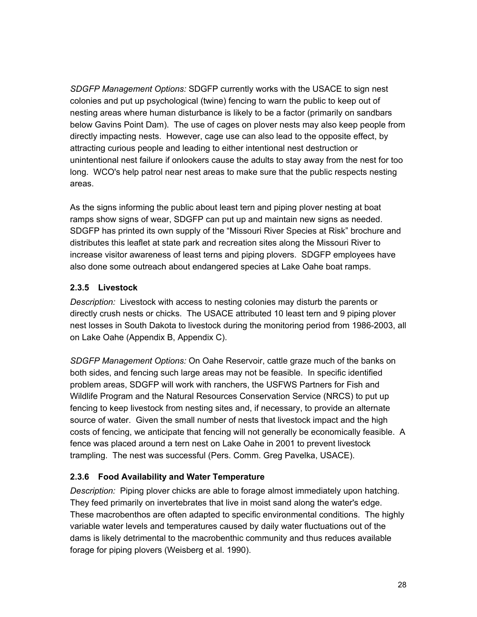*SDGFP Management Options:* SDGFP currently works with the USACE to sign nest colonies and put up psychological (twine) fencing to warn the public to keep out of nesting areas where human disturbance is likely to be a factor (primarily on sandbars below Gavins Point Dam). The use of cages on plover nests may also keep people from directly impacting nests. However, cage use can also lead to the opposite effect, by attracting curious people and leading to either intentional nest destruction or unintentional nest failure if onlookers cause the adults to stay away from the nest for too long. WCO's help patrol near nest areas to make sure that the public respects nesting areas.

As the signs informing the public about least tern and piping plover nesting at boat ramps show signs of wear, SDGFP can put up and maintain new signs as needed. SDGFP has printed its own supply of the "Missouri River Species at Risk" brochure and distributes this leaflet at state park and recreation sites along the Missouri River to increase visitor awareness of least terns and piping plovers. SDGFP employees have also done some outreach about endangered species at Lake Oahe boat ramps.

# **2.3.5 Livestock**

*Description:* Livestock with access to nesting colonies may disturb the parents or directly crush nests or chicks. The USACE attributed 10 least tern and 9 piping plover nest losses in South Dakota to livestock during the monitoring period from 1986-2003, all on Lake Oahe (Appendix B, Appendix C).

*SDGFP Management Options:* On Oahe Reservoir, cattle graze much of the banks on both sides, and fencing such large areas may not be feasible. In specific identified problem areas, SDGFP will work with ranchers, the USFWS Partners for Fish and Wildlife Program and the Natural Resources Conservation Service (NRCS) to put up fencing to keep livestock from nesting sites and, if necessary, to provide an alternate source of water. Given the small number of nests that livestock impact and the high costs of fencing, we anticipate that fencing will not generally be economically feasible. A fence was placed around a tern nest on Lake Oahe in 2001 to prevent livestock trampling. The nest was successful (Pers. Comm. Greg Pavelka, USACE).

# **2.3.6 Food Availability and Water Temperature**

*Description:* Piping plover chicks are able to forage almost immediately upon hatching. They feed primarily on invertebrates that live in moist sand along the water's edge. These macrobenthos are often adapted to specific environmental conditions. The highly variable water levels and temperatures caused by daily water fluctuations out of the dams is likely detrimental to the macrobenthic community and thus reduces available forage for piping plovers (Weisberg et al. 1990).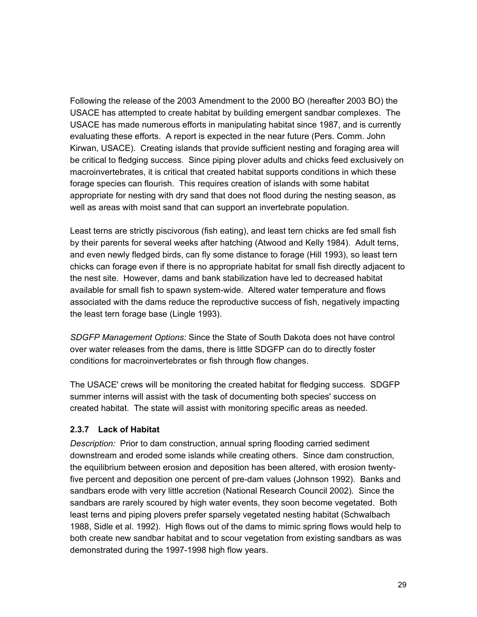Following the release of the 2003 Amendment to the 2000 BO (hereafter 2003 BO) the USACE has attempted to create habitat by building emergent sandbar complexes. The USACE has made numerous efforts in manipulating habitat since 1987, and is currently evaluating these efforts. A report is expected in the near future (Pers. Comm. John Kirwan, USACE). Creating islands that provide sufficient nesting and foraging area will be critical to fledging success. Since piping plover adults and chicks feed exclusively on macroinvertebrates, it is critical that created habitat supports conditions in which these forage species can flourish. This requires creation of islands with some habitat appropriate for nesting with dry sand that does not flood during the nesting season, as well as areas with moist sand that can support an invertebrate population.

Least terns are strictly piscivorous (fish eating), and least tern chicks are fed small fish by their parents for several weeks after hatching (Atwood and Kelly 1984). Adult terns, and even newly fledged birds, can fly some distance to forage (Hill 1993), so least tern chicks can forage even if there is no appropriate habitat for small fish directly adjacent to the nest site. However, dams and bank stabilization have led to decreased habitat available for small fish to spawn system-wide. Altered water temperature and flows associated with the dams reduce the reproductive success of fish, negatively impacting the least tern forage base (Lingle 1993).

*SDGFP Management Options:* Since the State of South Dakota does not have control over water releases from the dams, there is little SDGFP can do to directly foster conditions for macroinvertebrates or fish through flow changes.

The USACE' crews will be monitoring the created habitat for fledging success. SDGFP summer interns will assist with the task of documenting both species' success on created habitat. The state will assist with monitoring specific areas as needed.

# **2.3.7 Lack of Habitat**

*Description:* Prior to dam construction, annual spring flooding carried sediment downstream and eroded some islands while creating others. Since dam construction, the equilibrium between erosion and deposition has been altered, with erosion twentyfive percent and deposition one percent of pre-dam values (Johnson 1992). Banks and sandbars erode with very little accretion (National Research Council 2002). Since the sandbars are rarely scoured by high water events, they soon become vegetated. Both least terns and piping plovers prefer sparsely vegetated nesting habitat (Schwalbach 1988, Sidle et al. 1992). High flows out of the dams to mimic spring flows would help to both create new sandbar habitat and to scour vegetation from existing sandbars as was demonstrated during the 1997-1998 high flow years.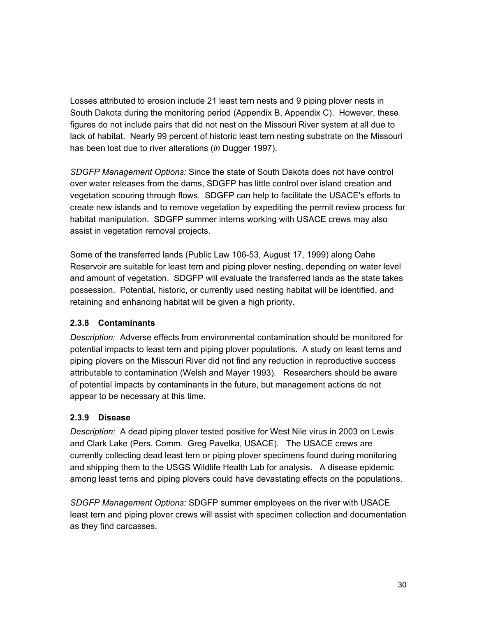Losses attributed to erosion include 21 least tern nests and 9 piping plover nests in South Dakota during the monitoring period (Appendix B, Appendix C). However, these figures do not include pairs that did not nest on the Missouri River system at all due to lack of habitat. Nearly 99 percent of historic least tern nesting substrate on the Missouri has been lost due to river alterations (*in* Dugger 1997).

*SDGFP Management Options:* Since the state of South Dakota does not have control over water releases from the dams, SDGFP has little control over island creation and vegetation scouring through flows. SDGFP can help to facilitate the USACE's efforts to create new islands and to remove vegetation by expediting the permit review process for habitat manipulation. SDGFP summer interns working with USACE crews may also assist in vegetation removal projects.

Some of the transferred lands (Public Law 106-53, August 17, 1999) along Oahe Reservoir are suitable for least tern and piping plover nesting, depending on water level and amount of vegetation. SDGFP will evaluate the transferred lands as the state takes possession. Potential, historic, or currently used nesting habitat will be identified, and retaining and enhancing habitat will be given a high priority.

# **2.3.8 Contaminants**

*Description:* Adverse effects from environmental contamination should be monitored for potential impacts to least tern and piping plover populations. A study on least terns and piping plovers on the Missouri River did not find any reduction in reproductive success attributable to contamination (Welsh and Mayer 1993). Researchers should be aware of potential impacts by contaminants in the future, but management actions do not appear to be necessary at this time.

# **2.3.9 Disease**

*Description:* A dead piping plover tested positive for West Nile virus in 2003 on Lewis and Clark Lake (Pers. Comm. Greg Pavelka, USACE). The USACE crews are currently collecting dead least tern or piping plover specimens found during monitoring and shipping them to the USGS Wildlife Health Lab for analysis. A disease epidemic among least terns and piping plovers could have devastating effects on the populations.

*SDGFP Management Options:* SDGFP summer employees on the river with USACE least tern and piping plover crews will assist with specimen collection and documentation as they find carcasses.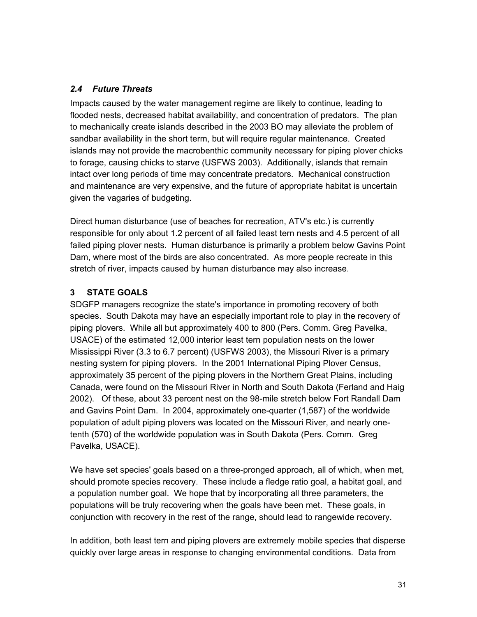### *2.4 Future Threats*

Impacts caused by the water management regime are likely to continue, leading to flooded nests, decreased habitat availability, and concentration of predators. The plan to mechanically create islands described in the 2003 BO may alleviate the problem of sandbar availability in the short term, but will require regular maintenance. Created islands may not provide the macrobenthic community necessary for piping plover chicks to forage, causing chicks to starve (USFWS 2003). Additionally, islands that remain intact over long periods of time may concentrate predators. Mechanical construction and maintenance are very expensive, and the future of appropriate habitat is uncertain given the vagaries of budgeting.

Direct human disturbance (use of beaches for recreation, ATV's etc.) is currently responsible for only about 1.2 percent of all failed least tern nests and 4.5 percent of all failed piping plover nests. Human disturbance is primarily a problem below Gavins Point Dam, where most of the birds are also concentrated. As more people recreate in this stretch of river, impacts caused by human disturbance may also increase.

# **3 STATE GOALS**

SDGFP managers recognize the state's importance in promoting recovery of both species. South Dakota may have an especially important role to play in the recovery of piping plovers. While all but approximately 400 to 800 (Pers. Comm. Greg Pavelka, USACE) of the estimated 12,000 interior least tern population nests on the lower Mississippi River (3.3 to 6.7 percent) (USFWS 2003), the Missouri River is a primary nesting system for piping plovers. In the 2001 International Piping Plover Census, approximately 35 percent of the piping plovers in the Northern Great Plains, including Canada, were found on the Missouri River in North and South Dakota (Ferland and Haig 2002). Of these, about 33 percent nest on the 98-mile stretch below Fort Randall Dam and Gavins Point Dam. In 2004, approximately one-quarter (1,587) of the worldwide population of adult piping plovers was located on the Missouri River, and nearly onetenth (570) of the worldwide population was in South Dakota (Pers. Comm. Greg Pavelka, USACE).

We have set species' goals based on a three-pronged approach, all of which, when met, should promote species recovery. These include a fledge ratio goal, a habitat goal, and a population number goal. We hope that by incorporating all three parameters, the populations will be truly recovering when the goals have been met. These goals, in conjunction with recovery in the rest of the range, should lead to rangewide recovery.

In addition, both least tern and piping plovers are extremely mobile species that disperse quickly over large areas in response to changing environmental conditions. Data from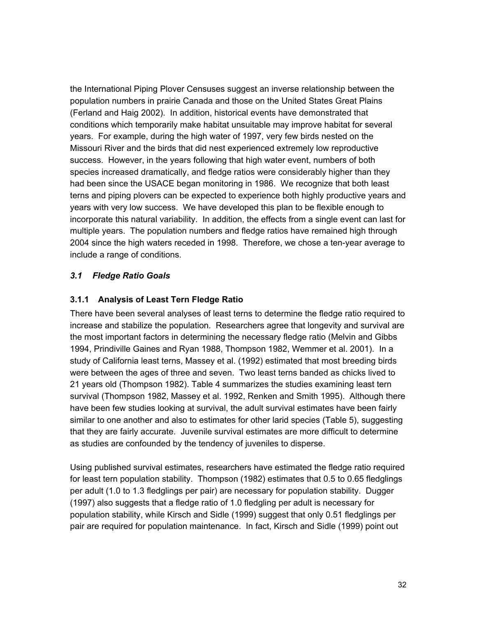the International Piping Plover Censuses suggest an inverse relationship between the population numbers in prairie Canada and those on the United States Great Plains (Ferland and Haig 2002). In addition, historical events have demonstrated that conditions which temporarily make habitat unsuitable may improve habitat for several years. For example, during the high water of 1997, very few birds nested on the Missouri River and the birds that did nest experienced extremely low reproductive success. However, in the years following that high water event, numbers of both species increased dramatically, and fledge ratios were considerably higher than they had been since the USACE began monitoring in 1986. We recognize that both least terns and piping plovers can be expected to experience both highly productive years and years with very low success. We have developed this plan to be flexible enough to incorporate this natural variability. In addition, the effects from a single event can last for multiple years. The population numbers and fledge ratios have remained high through 2004 since the high waters receded in 1998. Therefore, we chose a ten-year average to include a range of conditions.

### *3.1 Fledge Ratio Goals*

### **3.1.1 Analysis of Least Tern Fledge Ratio**

There have been several analyses of least terns to determine the fledge ratio required to increase and stabilize the population. Researchers agree that longevity and survival are the most important factors in determining the necessary fledge ratio (Melvin and Gibbs 1994, Prindiville Gaines and Ryan 1988, Thompson 1982, Wemmer et al. 2001). In a study of California least terns, Massey et al. (1992) estimated that most breeding birds were between the ages of three and seven. Two least terns banded as chicks lived to 21 years old (Thompson 1982). Table 4 summarizes the studies examining least tern survival (Thompson 1982, Massey et al. 1992, Renken and Smith 1995). Although there have been few studies looking at survival, the adult survival estimates have been fairly similar to one another and also to estimates for other larid species (Table 5), suggesting that they are fairly accurate. Juvenile survival estimates are more difficult to determine as studies are confounded by the tendency of juveniles to disperse.

Using published survival estimates, researchers have estimated the fledge ratio required for least tern population stability. Thompson (1982) estimates that 0.5 to 0.65 fledglings per adult (1.0 to 1.3 fledglings per pair) are necessary for population stability. Dugger (1997) also suggests that a fledge ratio of 1.0 fledgling per adult is necessary for population stability, while Kirsch and Sidle (1999) suggest that only 0.51 fledglings per pair are required for population maintenance. In fact, Kirsch and Sidle (1999) point out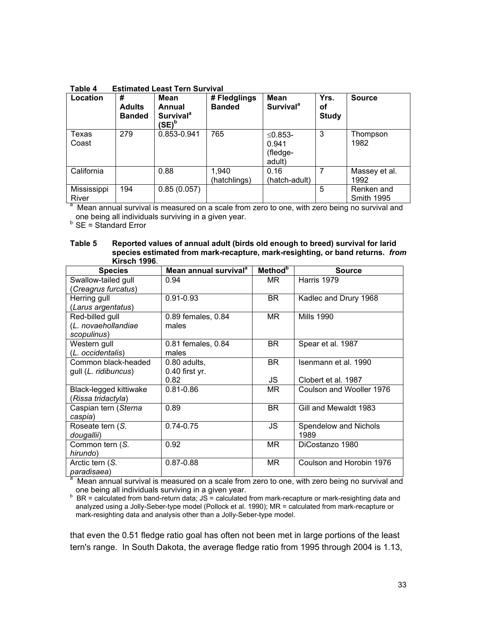| Table 4 | <b>Estimated Least Tern Survival</b> |  |  |
|---------|--------------------------------------|--|--|
|         |                                      |  |  |

| Location             | #<br><b>Adults</b><br><b>Banded</b> | <b>Mean</b><br>Annual<br><b>Survival</b> <sup>a</sup><br>'SE) <sup>b</sup> | # Fledglings<br><b>Banded</b> | <b>Mean</b><br><b>Survival</b> <sup>a</sup> | Yrs.<br>οf<br><b>Study</b> | <b>Source</b>                   |
|----------------------|-------------------------------------|----------------------------------------------------------------------------|-------------------------------|---------------------------------------------|----------------------------|---------------------------------|
| Texas<br>Coast       | 279                                 | 0.853-0.941                                                                | 765                           | ≤0.853-<br>0.941<br>(fledge-<br>adult)      | 3                          | Thompson<br>1982                |
| California           |                                     | 0.88                                                                       | 1,940<br>(hatchlings)         | 0.16<br>(hatch-adult)                       |                            | Massey et al.<br>1992           |
| Mississippi<br>River | 194                                 | 0.85(0.057)                                                                |                               |                                             | 5                          | Renken and<br><b>Smith 1995</b> |

River Smith 1995 <sup>a</sup> Mean annual survival is measured on a scale from zero to one, with zero being no survival and one being all individuals surviving in a given year.<br><sup>b</sup> SE = Standard Error

| Table 5 | Reported values of annual adult (birds old enough to breed) survival for larid |
|---------|--------------------------------------------------------------------------------|
|         | species estimated from mark-recapture, mark-resighting, or band returns. from  |
|         | <b>Kirsch 1996.</b>                                                            |

| <b>Species</b>         | Mean annual survival <sup>a</sup> | <b>Method</b> <sup>b</sup> | <b>Source</b>            |
|------------------------|-----------------------------------|----------------------------|--------------------------|
| Swallow-tailed gull    | 0.94                              | MR.                        | Harris 1979              |
| Creagrus furcatus)     |                                   |                            |                          |
| Herring gull           | $0.91 - 0.93$                     | BR.                        | Kadlec and Drury 1968    |
| (Larus argentatus)     |                                   |                            |                          |
| Red-billed gull        | 0.89 females, 0.84                | MR.                        | <b>Mills 1990</b>        |
| (L. novaehollandiae    | males                             |                            |                          |
| scopulinus)            |                                   |                            |                          |
| Western gull           | 0.81 females, 0.84                | BR.                        | Spear et al. 1987        |
| (L. occidentalis)      | males                             |                            |                          |
| Common black-headed    | 0.80 adults,                      | <b>BR</b>                  | Isenmann et al. 1990     |
| gull (L. ridibuncus)   | 0.40 first yr.                    |                            |                          |
|                        | 0.82                              | JS                         | Clobert et al. 1987      |
| Black-legged kittiwake | $0.81 - 0.86$                     | MR.                        | Coulson and Wooller 1976 |
| (Rissa tridactyla)     |                                   |                            |                          |
| Caspian tern (Sterna   | 0.89                              | <b>BR</b>                  | Gill and Mewaldt 1983    |
| caspia)                |                                   |                            |                          |
| Roseate tern (S.       | $0.74 - 0.75$                     | JS                         | Spendelow and Nichols    |
| dougallii)             |                                   |                            | 1989                     |
| Common tern (S.        | 0.92                              | MR.                        | DiCostanzo 1980          |
| hirundo)               |                                   |                            |                          |
| Arctic tern (S.        | $0.87 - 0.88$                     | MR.                        | Coulson and Horobin 1976 |
| paradisaea)            |                                   |                            |                          |

<sup>a</sup> Mean annual survival is measured on a scale from zero to one, with zero being no survival and

one being all individuals surviving in a given year.<br><sup>b</sup> BR = calculated from band-return data; JS = calculated from mark-recapture or mark-resighting data and analyzed using a Jolly-Seber-type model (Pollock et al. 1990); MR = calculated from mark-recapture or mark-resighting data and analysis other than a Jolly-Seber-type model.

that even the 0.51 fledge ratio goal has often not been met in large portions of the least tern's range. In South Dakota, the average fledge ratio from 1995 through 2004 is 1.13,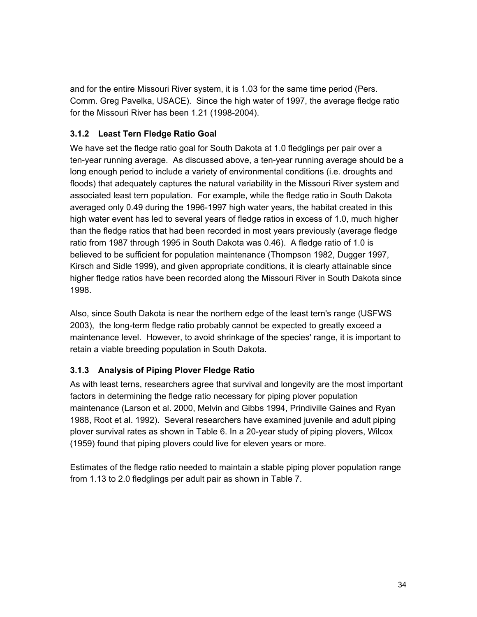and for the entire Missouri River system, it is 1.03 for the same time period (Pers. Comm. Greg Pavelka, USACE). Since the high water of 1997, the average fledge ratio for the Missouri River has been 1.21 (1998-2004).

# **3.1.2 Least Tern Fledge Ratio Goal**

We have set the fledge ratio goal for South Dakota at 1.0 fledglings per pair over a ten-year running average. As discussed above, a ten-year running average should be a long enough period to include a variety of environmental conditions (i.e. droughts and floods) that adequately captures the natural variability in the Missouri River system and associated least tern population. For example, while the fledge ratio in South Dakota averaged only 0.49 during the 1996-1997 high water years, the habitat created in this high water event has led to several years of fledge ratios in excess of 1.0, much higher than the fledge ratios that had been recorded in most years previously (average fledge ratio from 1987 through 1995 in South Dakota was 0.46). A fledge ratio of 1.0 is believed to be sufficient for population maintenance (Thompson 1982, Dugger 1997, Kirsch and Sidle 1999), and given appropriate conditions, it is clearly attainable since higher fledge ratios have been recorded along the Missouri River in South Dakota since 1998.

Also, since South Dakota is near the northern edge of the least tern's range (USFWS 2003), the long-term fledge ratio probably cannot be expected to greatly exceed a maintenance level. However, to avoid shrinkage of the species' range, it is important to retain a viable breeding population in South Dakota.

# **3.1.3 Analysis of Piping Plover Fledge Ratio**

As with least terns, researchers agree that survival and longevity are the most important factors in determining the fledge ratio necessary for piping plover population maintenance (Larson et al. 2000, Melvin and Gibbs 1994, Prindiville Gaines and Ryan 1988, Root et al. 1992). Several researchers have examined juvenile and adult piping plover survival rates as shown in Table 6. In a 20-year study of piping plovers, Wilcox (1959) found that piping plovers could live for eleven years or more.

Estimates of the fledge ratio needed to maintain a stable piping plover population range from 1.13 to 2.0 fledglings per adult pair as shown in Table 7.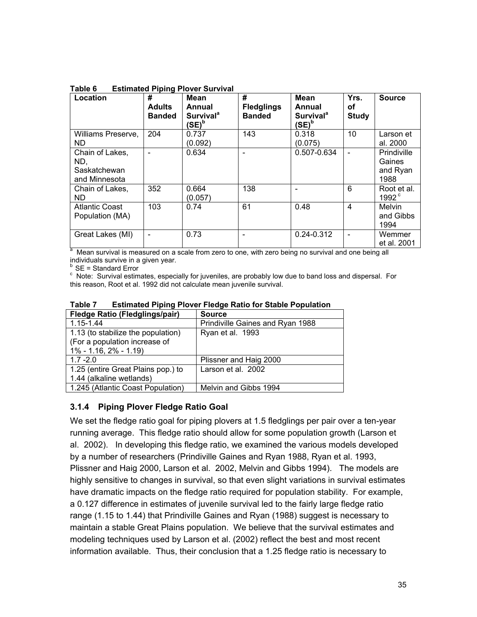| Location                                                | #<br><b>Adults</b><br><b>Banded</b> | <b>Mean</b><br>Annual<br><b>Survival</b> <sup>a</sup><br>(SE) <sup>b</sup> | #<br><b>Fledglings</b><br><b>Banded</b> | <b>Mean</b><br>Annual<br><b>Survival</b> <sup>a</sup><br>$(SE)^b$ | Yrs.<br>οf<br><b>Study</b> | <b>Source</b>                             |
|---------------------------------------------------------|-------------------------------------|----------------------------------------------------------------------------|-----------------------------------------|-------------------------------------------------------------------|----------------------------|-------------------------------------------|
| Williams Preserve,<br>ND.                               | 204                                 | 0.737<br>(0.092)                                                           | 143                                     | 0.318<br>(0.075)                                                  | 10                         | Larson et<br>al. 2000                     |
| Chain of Lakes,<br>ND,<br>Saskatchewan<br>and Minnesota |                                     | 0.634                                                                      |                                         | 0.507-0.634                                                       |                            | Prindiville<br>Gaines<br>and Ryan<br>1988 |
| Chain of Lakes,<br>ND.                                  | 352                                 | 0.664<br>(0.057)                                                           | 138                                     |                                                                   | 6                          | Root et al.<br>$1992^{\circ}$             |
| <b>Atlantic Coast</b><br>Population (MA)                | 103                                 | 0.74                                                                       | 61                                      | 0.48                                                              | $\overline{4}$             | Melvin<br>and Gibbs<br>1994               |
| Great Lakes (MI)                                        |                                     | 0.73                                                                       |                                         | $0.24 - 0.312$                                                    |                            | Wemmer<br>et al. 2001                     |

**Table 6 Estimated Piping Plover Survival**

et al. 2001 and a measured on a scale from zero to one, with zero being no survival and one being all all. 2001<br>A Mean survival is measured on a scale from zero to one, with zero being no survival and one being all individuals survive in a given year.

 $SE =$  Standard Error

<sup>c</sup> Note: Survival estimates, especially for juveniles, are probably low due to band loss and dispersal. For this reason, Root et al. 1992 did not calculate mean juvenile survival.

| <b>Fledge Ratio (Fledglings/pair)</b> | <b>Source</b>                    |  |  |
|---------------------------------------|----------------------------------|--|--|
| 1.15-1.44                             | Prindiville Gaines and Ryan 1988 |  |  |
| 1.13 (to stabilize the population)    | Ryan et al. 1993                 |  |  |
| (For a population increase of         |                                  |  |  |
| $1\% - 1.16$ , $2\% - 1.19$           |                                  |  |  |
| $1.7 - 2.0$                           | Plissner and Haig 2000           |  |  |
| 1.25 (entire Great Plains pop.) to    | Larson et al. 2002               |  |  |
| 1.44 (alkaline wetlands)              |                                  |  |  |
| 1.245 (Atlantic Coast Population)     | Melvin and Gibbs 1994            |  |  |

**Table 7 Estimated Piping Plover Fledge Ratio for Stable Population**

# **3.1.4 Piping Plover Fledge Ratio Goal**

We set the fledge ratio goal for piping plovers at 1.5 fledglings per pair over a ten-year running average. This fledge ratio should allow for some population growth (Larson et al. 2002). In developing this fledge ratio, we examined the various models developed by a number of researchers (Prindiville Gaines and Ryan 1988, Ryan et al. 1993, Plissner and Haig 2000, Larson et al. 2002, Melvin and Gibbs 1994). The models are highly sensitive to changes in survival, so that even slight variations in survival estimates have dramatic impacts on the fledge ratio required for population stability. For example, a 0.127 difference in estimates of juvenile survival led to the fairly large fledge ratio range (1.15 to 1.44) that Prindiville Gaines and Ryan (1988) suggest is necessary to maintain a stable Great Plains population. We believe that the survival estimates and modeling techniques used by Larson et al. (2002) reflect the best and most recent information available. Thus, their conclusion that a 1.25 fledge ratio is necessary to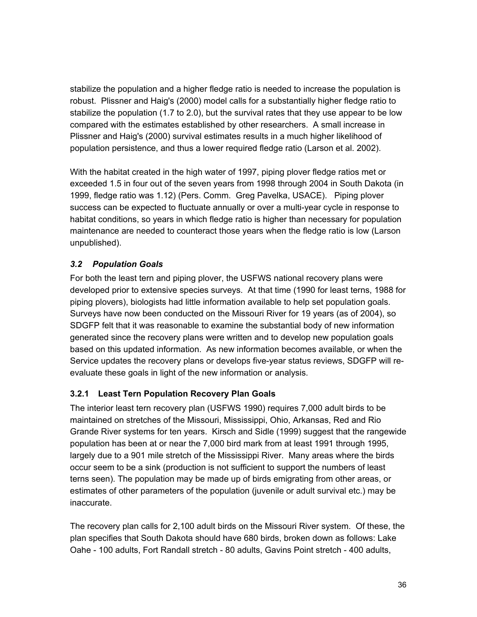stabilize the population and a higher fledge ratio is needed to increase the population is robust. Plissner and Haig's (2000) model calls for a substantially higher fledge ratio to stabilize the population (1.7 to 2.0), but the survival rates that they use appear to be low compared with the estimates established by other researchers. A small increase in Plissner and Haig's (2000) survival estimates results in a much higher likelihood of population persistence, and thus a lower required fledge ratio (Larson et al. 2002).

With the habitat created in the high water of 1997, piping plover fledge ratios met or exceeded 1.5 in four out of the seven years from 1998 through 2004 in South Dakota (in 1999, fledge ratio was 1.12) (Pers. Comm. Greg Pavelka, USACE). Piping plover success can be expected to fluctuate annually or over a multi-year cycle in response to habitat conditions, so years in which fledge ratio is higher than necessary for population maintenance are needed to counteract those years when the fledge ratio is low (Larson unpublished).

# *3.2 Population Goals*

For both the least tern and piping plover, the USFWS national recovery plans were developed prior to extensive species surveys. At that time (1990 for least terns, 1988 for piping plovers), biologists had little information available to help set population goals. Surveys have now been conducted on the Missouri River for 19 years (as of 2004), so SDGFP felt that it was reasonable to examine the substantial body of new information generated since the recovery plans were written and to develop new population goals based on this updated information. As new information becomes available, or when the Service updates the recovery plans or develops five-year status reviews, SDGFP will reevaluate these goals in light of the new information or analysis.

# **3.2.1 Least Tern Population Recovery Plan Goals**

The interior least tern recovery plan (USFWS 1990) requires 7,000 adult birds to be maintained on stretches of the Missouri, Mississippi, Ohio, Arkansas, Red and Rio Grande River systems for ten years. Kirsch and Sidle (1999) suggest that the rangewide population has been at or near the 7,000 bird mark from at least 1991 through 1995, largely due to a 901 mile stretch of the Mississippi River. Many areas where the birds occur seem to be a sink (production is not sufficient to support the numbers of least terns seen). The population may be made up of birds emigrating from other areas, or estimates of other parameters of the population (juvenile or adult survival etc.) may be inaccurate.

The recovery plan calls for 2,100 adult birds on the Missouri River system. Of these, the plan specifies that South Dakota should have 680 birds, broken down as follows: Lake Oahe - 100 adults, Fort Randall stretch - 80 adults, Gavins Point stretch - 400 adults,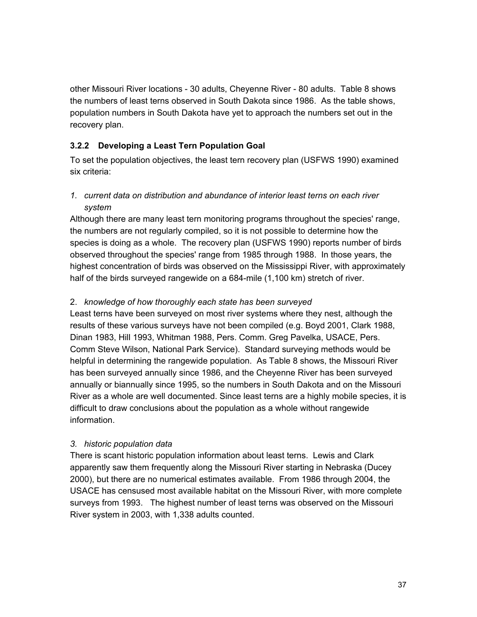other Missouri River locations - 30 adults, Cheyenne River - 80 adults. Table 8 shows the numbers of least terns observed in South Dakota since 1986. As the table shows, population numbers in South Dakota have yet to approach the numbers set out in the recovery plan.

# **3.2.2 Developing a Least Tern Population Goal**

To set the population objectives, the least tern recovery plan (USFWS 1990) examined six criteria:

*1. current data on distribution and abundance of interior least terns on each river system*

Although there are many least tern monitoring programs throughout the species' range, the numbers are not regularly compiled, so it is not possible to determine how the species is doing as a whole. The recovery plan (USFWS 1990) reports number of birds observed throughout the species' range from 1985 through 1988. In those years, the highest concentration of birds was observed on the Mississippi River, with approximately half of the birds surveyed rangewide on a 684-mile (1,100 km) stretch of river.

## 2. *knowledge of how thoroughly each state has been surveyed*

Least terns have been surveyed on most river systems where they nest, although the results of these various surveys have not been compiled (e.g. Boyd 2001, Clark 1988, Dinan 1983, Hill 1993, Whitman 1988, Pers. Comm. Greg Pavelka, USACE, Pers. Comm Steve Wilson, National Park Service). Standard surveying methods would be helpful in determining the rangewide population. As Table 8 shows, the Missouri River has been surveyed annually since 1986, and the Cheyenne River has been surveyed annually or biannually since 1995, so the numbers in South Dakota and on the Missouri River as a whole are well documented. Since least terns are a highly mobile species, it is difficult to draw conclusions about the population as a whole without rangewide information.

## *3. historic population data*

There is scant historic population information about least terns. Lewis and Clark apparently saw them frequently along the Missouri River starting in Nebraska (Ducey 2000), but there are no numerical estimates available. From 1986 through 2004, the USACE has censused most available habitat on the Missouri River, with more complete surveys from 1993. The highest number of least terns was observed on the Missouri River system in 2003, with 1,338 adults counted.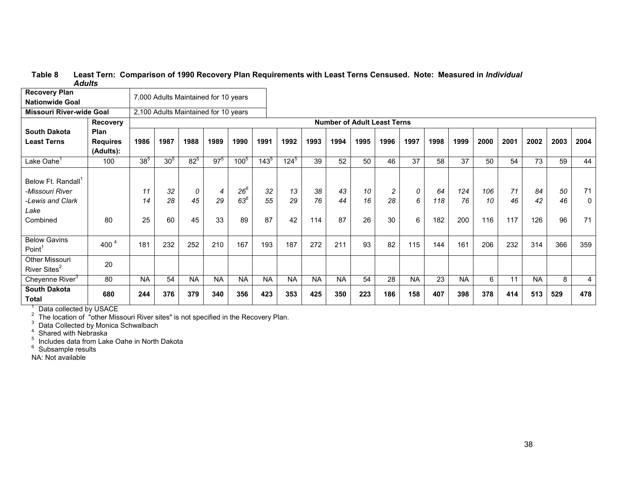#### **Table 8 Least Tern: Comparison of 1990 Recovery Plan Requirements with Least Terns Censused. Note: Measured in** *Individual Adults*

| <b>Recovery Plan</b>                                                                      |                              |                |                 | 7,000 Adults Maintained for 10 years |               |                          |                |                |                 |                |                |                                    |             |                  |                  |                  |                 |                 |                |               |
|-------------------------------------------------------------------------------------------|------------------------------|----------------|-----------------|--------------------------------------|---------------|--------------------------|----------------|----------------|-----------------|----------------|----------------|------------------------------------|-------------|------------------|------------------|------------------|-----------------|-----------------|----------------|---------------|
| <b>Nationwide Goal</b>                                                                    |                              |                |                 |                                      |               |                          |                |                |                 |                |                |                                    |             |                  |                  |                  |                 |                 |                |               |
| <b>Missouri River-wide Goal</b>                                                           |                              |                |                 | 2,100 Adults Maintained for 10 years |               |                          |                |                |                 |                |                |                                    |             |                  |                  |                  |                 |                 |                |               |
|                                                                                           | Recovery                     |                |                 |                                      |               |                          |                |                |                 |                |                | <b>Number of Adult Least Terns</b> |             |                  |                  |                  |                 |                 |                |               |
| <b>South Dakota</b>                                                                       | Plan                         |                |                 |                                      |               |                          |                |                |                 |                |                |                                    |             |                  |                  |                  |                 |                 |                |               |
| <b>Least Terns</b>                                                                        | <b>Requires</b><br>(Adults): | 1986           | 1987            | 1988                                 | 1989          | 1990                     | 1991           | 1992           | 1993            | 1994           | 1995           | 1996                               | 1997        | 1998             | 1999             | 2000             | 2001            | 2002            | 2003           | 2004          |
| Lake Oahe <sup>1</sup>                                                                    | 100                          | $38^{5}$       | 30 <sup>5</sup> | $82^{5}$                             | $97^{5}$      | 100 <sup>5</sup>         | $143^{5}$      | $124^{5}$      | 39              | 52             | 50             | 46                                 | 37          | 58               | 37               | 50               | 54              | 73              | 59             | 44            |
| Below Ft. Randall <sup>1</sup><br>-Missouri River<br>-Lewis and Clark<br>Lake<br>Combined | 80                           | 11<br>14<br>25 | 32<br>28<br>60  | 0<br>45<br>45                        | 4<br>29<br>33 | $26^6$<br>$63^{6}$<br>89 | 32<br>55<br>87 | 13<br>29<br>42 | 38<br>76<br>114 | 43<br>44<br>87 | 10<br>16<br>26 | $\sqrt{2}$<br>28<br>30             | 0<br>6<br>6 | 64<br>118<br>182 | 124<br>76<br>200 | 106<br>10<br>116 | 71<br>46<br>117 | 84<br>42<br>126 | 50<br>46<br>96 | 71<br>0<br>71 |
| <b>Below Gavins</b><br>Point <sup>1</sup>                                                 | 400 $^{4}$                   | 181            | 232             | 252                                  | 210           | 167                      | 193            | 187            | 272             | 211            | 93             | 82                                 | 115         | 144              | 161              | 206              | 232             | 314             | 366            | 359           |
| <b>Other Missouri</b><br>River Sites <sup>2</sup>                                         | 20                           |                |                 |                                      |               |                          |                |                |                 |                |                |                                    |             |                  |                  |                  |                 |                 |                |               |
| Cheyenne River <sup>3</sup>                                                               | 80                           | <b>NA</b>      | 54              | <b>NA</b>                            | <b>NA</b>     | <b>NA</b>                | <b>NA</b>      | <b>NA</b>      | <b>NA</b>       | <b>NA</b>      | 54             | 28                                 | <b>NA</b>   | 23               | <b>NA</b>        | 6                | 11              | <b>NA</b>       | 8              | 4             |
| <b>South Dakota</b><br>Total                                                              | 680                          | 244            | 376             | 379                                  | 340           | 356                      | 423            | 353            | 425             | 350            | 223            | 186                                | 158         | 407              | 398              | 378              | 414             | 513             | 529            | 478           |

<sup>1</sup> Data collected by USACE<br>
<sup>2</sup> The location of "other Missouri River sites" is not specified in the Recovery Plan.<br>
<sup>3</sup> Data Collected by Monica Schwalbach<br>
<sup>4</sup> Shared with Nebraska<br>
<sup>5</sup> Includes data from Lake Oahe in

<sup>6</sup> Subsample results

NA: Not available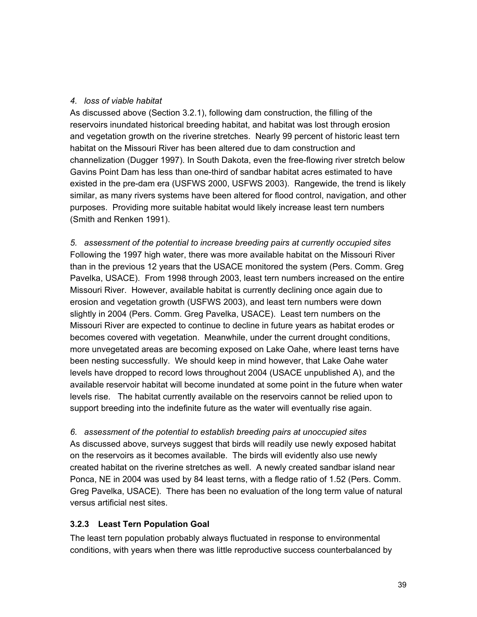## *4. loss of viable habitat*

As discussed above (Section 3.2.1), following dam construction, the filling of the reservoirs inundated historical breeding habitat, and habitat was lost through erosion and vegetation growth on the riverine stretches. Nearly 99 percent of historic least tern habitat on the Missouri River has been altered due to dam construction and channelization (Dugger 1997). In South Dakota, even the free-flowing river stretch below Gavins Point Dam has less than one-third of sandbar habitat acres estimated to have existed in the pre-dam era (USFWS 2000, USFWS 2003). Rangewide, the trend is likely similar, as many rivers systems have been altered for flood control, navigation, and other purposes. Providing more suitable habitat would likely increase least tern numbers (Smith and Renken 1991).

*5. assessment of the potential to increase breeding pairs at currently occupied sites* Following the 1997 high water, there was more available habitat on the Missouri River than in the previous 12 years that the USACE monitored the system (Pers. Comm. Greg Pavelka, USACE). From 1998 through 2003, least tern numbers increased on the entire Missouri River. However, available habitat is currently declining once again due to erosion and vegetation growth (USFWS 2003), and least tern numbers were down slightly in 2004 (Pers. Comm. Greg Pavelka, USACE). Least tern numbers on the Missouri River are expected to continue to decline in future years as habitat erodes or becomes covered with vegetation. Meanwhile, under the current drought conditions, more unvegetated areas are becoming exposed on Lake Oahe, where least terns have been nesting successfully. We should keep in mind however, that Lake Oahe water levels have dropped to record lows throughout 2004 (USACE unpublished A), and the available reservoir habitat will become inundated at some point in the future when water levels rise. The habitat currently available on the reservoirs cannot be relied upon to support breeding into the indefinite future as the water will eventually rise again.

*6. assessment of the potential to establish breeding pairs at unoccupied sites* As discussed above, surveys suggest that birds will readily use newly exposed habitat on the reservoirs as it becomes available. The birds will evidently also use newly created habitat on the riverine stretches as well. A newly created sandbar island near Ponca, NE in 2004 was used by 84 least terns, with a fledge ratio of 1.52 (Pers. Comm. Greg Pavelka, USACE). There has been no evaluation of the long term value of natural versus artificial nest sites.

## **3.2.3 Least Tern Population Goal**

The least tern population probably always fluctuated in response to environmental conditions, with years when there was little reproductive success counterbalanced by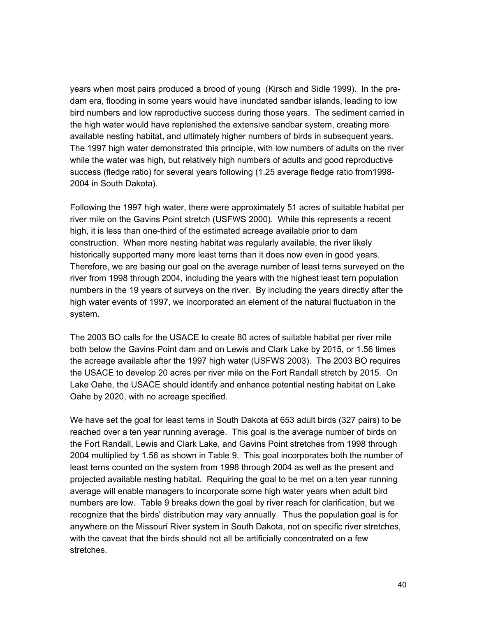years when most pairs produced a brood of young (Kirsch and Sidle 1999). In the predam era, flooding in some years would have inundated sandbar islands, leading to low bird numbers and low reproductive success during those years. The sediment carried in the high water would have replenished the extensive sandbar system, creating more available nesting habitat, and ultimately higher numbers of birds in subsequent years. The 1997 high water demonstrated this principle, with low numbers of adults on the river while the water was high, but relatively high numbers of adults and good reproductive success (fledge ratio) for several years following (1.25 average fledge ratio from1998- 2004 in South Dakota).

Following the 1997 high water, there were approximately 51 acres of suitable habitat per river mile on the Gavins Point stretch (USFWS 2000). While this represents a recent high, it is less than one-third of the estimated acreage available prior to dam construction. When more nesting habitat was regularly available, the river likely historically supported many more least terns than it does now even in good years. Therefore, we are basing our goal on the average number of least terns surveyed on the river from 1998 through 2004, including the years with the highest least tern population numbers in the 19 years of surveys on the river. By including the years directly after the high water events of 1997, we incorporated an element of the natural fluctuation in the system.

The 2003 BO calls for the USACE to create 80 acres of suitable habitat per river mile both below the Gavins Point dam and on Lewis and Clark Lake by 2015, or 1.56 times the acreage available after the 1997 high water (USFWS 2003). The 2003 BO requires the USACE to develop 20 acres per river mile on the Fort Randall stretch by 2015. On Lake Oahe, the USACE should identify and enhance potential nesting habitat on Lake Oahe by 2020, with no acreage specified.

We have set the goal for least terns in South Dakota at 653 adult birds (327 pairs) to be reached over a ten year running average. This goal is the average number of birds on the Fort Randall, Lewis and Clark Lake, and Gavins Point stretches from 1998 through 2004 multiplied by 1.56 as shown in Table 9. This goal incorporates both the number of least terns counted on the system from 1998 through 2004 as well as the present and projected available nesting habitat. Requiring the goal to be met on a ten year running average will enable managers to incorporate some high water years when adult bird numbers are low. Table 9 breaks down the goal by river reach for clarification, but we recognize that the birds' distribution may vary annually. Thus the population goal is for anywhere on the Missouri River system in South Dakota, not on specific river stretches, with the caveat that the birds should not all be artificially concentrated on a few stretches.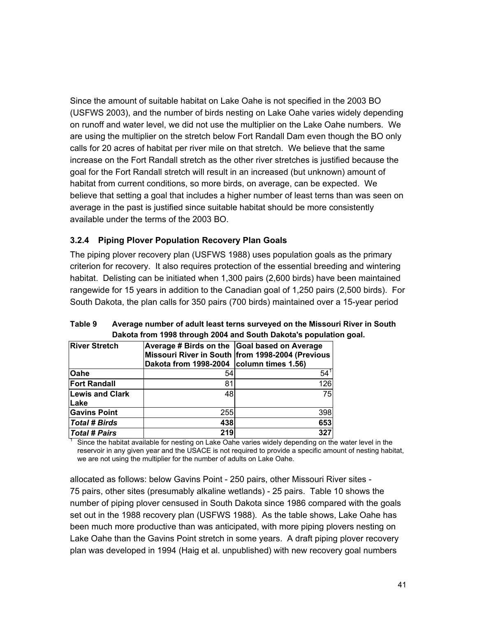Since the amount of suitable habitat on Lake Oahe is not specified in the 2003 BO (USFWS 2003), and the number of birds nesting on Lake Oahe varies widely depending on runoff and water level, we did not use the multiplier on the Lake Oahe numbers. We are using the multiplier on the stretch below Fort Randall Dam even though the BO only calls for 20 acres of habitat per river mile on that stretch. We believe that the same increase on the Fort Randall stretch as the other river stretches is justified because the goal for the Fort Randall stretch will result in an increased (but unknown) amount of habitat from current conditions, so more birds, on average, can be expected. We believe that setting a goal that includes a higher number of least terns than was seen on average in the past is justified since suitable habitat should be more consistently available under the terms of the 2003 BO.

## **3.2.4 Piping Plover Population Recovery Plan Goals**

The piping plover recovery plan (USFWS 1988) uses population goals as the primary criterion for recovery. It also requires protection of the essential breeding and wintering habitat. Delisting can be initiated when 1,300 pairs (2,600 birds) have been maintained rangewide for 15 years in addition to the Canadian goal of 1,250 pairs (2,500 birds). For South Dakota, the plan calls for 350 pairs (700 birds) maintained over a 15-year period

| <b>River Stretch</b>   | Average # Birds on the Goal based on Average<br>Dakota from 1998-2004   column times 1.56) | Missouri River in South from 1998-2004 (Previous |
|------------------------|--------------------------------------------------------------------------------------------|--------------------------------------------------|
| <b>Oahe</b>            | 54                                                                                         | $54^{\circ}$                                     |
| <b>Fort Randall</b>    | 81                                                                                         | 126                                              |
| <b>Lewis and Clark</b> | 48                                                                                         | 75                                               |
| Lake                   |                                                                                            |                                                  |
| <b>Gavins Point</b>    | 255                                                                                        | 398                                              |
| <b>Total # Birds</b>   | 438                                                                                        | 653                                              |
| Total # Pairs          | 219                                                                                        | 327                                              |

**Table 9 Average number of adult least terns surveyed on the Missouri River in South Dakota from 1998 through 2004 and South Dakota's population goal.**

Since the habitat available for nesting on Lake Oahe varies widely depending on the water level in the reservoir in any given year and the USACE is not required to provide a specific amount of nesting habitat, we are not using the multiplier for the number of adults on Lake Oahe.

allocated as follows: below Gavins Point - 250 pairs, other Missouri River sites - 75 pairs, other sites (presumably alkaline wetlands) - 25 pairs. Table 10 shows the number of piping plover censused in South Dakota since 1986 compared with the goals set out in the 1988 recovery plan (USFWS 1988). As the table shows, Lake Oahe has been much more productive than was anticipated, with more piping plovers nesting on Lake Oahe than the Gavins Point stretch in some years. A draft piping plover recovery plan was developed in 1994 (Haig et al. unpublished) with new recovery goal numbers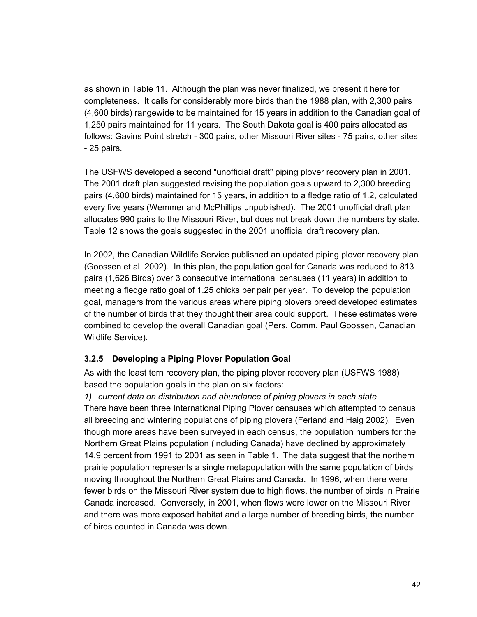as shown in Table 11. Although the plan was never finalized, we present it here for completeness. It calls for considerably more birds than the 1988 plan, with 2,300 pairs (4,600 birds) rangewide to be maintained for 15 years in addition to the Canadian goal of 1,250 pairs maintained for 11 years. The South Dakota goal is 400 pairs allocated as follows: Gavins Point stretch - 300 pairs, other Missouri River sites - 75 pairs, other sites - 25 pairs.

The USFWS developed a second "unofficial draft" piping plover recovery plan in 2001. The 2001 draft plan suggested revising the population goals upward to 2,300 breeding pairs (4,600 birds) maintained for 15 years, in addition to a fledge ratio of 1.2, calculated every five years (Wemmer and McPhillips unpublished). The 2001 unofficial draft plan allocates 990 pairs to the Missouri River, but does not break down the numbers by state. Table 12 shows the goals suggested in the 2001 unofficial draft recovery plan.

In 2002, the Canadian Wildlife Service published an updated piping plover recovery plan (Goossen et al. 2002). In this plan, the population goal for Canada was reduced to 813 pairs (1,626 Birds) over 3 consecutive international censuses (11 years) in addition to meeting a fledge ratio goal of 1.25 chicks per pair per year. To develop the population goal, managers from the various areas where piping plovers breed developed estimates of the number of birds that they thought their area could support. These estimates were combined to develop the overall Canadian goal (Pers. Comm. Paul Goossen, Canadian Wildlife Service).

## **3.2.5 Developing a Piping Plover Population Goal**

As with the least tern recovery plan, the piping plover recovery plan (USFWS 1988) based the population goals in the plan on six factors:

*1) current data on distribution and abundance of piping plovers in each state* There have been three International Piping Plover censuses which attempted to census all breeding and wintering populations of piping plovers (Ferland and Haig 2002). Even though more areas have been surveyed in each census, the population numbers for the Northern Great Plains population (including Canada) have declined by approximately 14.9 percent from 1991 to 2001 as seen in Table 1. The data suggest that the northern prairie population represents a single metapopulation with the same population of birds moving throughout the Northern Great Plains and Canada. In 1996, when there were fewer birds on the Missouri River system due to high flows, the number of birds in Prairie Canada increased. Conversely, in 2001, when flows were lower on the Missouri River and there was more exposed habitat and a large number of breeding birds, the number of birds counted in Canada was down.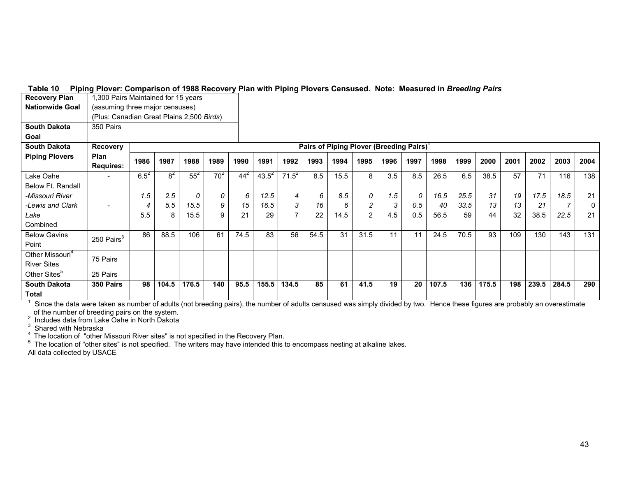| <b>Nationwide Goal</b>                            | (assuming three major censuses)                                         |           |       |        |        |          |            |                |      |      |      |      |      |       |      |       |      |       |       |      |
|---------------------------------------------------|-------------------------------------------------------------------------|-----------|-------|--------|--------|----------|------------|----------------|------|------|------|------|------|-------|------|-------|------|-------|-------|------|
|                                                   | (Plus: Canadian Great Plains 2,500 Birds)                               |           |       |        |        |          |            |                |      |      |      |      |      |       |      |       |      |       |       |      |
| <b>South Dakota</b>                               | 350 Pairs                                                               |           |       |        |        |          |            |                |      |      |      |      |      |       |      |       |      |       |       |      |
| Goal                                              |                                                                         |           |       |        |        |          |            |                |      |      |      |      |      |       |      |       |      |       |       |      |
| <b>South Dakota</b>                               | Pairs of Piping Plover (Breeding Pairs) <sup>1</sup><br><b>Recovery</b> |           |       |        |        |          |            |                |      |      |      |      |      |       |      |       |      |       |       |      |
| <b>Piping Plovers</b>                             | <b>Plan</b><br><b>Requires:</b>                                         | 1986      | 1987  | 1988   | 1989   | 1990     | 1991       | 1992           | 1993 | 1994 | 1995 | 1996 | 1997 | 1998  | 1999 | 2000  | 2001 | 2002  | 2003  | 2004 |
| Lake Oahe                                         | $\overline{\phantom{a}}$                                                | $6.5^{2}$ | $8^2$ | $55^2$ | $70^2$ | $44^{2}$ | $43.5^{2}$ | $71.5^2$       | 8.5  | 15.5 | 8    | 3.5  | 8.5  | 26.5  | 6.5  | 38.5  | 57   | 71    | 116   | 138  |
| Below Ft. Randall                                 |                                                                         |           |       |        |        |          |            |                |      |      |      |      |      |       |      |       |      |       |       |      |
| -Missouri River                                   |                                                                         | 1.5       | 2.5   | 0      | 0      | 6        | 12.5       | 4              | 6    | 8.5  | 0    | 1.5  | 0    | 16.5  | 25.5 | 31    | 19   | 17.5  | 18.5  | 21   |
| -Lewis and Clark                                  | $\overline{\phantom{0}}$                                                | 4         | 5.5   | 15.5   | 9      | 15       | 16.5       | 3              | 16   | 6    |      | 3    | 0.5  | 40    | 33.5 | 13    | 13   | 21    |       | 0    |
| Lake                                              |                                                                         | 5.5       | 8     | 15.5   | 9      | 21       | 29         | $\overline{ }$ | 22   | 14.5 | 2    | 4.5  | 0.5  | 56.5  | 59   | 44    | 32   | 38.5  | 22.5  | 21   |
| Combined                                          |                                                                         |           |       |        |        |          |            |                |      |      |      |      |      |       |      |       |      |       |       |      |
| <b>Below Gavins</b><br>Point                      | 250 Pairs <sup>3</sup>                                                  | 86        | 88.5  | 106    | 61     | 74.5     | 83         | 56             | 54.5 | 31   | 31.5 | 11   | 11   | 24.5  | 70.5 | 93    | 109  | 130   | 143   | 131  |
| Other Missouri <sup>4</sup><br><b>River Sites</b> | 75 Pairs                                                                |           |       |        |        |          |            |                |      |      |      |      |      |       |      |       |      |       |       |      |
| Other Sites <sup>5</sup>                          | 25 Pairs                                                                |           |       |        |        |          |            |                |      |      |      |      |      |       |      |       |      |       |       |      |
| <b>South Dakota</b><br>Total                      | 350 Pairs                                                               | 98        | 104.5 | 176.5  | 140    | 95.5     | 155.5      | 134.5          | 85   | 61   | 41.5 | 19   | 20   | 107.5 | 136  | 175.5 | 198  | 239.5 | 284.5 | 290  |

#### **Table 10 Piping Plover: Comparison of 1988 Recovery Plan with Piping Plovers Censused. Note: Measured in** *Breeding Pairs* **Recovery Plan** 1,300 Pairs Maintained for 15 years

Total <u>Interconduct the sensual and the sensual tend of the state of a state of a dults censused was simply divided by two. Hence these figures are probably an overestimate in the state of adults censused was simply divide</u>

of the number of breeding pairs on the system.<br><sup>2</sup> Includes data from Lake Oahe in North Dakota<br><sup>3</sup> Shared with Nebraska<br><sup>4</sup> The location of "other Missouri River sites" is not specified in the Recovery Plan.

 $^5$  The location of "other sites" is not specified. The writers may have intended this to encompass nesting at alkaline lakes.

All data collected by USACE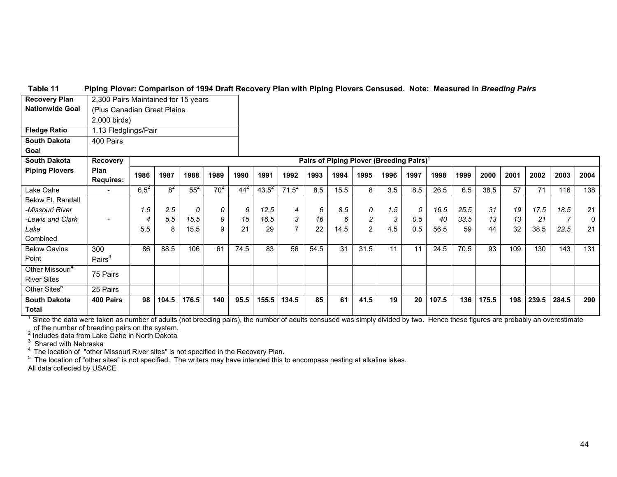#### **Table 11 Piping Plover: Comparison of 1994 Draft Recovery Plan with Piping Plovers Censused. Note: Measured in** *Breeding Pairs*

| <b>Recovery Plan</b>                                                                                                                                                          | 2,300 Pairs Maintained for 15 years |           |       |        |        |                                                      |            |          |      |      |                |                 |      |       |      |       |      |       |       |      |
|-------------------------------------------------------------------------------------------------------------------------------------------------------------------------------|-------------------------------------|-----------|-------|--------|--------|------------------------------------------------------|------------|----------|------|------|----------------|-----------------|------|-------|------|-------|------|-------|-------|------|
| <b>Nationwide Goal</b>                                                                                                                                                        | (Plus Canadian Great Plains         |           |       |        |        |                                                      |            |          |      |      |                |                 |      |       |      |       |      |       |       |      |
|                                                                                                                                                                               | 2,000 birds)                        |           |       |        |        |                                                      |            |          |      |      |                |                 |      |       |      |       |      |       |       |      |
| <b>Fledge Ratio</b>                                                                                                                                                           | 1.13 Fledglings/Pair                |           |       |        |        |                                                      |            |          |      |      |                |                 |      |       |      |       |      |       |       |      |
| <b>South Dakota</b>                                                                                                                                                           | 400 Pairs                           |           |       |        |        |                                                      |            |          |      |      |                |                 |      |       |      |       |      |       |       |      |
| Goal                                                                                                                                                                          |                                     |           |       |        |        |                                                      |            |          |      |      |                |                 |      |       |      |       |      |       |       |      |
| <b>South Dakota</b>                                                                                                                                                           | <b>Recovery</b>                     |           |       |        |        | Pairs of Piping Plover (Breeding Pairs) <sup>1</sup> |            |          |      |      |                |                 |      |       |      |       |      |       |       |      |
| <b>Piping Plovers</b>                                                                                                                                                         | <b>Plan</b><br><b>Requires:</b>     | 1986      | 1987  | 1988   | 1989   | 1990                                                 | 1991       | 1992     | 1993 | 1994 | 1995           | 1996            | 1997 | 1998  | 1999 | 2000  | 2001 | 2002  | 2003  | 2004 |
| Lake Oahe                                                                                                                                                                     |                                     | $6.5^{2}$ | $8^2$ | $55^2$ | $70^2$ | $44^{2}$                                             | $43.5^{2}$ | $71.5^2$ | 8.5  | 15.5 | 8              | 3.5             | 8.5  | 26.5  | 6.5  | 38.5  | 57   | 71    | 116   | 138  |
| Below Ft. Randall                                                                                                                                                             |                                     |           |       |        |        |                                                      |            |          |      |      |                |                 |      |       |      |       |      |       |       |      |
| -Missouri River                                                                                                                                                               |                                     | 1.5       | 2.5   | 0      | 0      | 6                                                    | 12.5       | 4        | 6    | 8.5  | 0              | 1.5             | 0    | 16.5  | 25.5 | 31    | 19   | 17.5  | 18.5  | 21   |
| -Lewis and Clark                                                                                                                                                              |                                     | 4         | 5.5   | 15.5   | 9      | 15                                                   | 16.5       | 3        | 16   | 6    | $\overline{c}$ | 3               | 0.5  | 40    | 33.5 | 13    | 13   | 21    |       | 0    |
| Lake                                                                                                                                                                          |                                     | 5.5       | 8     | 15.5   | 9      | 21                                                   | 29         |          | 22   | 14.5 | 2              | 4.5             | 0.5  | 56.5  | 59   | 44    | 32   | 38.5  | 22.5  | 21   |
| Combined                                                                                                                                                                      |                                     |           |       |        |        |                                                      |            |          |      |      |                |                 |      |       |      |       |      |       |       |      |
| <b>Below Gavins</b>                                                                                                                                                           | 300                                 | 86        | 88.5  | 106    | 61     | 74.5                                                 | 83         | 56       | 54.5 | 31   | 31.5           | 11              | 11   | 24.5  | 70.5 | 93    | 109  | 130   | 143   | 131  |
| Point                                                                                                                                                                         | Pairs $3$                           |           |       |        |        |                                                      |            |          |      |      |                |                 |      |       |      |       |      |       |       |      |
| Other Missouri <sup>4</sup>                                                                                                                                                   | 75 Pairs                            |           |       |        |        |                                                      |            |          |      |      |                |                 |      |       |      |       |      |       |       |      |
| <b>River Sites</b>                                                                                                                                                            |                                     |           |       |        |        |                                                      |            |          |      |      |                |                 |      |       |      |       |      |       |       |      |
| Other Sites <sup>5</sup>                                                                                                                                                      | 25 Pairs                            |           |       |        |        |                                                      |            |          |      |      |                |                 |      |       |      |       |      |       |       |      |
| <b>South Dakota</b>                                                                                                                                                           | 400 Pairs                           | 98        | 104.5 | 176.5  | 140    | 95.5                                                 | 155.5      | 134.5    | 85   | 61   | 41.5           | $\overline{19}$ | 20   | 107.5 | 136  | 175.5 | 198  | 239.5 | 284.5 | 290  |
| Total                                                                                                                                                                         |                                     |           |       |        |        |                                                      |            |          |      |      |                |                 |      |       |      |       |      |       |       |      |
| Since the data were taken as number of adults (not breeding pairs), the number of adults censused was simply divided by two. Hence these figures are probably an overestimate |                                     |           |       |        |        |                                                      |            |          |      |      |                |                 |      |       |      |       |      |       |       |      |

of the number of breeding pairs on the system.<br><sup>2</sup> Includes data from Lake Oahe in North Dakota

 $^3$  Shared with Nebraska<br> $^4$  The location of "other Missouri River sites" is not specified in the Recovery Plan.

 $5$  The location of "other sites" is not specified. The writers may have intended this to encompass nesting at alkaline lakes. All data collected by USACE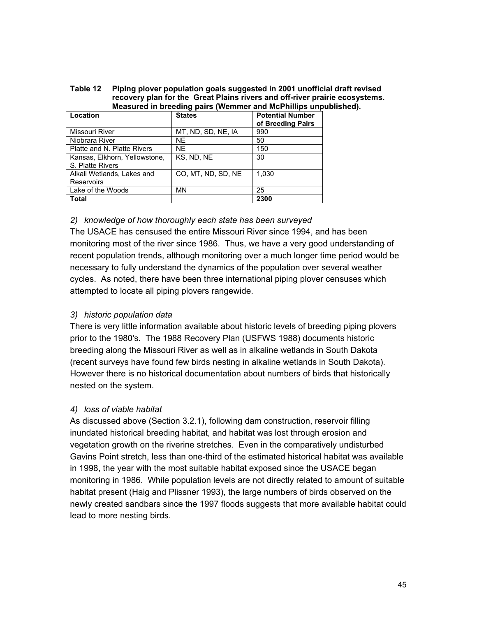| Table 12 | Piping plover population goals suggested in 2001 unofficial draft revised   |
|----------|-----------------------------------------------------------------------------|
|          | recovery plan for the Great Plains rivers and off-river prairie ecosystems. |
|          | Measured in breeding pairs (Wemmer and McPhillips unpublished).             |

| Location                                          | <b>States</b>      | <b>Potential Number</b><br>of Breeding Pairs |
|---------------------------------------------------|--------------------|----------------------------------------------|
| Missouri River                                    | MT, ND, SD, NE, IA | 990                                          |
| Niobrara River                                    | <b>NE</b>          | 50                                           |
| Platte and N. Platte Rivers                       | NE.                | 150                                          |
| Kansas, Elkhorn, Yellowstone,<br>S. Platte Rivers | KS. ND. NE         | 30                                           |
| Alkali Wetlands, Lakes and<br>Reservoirs          | CO, MT, ND, SD, NE | 1.030                                        |
| Lake of the Woods                                 | MN                 | 25                                           |
| Total                                             |                    | 2300                                         |

## *2) knowledge of how thoroughly each state has been surveyed*

The USACE has censused the entire Missouri River since 1994, and has been monitoring most of the river since 1986. Thus, we have a very good understanding of recent population trends, although monitoring over a much longer time period would be necessary to fully understand the dynamics of the population over several weather cycles. As noted, there have been three international piping plover censuses which attempted to locate all piping plovers rangewide.

# *3) historic population data*

There is very little information available about historic levels of breeding piping plovers prior to the 1980's. The 1988 Recovery Plan (USFWS 1988) documents historic breeding along the Missouri River as well as in alkaline wetlands in South Dakota (recent surveys have found few birds nesting in alkaline wetlands in South Dakota). However there is no historical documentation about numbers of birds that historically nested on the system.

# *4) loss of viable habitat*

As discussed above (Section 3.2.1), following dam construction, reservoir filling inundated historical breeding habitat, and habitat was lost through erosion and vegetation growth on the riverine stretches. Even in the comparatively undisturbed Gavins Point stretch, less than one-third of the estimated historical habitat was available in 1998, the year with the most suitable habitat exposed since the USACE began monitoring in 1986. While population levels are not directly related to amount of suitable habitat present (Haig and Plissner 1993), the large numbers of birds observed on the newly created sandbars since the 1997 floods suggests that more available habitat could lead to more nesting birds.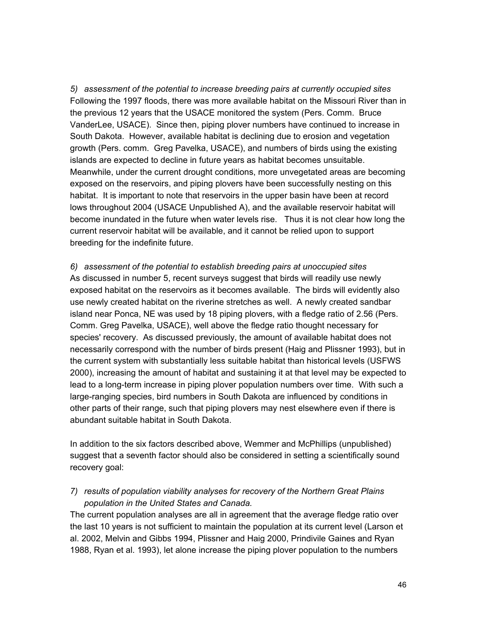*5) assessment of the potential to increase breeding pairs at currently occupied sites* Following the 1997 floods, there was more available habitat on the Missouri River than in the previous 12 years that the USACE monitored the system (Pers. Comm. Bruce VanderLee, USACE). Since then, piping plover numbers have continued to increase in South Dakota. However, available habitat is declining due to erosion and vegetation growth (Pers. comm. Greg Pavelka, USACE), and numbers of birds using the existing islands are expected to decline in future years as habitat becomes unsuitable. Meanwhile, under the current drought conditions, more unvegetated areas are becoming exposed on the reservoirs, and piping plovers have been successfully nesting on this habitat. It is important to note that reservoirs in the upper basin have been at record lows throughout 2004 (USACE Unpublished A), and the available reservoir habitat will become inundated in the future when water levels rise. Thus it is not clear how long the current reservoir habitat will be available, and it cannot be relied upon to support breeding for the indefinite future.

*6) assessment of the potential to establish breeding pairs at unoccupied sites* As discussed in number 5, recent surveys suggest that birds will readily use newly exposed habitat on the reservoirs as it becomes available. The birds will evidently also use newly created habitat on the riverine stretches as well. A newly created sandbar island near Ponca, NE was used by 18 piping plovers, with a fledge ratio of 2.56 (Pers. Comm. Greg Pavelka, USACE), well above the fledge ratio thought necessary for species' recovery. As discussed previously, the amount of available habitat does not necessarily correspond with the number of birds present (Haig and Plissner 1993), but in the current system with substantially less suitable habitat than historical levels (USFWS 2000), increasing the amount of habitat and sustaining it at that level may be expected to lead to a long-term increase in piping plover population numbers over time. With such a large-ranging species, bird numbers in South Dakota are influenced by conditions in other parts of their range, such that piping plovers may nest elsewhere even if there is abundant suitable habitat in South Dakota.

In addition to the six factors described above, Wemmer and McPhillips (unpublished) suggest that a seventh factor should also be considered in setting a scientifically sound recovery goal:

*7) results of population viability analyses for recovery of the Northern Great Plains population in the United States and Canada.*

The current population analyses are all in agreement that the average fledge ratio over the last 10 years is not sufficient to maintain the population at its current level (Larson et al. 2002, Melvin and Gibbs 1994, Plissner and Haig 2000, Prindivile Gaines and Ryan 1988, Ryan et al. 1993), let alone increase the piping plover population to the numbers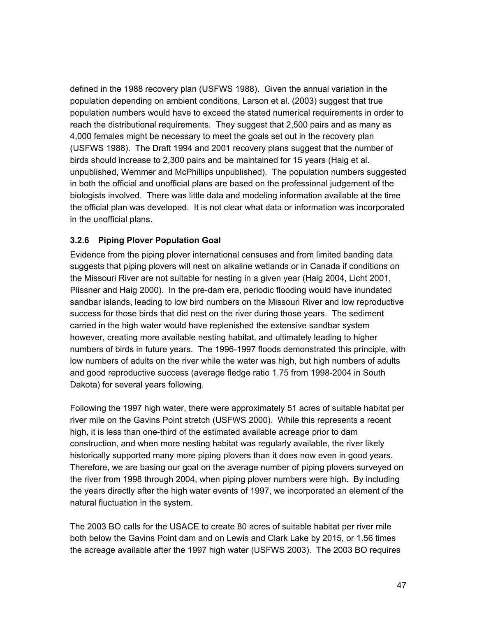defined in the 1988 recovery plan (USFWS 1988). Given the annual variation in the population depending on ambient conditions, Larson et al. (2003) suggest that true population numbers would have to exceed the stated numerical requirements in order to reach the distributional requirements. They suggest that 2,500 pairs and as many as 4,000 females might be necessary to meet the goals set out in the recovery plan (USFWS 1988). The Draft 1994 and 2001 recovery plans suggest that the number of birds should increase to 2,300 pairs and be maintained for 15 years (Haig et al. unpublished, Wemmer and McPhillips unpublished). The population numbers suggested in both the official and unofficial plans are based on the professional judgement of the biologists involved. There was little data and modeling information available at the time the official plan was developed. It is not clear what data or information was incorporated in the unofficial plans.

# **3.2.6 Piping Plover Population Goal**

Evidence from the piping plover international censuses and from limited banding data suggests that piping plovers will nest on alkaline wetlands or in Canada if conditions on the Missouri River are not suitable for nesting in a given year (Haig 2004, Licht 2001, Plissner and Haig 2000). In the pre-dam era, periodic flooding would have inundated sandbar islands, leading to low bird numbers on the Missouri River and low reproductive success for those birds that did nest on the river during those years. The sediment carried in the high water would have replenished the extensive sandbar system however, creating more available nesting habitat, and ultimately leading to higher numbers of birds in future years. The 1996-1997 floods demonstrated this principle, with low numbers of adults on the river while the water was high, but high numbers of adults and good reproductive success (average fledge ratio 1.75 from 1998-2004 in South Dakota) for several years following.

Following the 1997 high water, there were approximately 51 acres of suitable habitat per river mile on the Gavins Point stretch (USFWS 2000). While this represents a recent high, it is less than one-third of the estimated available acreage prior to dam construction, and when more nesting habitat was regularly available, the river likely historically supported many more piping plovers than it does now even in good years. Therefore, we are basing our goal on the average number of piping plovers surveyed on the river from 1998 through 2004, when piping plover numbers were high. By including the years directly after the high water events of 1997, we incorporated an element of the natural fluctuation in the system.

The 2003 BO calls for the USACE to create 80 acres of suitable habitat per river mile both below the Gavins Point dam and on Lewis and Clark Lake by 2015, or 1.56 times the acreage available after the 1997 high water (USFWS 2003). The 2003 BO requires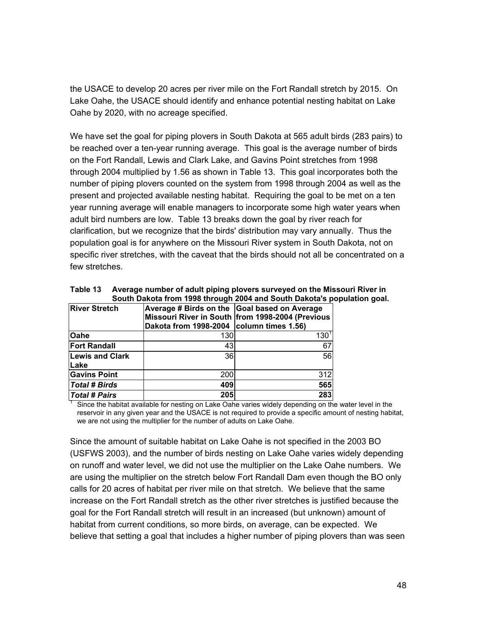the USACE to develop 20 acres per river mile on the Fort Randall stretch by 2015. On Lake Oahe, the USACE should identify and enhance potential nesting habitat on Lake Oahe by 2020, with no acreage specified.

We have set the goal for piping plovers in South Dakota at 565 adult birds (283 pairs) to be reached over a ten-year running average. This goal is the average number of birds on the Fort Randall, Lewis and Clark Lake, and Gavins Point stretches from 1998 through 2004 multiplied by 1.56 as shown in Table 13. This goal incorporates both the number of piping plovers counted on the system from 1998 through 2004 as well as the present and projected available nesting habitat. Requiring the goal to be met on a ten year running average will enable managers to incorporate some high water years when adult bird numbers are low. Table 13 breaks down the goal by river reach for clarification, but we recognize that the birds' distribution may vary annually. Thus the population goal is for anywhere on the Missouri River system in South Dakota, not on specific river stretches, with the caveat that the birds should not all be concentrated on a few stretches.

|                                       |                                              | South Dakota from 1998 through 2004 and South Dakota's po |
|---------------------------------------|----------------------------------------------|-----------------------------------------------------------|
| <b>River Stretch</b>                  | Average # Birds on the Goal based on Average | Missouri River in South from 1998-2004 (Previous          |
|                                       | Dakota from 1998-2004   column times 1.56)   |                                                           |
| Oahe                                  | 130                                          | $130^{1}$                                                 |
| <b>Fort Randall</b>                   | 43                                           | 67                                                        |
| <b>Lewis and Clark</b><br><b>Lake</b> | 36                                           | 56                                                        |
| <b>Gavins Point</b>                   | 200                                          | 312                                                       |
| <b>Total # Birds</b>                  | 409                                          | 565                                                       |
| <b>Total # Pairs</b>                  | 205                                          | 283                                                       |

**Table 13 Average number of adult piping plovers surveyed on the Missouri River in** pulation goal.

Since the habitat available for nesting on Lake Oahe varies widely depending on the water level in the reservoir in any given year and the USACE is not required to provide a specific amount of nesting habitat, we are not using the multiplier for the number of adults on Lake Oahe.

Since the amount of suitable habitat on Lake Oahe is not specified in the 2003 BO (USFWS 2003), and the number of birds nesting on Lake Oahe varies widely depending on runoff and water level, we did not use the multiplier on the Lake Oahe numbers. We are using the multiplier on the stretch below Fort Randall Dam even though the BO only calls for 20 acres of habitat per river mile on that stretch. We believe that the same increase on the Fort Randall stretch as the other river stretches is justified because the goal for the Fort Randall stretch will result in an increased (but unknown) amount of habitat from current conditions, so more birds, on average, can be expected. We believe that setting a goal that includes a higher number of piping plovers than was seen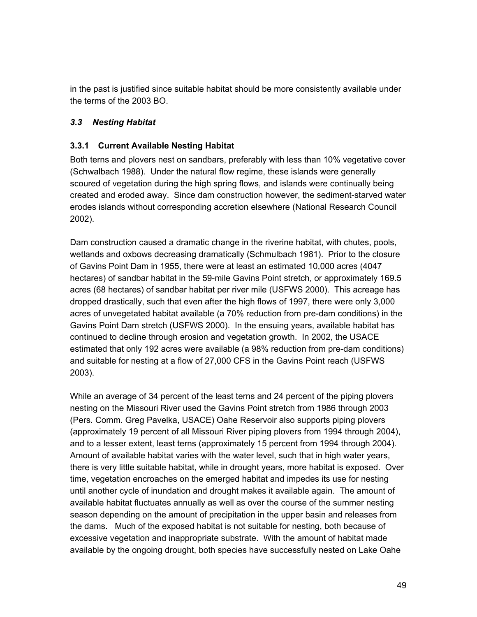in the past is justified since suitable habitat should be more consistently available under the terms of the 2003 BO.

# *3.3 Nesting Habitat*

# **3.3.1 Current Available Nesting Habitat**

Both terns and plovers nest on sandbars, preferably with less than 10% vegetative cover (Schwalbach 1988). Under the natural flow regime, these islands were generally scoured of vegetation during the high spring flows, and islands were continually being created and eroded away. Since dam construction however, the sediment-starved water erodes islands without corresponding accretion elsewhere (National Research Council 2002).

Dam construction caused a dramatic change in the riverine habitat, with chutes, pools, wetlands and oxbows decreasing dramatically (Schmulbach 1981). Prior to the closure of Gavins Point Dam in 1955, there were at least an estimated 10,000 acres (4047 hectares) of sandbar habitat in the 59-mile Gavins Point stretch, or approximately 169.5 acres (68 hectares) of sandbar habitat per river mile (USFWS 2000). This acreage has dropped drastically, such that even after the high flows of 1997, there were only 3,000 acres of unvegetated habitat available (a 70% reduction from pre-dam conditions) in the Gavins Point Dam stretch (USFWS 2000). In the ensuing years, available habitat has continued to decline through erosion and vegetation growth. In 2002, the USACE estimated that only 192 acres were available (a 98% reduction from pre-dam conditions) and suitable for nesting at a flow of 27,000 CFS in the Gavins Point reach (USFWS 2003).

While an average of 34 percent of the least terns and 24 percent of the piping plovers nesting on the Missouri River used the Gavins Point stretch from 1986 through 2003 (Pers. Comm. Greg Pavelka, USACE) Oahe Reservoir also supports piping plovers (approximately 19 percent of all Missouri River piping plovers from 1994 through 2004), and to a lesser extent, least terns (approximately 15 percent from 1994 through 2004). Amount of available habitat varies with the water level, such that in high water years, there is very little suitable habitat, while in drought years, more habitat is exposed. Over time, vegetation encroaches on the emerged habitat and impedes its use for nesting until another cycle of inundation and drought makes it available again. The amount of available habitat fluctuates annually as well as over the course of the summer nesting season depending on the amount of precipitation in the upper basin and releases from the dams. Much of the exposed habitat is not suitable for nesting, both because of excessive vegetation and inappropriate substrate. With the amount of habitat made available by the ongoing drought, both species have successfully nested on Lake Oahe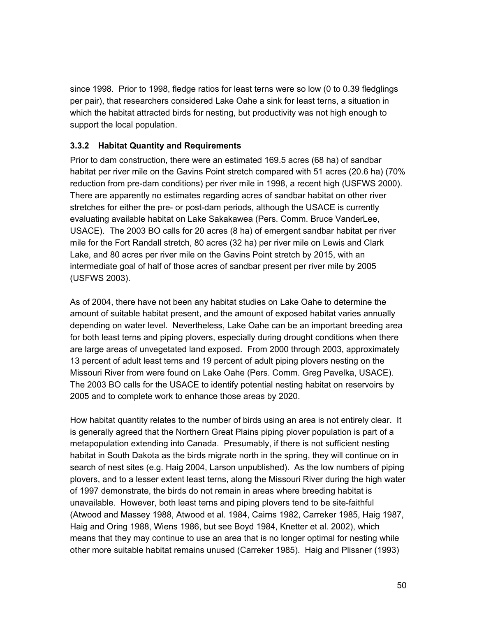since 1998. Prior to 1998, fledge ratios for least terns were so low (0 to 0.39 fledglings per pair), that researchers considered Lake Oahe a sink for least terns, a situation in which the habitat attracted birds for nesting, but productivity was not high enough to support the local population.

# **3.3.2 Habitat Quantity and Requirements**

Prior to dam construction, there were an estimated 169.5 acres (68 ha) of sandbar habitat per river mile on the Gavins Point stretch compared with 51 acres (20.6 ha) (70% reduction from pre-dam conditions) per river mile in 1998, a recent high (USFWS 2000). There are apparently no estimates regarding acres of sandbar habitat on other river stretches for either the pre- or post-dam periods, although the USACE is currently evaluating available habitat on Lake Sakakawea (Pers. Comm. Bruce VanderLee, USACE). The 2003 BO calls for 20 acres (8 ha) of emergent sandbar habitat per river mile for the Fort Randall stretch, 80 acres (32 ha) per river mile on Lewis and Clark Lake, and 80 acres per river mile on the Gavins Point stretch by 2015, with an intermediate goal of half of those acres of sandbar present per river mile by 2005 (USFWS 2003).

As of 2004, there have not been any habitat studies on Lake Oahe to determine the amount of suitable habitat present, and the amount of exposed habitat varies annually depending on water level. Nevertheless, Lake Oahe can be an important breeding area for both least terns and piping plovers, especially during drought conditions when there are large areas of unvegetated land exposed. From 2000 through 2003, approximately 13 percent of adult least terns and 19 percent of adult piping plovers nesting on the Missouri River from were found on Lake Oahe (Pers. Comm. Greg Pavelka, USACE). The 2003 BO calls for the USACE to identify potential nesting habitat on reservoirs by 2005 and to complete work to enhance those areas by 2020.

How habitat quantity relates to the number of birds using an area is not entirely clear. It is generally agreed that the Northern Great Plains piping plover population is part of a metapopulation extending into Canada. Presumably, if there is not sufficient nesting habitat in South Dakota as the birds migrate north in the spring, they will continue on in search of nest sites (e.g. Haig 2004, Larson unpublished). As the low numbers of piping plovers, and to a lesser extent least terns, along the Missouri River during the high water of 1997 demonstrate, the birds do not remain in areas where breeding habitat is unavailable. However, both least terns and piping plovers tend to be site-faithful (Atwood and Massey 1988, Atwood et al. 1984, Cairns 1982, Carreker 1985, Haig 1987, Haig and Oring 1988, Wiens 1986, but see Boyd 1984, Knetter et al. 2002), which means that they may continue to use an area that is no longer optimal for nesting while other more suitable habitat remains unused (Carreker 1985). Haig and Plissner (1993)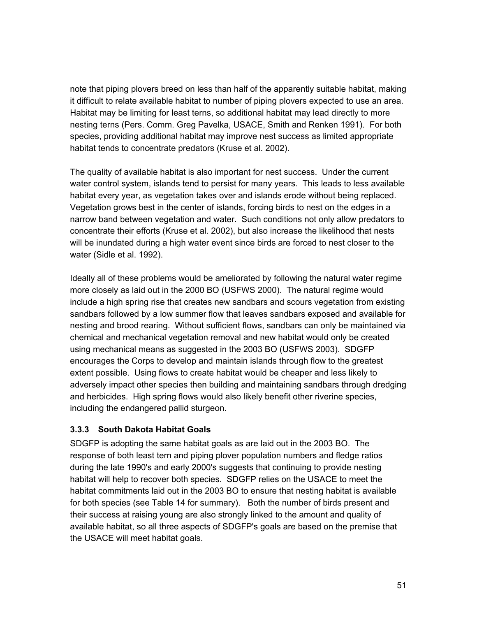note that piping plovers breed on less than half of the apparently suitable habitat, making it difficult to relate available habitat to number of piping plovers expected to use an area. Habitat may be limiting for least terns, so additional habitat may lead directly to more nesting terns (Pers. Comm. Greg Pavelka, USACE, Smith and Renken 1991). For both species, providing additional habitat may improve nest success as limited appropriate habitat tends to concentrate predators (Kruse et al. 2002).

The quality of available habitat is also important for nest success. Under the current water control system, islands tend to persist for many years. This leads to less available habitat every year, as vegetation takes over and islands erode without being replaced. Vegetation grows best in the center of islands, forcing birds to nest on the edges in a narrow band between vegetation and water. Such conditions not only allow predators to concentrate their efforts (Kruse et al. 2002), but also increase the likelihood that nests will be inundated during a high water event since birds are forced to nest closer to the water (Sidle et al. 1992).

Ideally all of these problems would be ameliorated by following the natural water regime more closely as laid out in the 2000 BO (USFWS 2000). The natural regime would include a high spring rise that creates new sandbars and scours vegetation from existing sandbars followed by a low summer flow that leaves sandbars exposed and available for nesting and brood rearing. Without sufficient flows, sandbars can only be maintained via chemical and mechanical vegetation removal and new habitat would only be created using mechanical means as suggested in the 2003 BO (USFWS 2003). SDGFP encourages the Corps to develop and maintain islands through flow to the greatest extent possible. Using flows to create habitat would be cheaper and less likely to adversely impact other species then building and maintaining sandbars through dredging and herbicides. High spring flows would also likely benefit other riverine species, including the endangered pallid sturgeon.

# **3.3.3 South Dakota Habitat Goals**

SDGFP is adopting the same habitat goals as are laid out in the 2003 BO. The response of both least tern and piping plover population numbers and fledge ratios during the late 1990's and early 2000's suggests that continuing to provide nesting habitat will help to recover both species. SDGFP relies on the USACE to meet the habitat commitments laid out in the 2003 BO to ensure that nesting habitat is available for both species (see Table 14 for summary). Both the number of birds present and their success at raising young are also strongly linked to the amount and quality of available habitat, so all three aspects of SDGFP's goals are based on the premise that the USACE will meet habitat goals.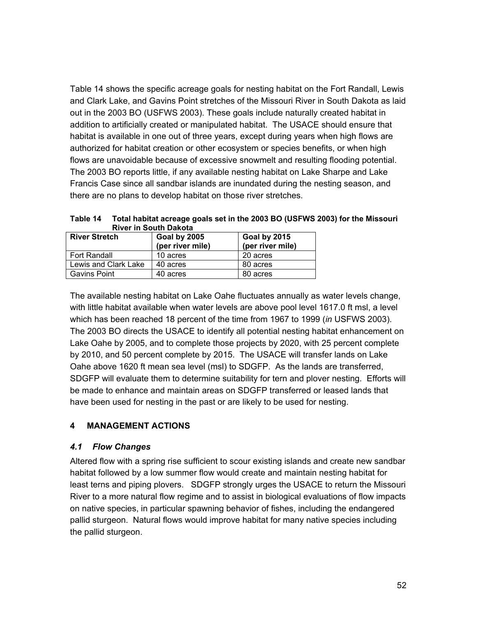Table 14 shows the specific acreage goals for nesting habitat on the Fort Randall, Lewis and Clark Lake, and Gavins Point stretches of the Missouri River in South Dakota as laid out in the 2003 BO (USFWS 2003). These goals include naturally created habitat in addition to artificially created or manipulated habitat. The USACE should ensure that habitat is available in one out of three years, except during years when high flows are authorized for habitat creation or other ecosystem or species benefits, or when high flows are unavoidable because of excessive snowmelt and resulting flooding potential. The 2003 BO reports little, if any available nesting habitat on Lake Sharpe and Lake Francis Case since all sandbar islands are inundated during the nesting season, and there are no plans to develop habitat on those river stretches.

**Table 14 Total habitat acreage goals set in the 2003 BO (USFWS 2003) for the Missouri River in South Dakota**

| <b>River Stretch</b> | Goal by 2005<br>(per river mile) | Goal by 2015<br>(per river mile) |
|----------------------|----------------------------------|----------------------------------|
| Fort Randall         | 10 acres                         | 20 acres                         |
| Lewis and Clark Lake | 40 acres                         | 80 acres                         |
| <b>Gavins Point</b>  | 40 acres                         | 80 acres                         |

The available nesting habitat on Lake Oahe fluctuates annually as water levels change, with little habitat available when water levels are above pool level 1617.0 ft msl, a level which has been reached 18 percent of the time from 1967 to 1999 (*in* USFWS 2003). The 2003 BO directs the USACE to identify all potential nesting habitat enhancement on Lake Oahe by 2005, and to complete those projects by 2020, with 25 percent complete by 2010, and 50 percent complete by 2015. The USACE will transfer lands on Lake Oahe above 1620 ft mean sea level (msl) to SDGFP. As the lands are transferred, SDGFP will evaluate them to determine suitability for tern and plover nesting. Efforts will be made to enhance and maintain areas on SDGFP transferred or leased lands that have been used for nesting in the past or are likely to be used for nesting.

# **4 MANAGEMENT ACTIONS**

## *4.1 Flow Changes*

Altered flow with a spring rise sufficient to scour existing islands and create new sandbar habitat followed by a low summer flow would create and maintain nesting habitat for least terns and piping plovers. SDGFP strongly urges the USACE to return the Missouri River to a more natural flow regime and to assist in biological evaluations of flow impacts on native species, in particular spawning behavior of fishes, including the endangered pallid sturgeon. Natural flows would improve habitat for many native species including the pallid sturgeon.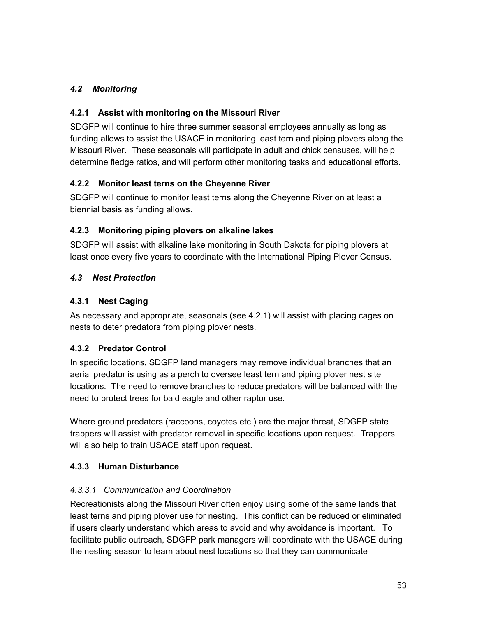# *4.2 Monitoring*

# **4.2.1 Assist with monitoring on the Missouri River**

SDGFP will continue to hire three summer seasonal employees annually as long as funding allows to assist the USACE in monitoring least tern and piping plovers along the Missouri River. These seasonals will participate in adult and chick censuses, will help determine fledge ratios, and will perform other monitoring tasks and educational efforts.

# **4.2.2 Monitor least terns on the Cheyenne River**

SDGFP will continue to monitor least terns along the Cheyenne River on at least a biennial basis as funding allows.

# **4.2.3 Monitoring piping plovers on alkaline lakes**

SDGFP will assist with alkaline lake monitoring in South Dakota for piping plovers at least once every five years to coordinate with the International Piping Plover Census.

# *4.3 Nest Protection*

# **4.3.1 Nest Caging**

As necessary and appropriate, seasonals (see 4.2.1) will assist with placing cages on nests to deter predators from piping plover nests.

# **4.3.2 Predator Control**

In specific locations, SDGFP land managers may remove individual branches that an aerial predator is using as a perch to oversee least tern and piping plover nest site locations. The need to remove branches to reduce predators will be balanced with the need to protect trees for bald eagle and other raptor use.

Where ground predators (raccoons, coyotes etc.) are the major threat, SDGFP state trappers will assist with predator removal in specific locations upon request. Trappers will also help to train USACE staff upon request.

# **4.3.3 Human Disturbance**

# *4.3.3.1 Communication and Coordination*

Recreationists along the Missouri River often enjoy using some of the same lands that least terns and piping plover use for nesting. This conflict can be reduced or eliminated if users clearly understand which areas to avoid and why avoidance is important. To facilitate public outreach, SDGFP park managers will coordinate with the USACE during the nesting season to learn about nest locations so that they can communicate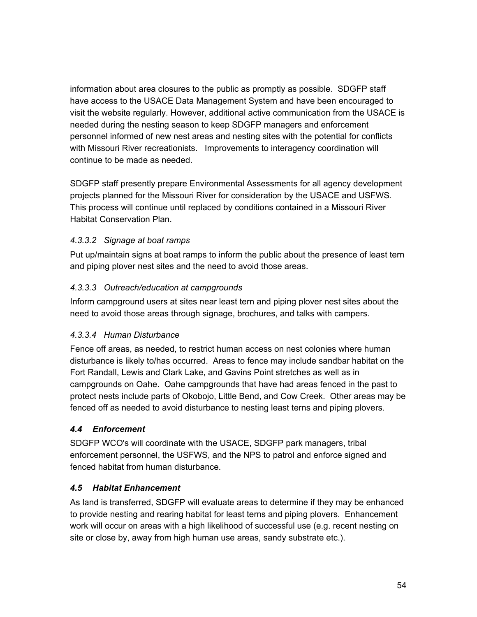information about area closures to the public as promptly as possible. SDGFP staff have access to the USACE Data Management System and have been encouraged to visit the website regularly. However, additional active communication from the USACE is needed during the nesting season to keep SDGFP managers and enforcement personnel informed of new nest areas and nesting sites with the potential for conflicts with Missouri River recreationists. Improvements to interagency coordination will continue to be made as needed.

SDGFP staff presently prepare Environmental Assessments for all agency development projects planned for the Missouri River for consideration by the USACE and USFWS. This process will continue until replaced by conditions contained in a Missouri River Habitat Conservation Plan.

# *4.3.3.2 Signage at boat ramps*

Put up/maintain signs at boat ramps to inform the public about the presence of least tern and piping plover nest sites and the need to avoid those areas.

# *4.3.3.3 Outreach/education at campgrounds*

Inform campground users at sites near least tern and piping plover nest sites about the need to avoid those areas through signage, brochures, and talks with campers.

# *4.3.3.4 Human Disturbance*

Fence off areas, as needed, to restrict human access on nest colonies where human disturbance is likely to/has occurred. Areas to fence may include sandbar habitat on the Fort Randall, Lewis and Clark Lake, and Gavins Point stretches as well as in campgrounds on Oahe. Oahe campgrounds that have had areas fenced in the past to protect nests include parts of Okobojo, Little Bend, and Cow Creek. Other areas may be fenced off as needed to avoid disturbance to nesting least terns and piping plovers.

# *4.4 Enforcement*

SDGFP WCO's will coordinate with the USACE, SDGFP park managers, tribal enforcement personnel, the USFWS, and the NPS to patrol and enforce signed and fenced habitat from human disturbance.

# *4.5 Habitat Enhancement*

As land is transferred, SDGFP will evaluate areas to determine if they may be enhanced to provide nesting and rearing habitat for least terns and piping plovers. Enhancement work will occur on areas with a high likelihood of successful use (e.g. recent nesting on site or close by, away from high human use areas, sandy substrate etc.).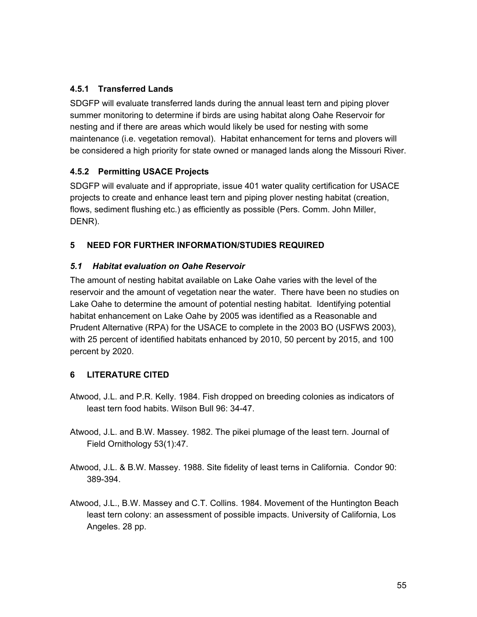# **4.5.1 Transferred Lands**

SDGFP will evaluate transferred lands during the annual least tern and piping plover summer monitoring to determine if birds are using habitat along Oahe Reservoir for nesting and if there are areas which would likely be used for nesting with some maintenance (i.e. vegetation removal). Habitat enhancement for terns and plovers will be considered a high priority for state owned or managed lands along the Missouri River.

# **4.5.2 Permitting USACE Projects**

SDGFP will evaluate and if appropriate, issue 401 water quality certification for USACE projects to create and enhance least tern and piping plover nesting habitat (creation, flows, sediment flushing etc.) as efficiently as possible (Pers. Comm. John Miller, DENR).

# **5 NEED FOR FURTHER INFORMATION/STUDIES REQUIRED**

# *5.1 Habitat evaluation on Oahe Reservoir*

The amount of nesting habitat available on Lake Oahe varies with the level of the reservoir and the amount of vegetation near the water. There have been no studies on Lake Oahe to determine the amount of potential nesting habitat. Identifying potential habitat enhancement on Lake Oahe by 2005 was identified as a Reasonable and Prudent Alternative (RPA) for the USACE to complete in the 2003 BO (USFWS 2003), with 25 percent of identified habitats enhanced by 2010, 50 percent by 2015, and 100 percent by 2020.

# **6 LITERATURE CITED**

- Atwood, J.L. and P.R. Kelly. 1984. Fish dropped on breeding colonies as indicators of least tern food habits. Wilson Bull 96: 34-47.
- Atwood, J.L. and B.W. Massey. 1982. The pikei plumage of the least tern. Journal of Field Ornithology 53(1):47.
- Atwood, J.L. & B.W. Massey. 1988. Site fidelity of least terns in California. Condor 90: 389-394.
- Atwood, J.L., B.W. Massey and C.T. Collins. 1984. Movement of the Huntington Beach least tern colony: an assessment of possible impacts. University of California, Los Angeles. 28 pp.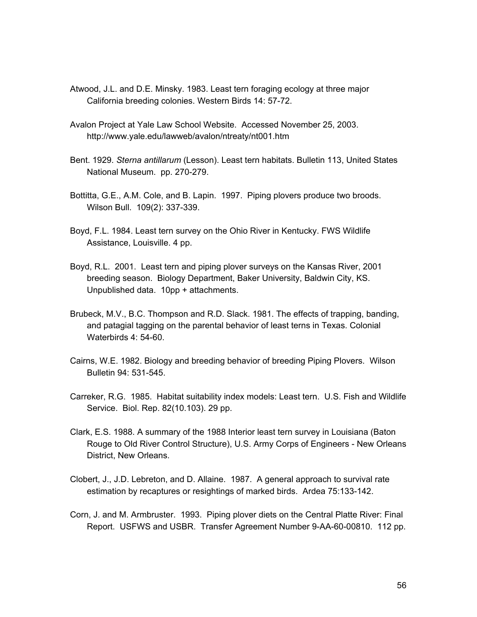- Atwood, J.L. and D.E. Minsky. 1983. Least tern foraging ecology at three major California breeding colonies. Western Birds 14: 57-72.
- Avalon Project at Yale Law School Website. Accessed November 25, 2003. http://www.yale.edu/lawweb/avalon/ntreaty/nt001.htm
- Bent. 1929. *Sterna antillarum* (Lesson). Least tern habitats. Bulletin 113, United States National Museum. pp. 270-279.
- Bottitta, G.E., A.M. Cole, and B. Lapin. 1997. Piping plovers produce two broods. Wilson Bull. 109(2): 337-339.
- Boyd, F.L. 1984. Least tern survey on the Ohio River in Kentucky. FWS Wildlife Assistance, Louisville. 4 pp.
- Boyd, R.L. 2001. Least tern and piping plover surveys on the Kansas River, 2001 breeding season. Biology Department, Baker University, Baldwin City, KS. Unpublished data. 10pp + attachments.
- Brubeck, M.V., B.C. Thompson and R.D. Slack. 1981. The effects of trapping, banding, and patagial tagging on the parental behavior of least terns in Texas. Colonial Waterbirds 4: 54-60.
- Cairns, W.E. 1982. Biology and breeding behavior of breeding Piping Plovers. Wilson Bulletin 94: 531-545.
- Carreker, R.G. 1985. Habitat suitability index models: Least tern. U.S. Fish and Wildlife Service. Biol. Rep. 82(10.103). 29 pp.
- Clark, E.S. 1988. A summary of the 1988 Interior least tern survey in Louisiana (Baton Rouge to Old River Control Structure), U.S. Army Corps of Engineers - New Orleans District, New Orleans.
- Clobert, J., J.D. Lebreton, and D. Allaine. 1987. A general approach to survival rate estimation by recaptures or resightings of marked birds. Ardea 75:133-142.
- Corn, J. and M. Armbruster. 1993. Piping plover diets on the Central Platte River: Final Report. USFWS and USBR. Transfer Agreement Number 9-AA-60-00810. 112 pp.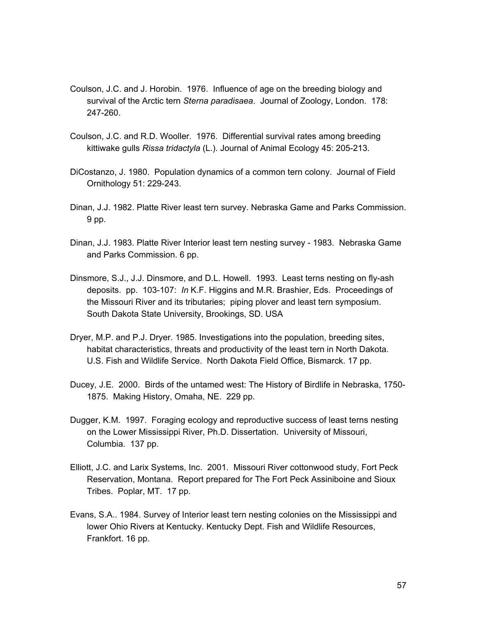- Coulson, J.C. and J. Horobin. 1976. Influence of age on the breeding biology and survival of the Arctic tern *Sterna paradisaea*. Journal of Zoology, London. 178: 247-260.
- Coulson, J.C. and R.D. Wooller. 1976. Differential survival rates among breeding kittiwake gulls *Rissa tridactyla* (L.). Journal of Animal Ecology 45: 205-213.
- DiCostanzo, J. 1980. Population dynamics of a common tern colony. Journal of Field Ornithology 51: 229-243.
- Dinan, J.J. 1982. Platte River least tern survey. Nebraska Game and Parks Commission. 9 pp.
- Dinan, J.J. 1983. Platte River Interior least tern nesting survey 1983. Nebraska Game and Parks Commission. 6 pp.
- Dinsmore, S.J., J.J. Dinsmore, and D.L. Howell. 1993. Least terns nesting on fly-ash deposits. pp. 103-107: *In* K.F. Higgins and M.R. Brashier, Eds. Proceedings of the Missouri River and its tributaries; piping plover and least tern symposium. South Dakota State University, Brookings, SD. USA
- Dryer, M.P. and P.J. Dryer. 1985. Investigations into the population, breeding sites, habitat characteristics, threats and productivity of the least tern in North Dakota. U.S. Fish and Wildlife Service. North Dakota Field Office, Bismarck. 17 pp.
- Ducey, J.E. 2000. Birds of the untamed west: The History of Birdlife in Nebraska, 1750- 1875. Making History, Omaha, NE. 229 pp.
- Dugger, K.M. 1997. Foraging ecology and reproductive success of least terns nesting on the Lower Mississippi River, Ph.D. Dissertation. University of Missouri, Columbia. 137 pp.
- Elliott, J.C. and Larix Systems, Inc. 2001. Missouri River cottonwood study, Fort Peck Reservation, Montana. Report prepared for The Fort Peck Assiniboine and Sioux Tribes. Poplar, MT. 17 pp.
- Evans, S.A.. 1984. Survey of Interior least tern nesting colonies on the Mississippi and lower Ohio Rivers at Kentucky. Kentucky Dept. Fish and Wildlife Resources, Frankfort. 16 pp.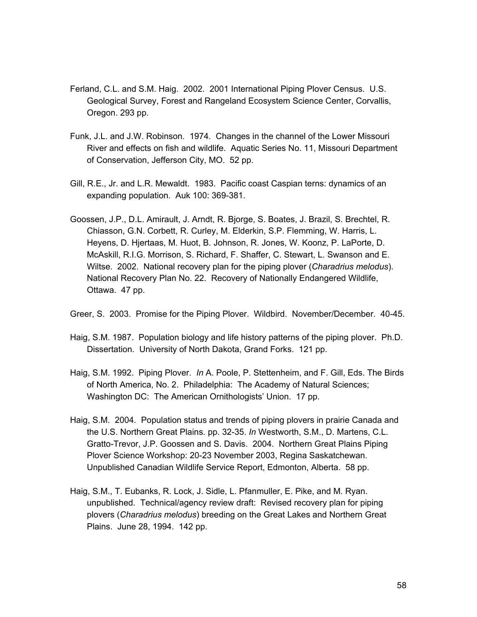- Ferland, C.L. and S.M. Haig. 2002. 2001 International Piping Plover Census. U.S. Geological Survey, Forest and Rangeland Ecosystem Science Center, Corvallis, Oregon. 293 pp.
- Funk, J.L. and J.W. Robinson. 1974. Changes in the channel of the Lower Missouri River and effects on fish and wildlife. Aquatic Series No. 11, Missouri Department of Conservation, Jefferson City, MO. 52 pp.
- Gill, R.E., Jr. and L.R. Mewaldt. 1983. Pacific coast Caspian terns: dynamics of an expanding population. Auk 100: 369-381.
- Goossen, J.P., D.L. Amirault, J. Arndt, R. Bjorge, S. Boates, J. Brazil, S. Brechtel, R. Chiasson, G.N. Corbett, R. Curley, M. Elderkin, S.P. Flemming, W. Harris, L. Heyens, D. Hjertaas, M. Huot, B. Johnson, R. Jones, W. Koonz, P. LaPorte, D. McAskill, R.I.G. Morrison, S. Richard, F. Shaffer, C. Stewart, L. Swanson and E. Wiltse. 2002. National recovery plan for the piping plover (*Charadrius melodus*). National Recovery Plan No. 22. Recovery of Nationally Endangered Wildlife, Ottawa. 47 pp.

Greer, S. 2003. Promise for the Piping Plover. Wildbird. November/December. 40-45.

- Haig, S.M. 1987. Population biology and life history patterns of the piping plover. Ph.D. Dissertation. University of North Dakota, Grand Forks. 121 pp.
- Haig, S.M. 1992. Piping Plover. *In* A. Poole, P. Stettenheim, and F. Gill, Eds. The Birds of North America, No. 2. Philadelphia: The Academy of Natural Sciences; Washington DC: The American Ornithologists' Union. 17 pp.
- Haig, S.M. 2004. Population status and trends of piping plovers in prairie Canada and the U.S. Northern Great Plains. pp. 32-35. *In* Westworth, S.M., D. Martens, C.L. Gratto-Trevor, J.P. Goossen and S. Davis. 2004. Northern Great Plains Piping Plover Science Workshop: 20-23 November 2003, Regina Saskatchewan. Unpublished Canadian Wildlife Service Report, Edmonton, Alberta. 58 pp.
- Haig, S.M., T. Eubanks, R. Lock, J. Sidle, L. Pfanmuller, E. Pike, and M. Ryan. unpublished. Technical/agency review draft: Revised recovery plan for piping plovers (*Charadrius melodus*) breeding on the Great Lakes and Northern Great Plains. June 28, 1994. 142 pp.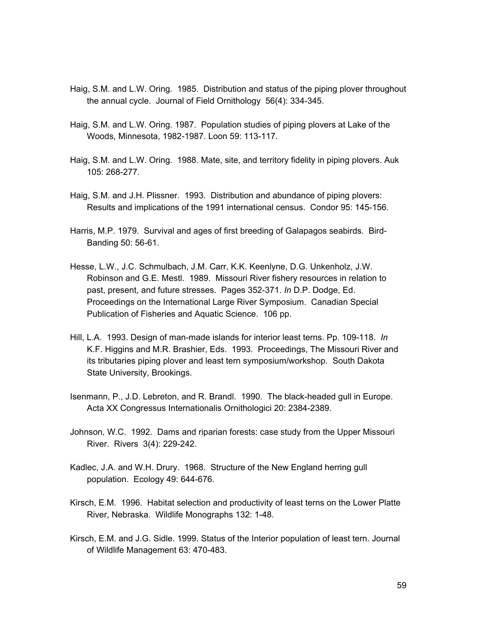- Haig, S.M. and L.W. Oring. 1985. Distribution and status of the piping plover throughout the annual cycle. Journal of Field Ornithology 56(4): 334-345.
- Haig, S.M. and L.W. Oring. 1987. Population studies of piping plovers at Lake of the Woods, Minnesota, 1982-1987. Loon 59: 113-117.
- Haig, S.M. and L.W. Oring. 1988. Mate, site, and territory fidelity in piping plovers. Auk 105: 268-277.
- Haig, S.M. and J.H. Plissner. 1993. Distribution and abundance of piping plovers: Results and implications of the 1991 international census. Condor 95: 145-156.
- Harris, M.P. 1979. Survival and ages of first breeding of Galapagos seabirds. Bird-Banding 50: 56-61.
- Hesse, L.W., J.C. Schmulbach, J.M. Carr, K.K. Keenlyne, D.G. Unkenholz, J.W. Robinson and G.E. Mestl. 1989. Missouri River fishery resources in relation to past, present, and future stresses. Pages 352-371. *In* D.P. Dodge, Ed. Proceedings on the International Large River Symposium. Canadian Special Publication of Fisheries and Aquatic Science. 106 pp.
- Hill, L.A. 1993. Design of man-made islands for interior least terns. Pp. 109-118. *In* K.F. Higgins and M.R. Brashier, Eds. 1993. Proceedings, The Missouri River and its tributaries piping plover and least tern symposium/workshop. South Dakota State University, Brookings.
- Isenmann, P., J.D. Lebreton, and R. Brandl. 1990. The black-headed gull in Europe. Acta XX Congressus Internationalis Ornithologici 20: 2384-2389.
- Johnson, W.C. 1992. Dams and riparian forests: case study from the Upper Missouri River. Rivers 3(4): 229-242.
- Kadlec, J.A. and W.H. Drury. 1968. Structure of the New England herring gull population. Ecology 49: 644-676.
- Kirsch, E.M. 1996. Habitat selection and productivity of least terns on the Lower Platte River, Nebraska. Wildlife Monographs 132: 1-48.
- Kirsch, E.M. and J.G. Sidle. 1999. Status of the Interior population of least tern. Journal of Wildlife Management 63: 470-483.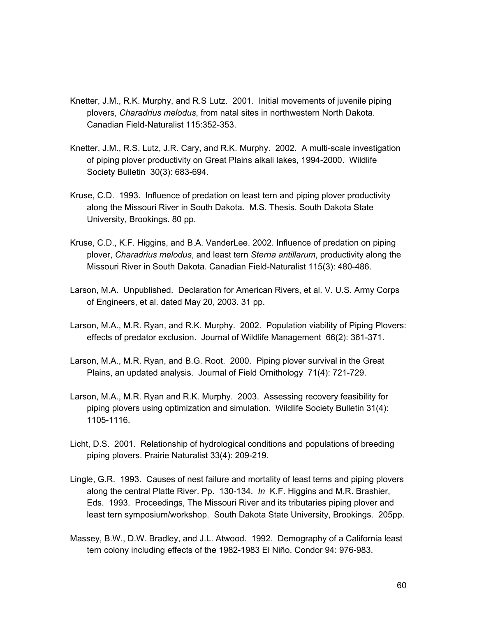- Knetter, J.M., R.K. Murphy, and R.S Lutz. 2001. Initial movements of juvenile piping plovers, *Charadrius melodus*, from natal sites in northwestern North Dakota. Canadian Field-Naturalist 115:352-353.
- Knetter, J.M., R.S. Lutz, J.R. Cary, and R.K. Murphy. 2002. A multi-scale investigation of piping plover productivity on Great Plains alkali lakes, 1994-2000. Wildlife Society Bulletin 30(3): 683-694.
- Kruse, C.D. 1993. Influence of predation on least tern and piping plover productivity along the Missouri River in South Dakota. M.S. Thesis. South Dakota State University, Brookings. 80 pp.
- Kruse, C.D., K.F. Higgins, and B.A. VanderLee. 2002. Influence of predation on piping plover, *Charadrius melodus*, and least tern *Sterna antillarum*, productivity along the Missouri River in South Dakota. Canadian Field-Naturalist 115(3): 480-486.
- Larson, M.A. Unpublished. Declaration for American Rivers, et al. V. U.S. Army Corps of Engineers, et al. dated May 20, 2003. 31 pp.
- Larson, M.A., M.R. Ryan, and R.K. Murphy. 2002. Population viability of Piping Plovers: effects of predator exclusion. Journal of Wildlife Management 66(2): 361-371.
- Larson, M.A., M.R. Ryan, and B.G. Root. 2000. Piping plover survival in the Great Plains, an updated analysis. Journal of Field Ornithology 71(4): 721-729.
- Larson, M.A., M.R. Ryan and R.K. Murphy. 2003. Assessing recovery feasibility for piping plovers using optimization and simulation. Wildlife Society Bulletin 31(4): 1105-1116.
- Licht, D.S. 2001. Relationship of hydrological conditions and populations of breeding piping plovers. Prairie Naturalist 33(4): 209-219.
- Lingle, G.R. 1993. Causes of nest failure and mortality of least terns and piping plovers along the central Platte River. Pp. 130-134. *In* K.F. Higgins and M.R. Brashier, Eds. 1993. Proceedings, The Missouri River and its tributaries piping plover and least tern symposium/workshop. South Dakota State University, Brookings. 205pp.
- Massey, B.W., D.W. Bradley, and J.L. Atwood. 1992. Demography of a California least tern colony including effects of the 1982-1983 El Niño. Condor 94: 976-983.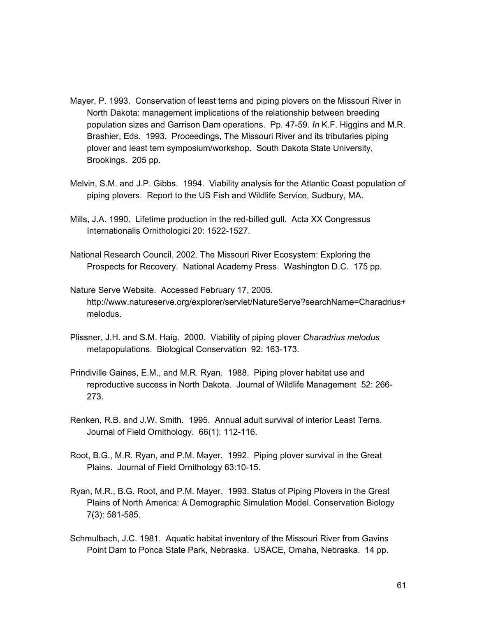- Mayer, P. 1993. Conservation of least terns and piping plovers on the Missouri River in North Dakota: management implications of the relationship between breeding population sizes and Garrison Dam operations. Pp. 47-59. *In* K.F. Higgins and M.R. Brashier, Eds. 1993. Proceedings, The Missouri River and its tributaries piping plover and least tern symposium/workshop. South Dakota State University, Brookings. 205 pp.
- Melvin, S.M. and J.P. Gibbs. 1994. Viability analysis for the Atlantic Coast population of piping plovers. Report to the US Fish and Wildlife Service, Sudbury, MA.
- Mills, J.A. 1990. Lifetime production in the red-billed gull. Acta XX Congressus Internationalis Ornithologici 20: 1522-1527.
- National Research Council. 2002. The Missouri River Ecosystem: Exploring the Prospects for Recovery. National Academy Press. Washington D.C. 175 pp.
- Nature Serve Website. Accessed February 17, 2005. http://www.natureserve.org/explorer/servlet/NatureServe?searchName=Charadrius+ melodus.
- Plissner, J.H. and S.M. Haig. 2000. Viability of piping plover *Charadrius melodus* metapopulations. Biological Conservation 92: 163-173.
- Prindiville Gaines, E.M., and M.R. Ryan. 1988. Piping plover habitat use and reproductive success in North Dakota. Journal of Wildlife Management 52: 266- 273.
- Renken, R.B. and J.W. Smith. 1995. Annual adult survival of interior Least Terns. Journal of Field Ornithology. 66(1): 112-116.
- Root, B.G., M.R. Ryan, and P.M. Mayer. 1992. Piping plover survival in the Great Plains. Journal of Field Ornithology 63:10-15.
- Ryan, M.R., B.G. Root, and P.M. Mayer. 1993. Status of Piping Plovers in the Great Plains of North America: A Demographic Simulation Model. Conservation Biology 7(3): 581-585.
- Schmulbach, J.C. 1981. Aquatic habitat inventory of the Missouri River from Gavins Point Dam to Ponca State Park, Nebraska. USACE, Omaha, Nebraska. 14 pp.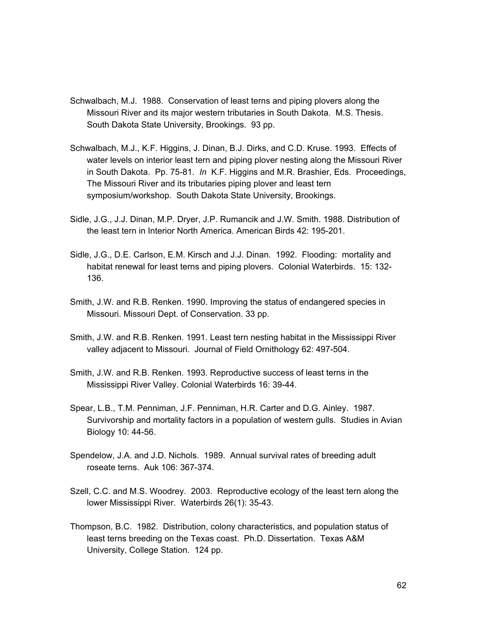- Schwalbach, M.J. 1988. Conservation of least terns and piping plovers along the Missouri River and its major western tributaries in South Dakota. M.S. Thesis. South Dakota State University, Brookings. 93 pp.
- Schwalbach, M.J., K.F. Higgins, J. Dinan, B.J. Dirks, and C.D. Kruse. 1993. Effects of water levels on interior least tern and piping plover nesting along the Missouri River in South Dakota. Pp. 75-81. *In* K.F. Higgins and M.R. Brashier, Eds. Proceedings, The Missouri River and its tributaries piping plover and least tern symposium/workshop. South Dakota State University, Brookings.
- Sidle, J.G., J.J. Dinan, M.P. Dryer, J.P. Rumancik and J.W. Smith. 1988. Distribution of the least tern in Interior North America. American Birds 42: 195-201.
- Sidle, J.G., D.E. Carlson, E.M. Kirsch and J.J. Dinan. 1992. Flooding: mortality and habitat renewal for least terns and piping plovers. Colonial Waterbirds. 15: 132- 136.
- Smith, J.W. and R.B. Renken. 1990. Improving the status of endangered species in Missouri. Missouri Dept. of Conservation. 33 pp.
- Smith, J.W. and R.B. Renken. 1991. Least tern nesting habitat in the Mississippi River valley adjacent to Missouri. Journal of Field Ornithology 62: 497-504.
- Smith, J.W. and R.B. Renken. 1993. Reproductive success of least terns in the Mississippi River Valley. Colonial Waterbirds 16: 39-44.
- Spear, L.B., T.M. Penniman, J.F. Penniman, H.R. Carter and D.G. Ainley. 1987. Survivorship and mortality factors in a population of western gulls. Studies in Avian Biology 10: 44-56.
- Spendelow, J.A. and J.D. Nichols. 1989. Annual survival rates of breeding adult roseate terns. Auk 106: 367-374.
- Szell, C.C. and M.S. Woodrey. 2003. Reproductive ecology of the least tern along the lower Mississippi River. Waterbirds 26(1): 35-43.
- Thompson, B.C. 1982. Distribution, colony characteristics, and population status of least terns breeding on the Texas coast. Ph.D. Dissertation. Texas A&M University, College Station. 124 pp.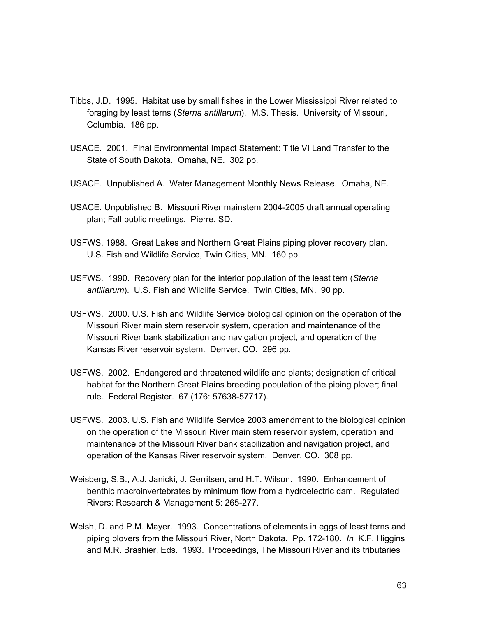- Tibbs, J.D. 1995. Habitat use by small fishes in the Lower Mississippi River related to foraging by least terns (*Sterna antillarum*). M.S. Thesis. University of Missouri, Columbia. 186 pp.
- USACE. 2001. Final Environmental Impact Statement: Title VI Land Transfer to the State of South Dakota. Omaha, NE. 302 pp.
- USACE. Unpublished A. Water Management Monthly News Release. Omaha, NE.
- USACE. Unpublished B. Missouri River mainstem 2004-2005 draft annual operating plan; Fall public meetings. Pierre, SD.
- USFWS. 1988. Great Lakes and Northern Great Plains piping plover recovery plan. U.S. Fish and Wildlife Service, Twin Cities, MN. 160 pp.
- USFWS. 1990. Recovery plan for the interior population of the least tern (*Sterna antillarum*). U.S. Fish and Wildlife Service. Twin Cities, MN. 90 pp.
- USFWS. 2000. U.S. Fish and Wildlife Service biological opinion on the operation of the Missouri River main stem reservoir system, operation and maintenance of the Missouri River bank stabilization and navigation project, and operation of the Kansas River reservoir system. Denver, CO. 296 pp.
- USFWS. 2002. Endangered and threatened wildlife and plants; designation of critical habitat for the Northern Great Plains breeding population of the piping plover; final rule. Federal Register. 67 (176: 57638-57717).
- USFWS. 2003. U.S. Fish and Wildlife Service 2003 amendment to the biological opinion on the operation of the Missouri River main stem reservoir system, operation and maintenance of the Missouri River bank stabilization and navigation project, and operation of the Kansas River reservoir system. Denver, CO. 308 pp.
- Weisberg, S.B., A.J. Janicki, J. Gerritsen, and H.T. Wilson. 1990. Enhancement of benthic macroinvertebrates by minimum flow from a hydroelectric dam. Regulated Rivers: Research & Management 5: 265-277.
- Welsh, D. and P.M. Mayer. 1993. Concentrations of elements in eggs of least terns and piping plovers from the Missouri River, North Dakota. Pp. 172-180. *In* K.F. Higgins and M.R. Brashier, Eds. 1993. Proceedings, The Missouri River and its tributaries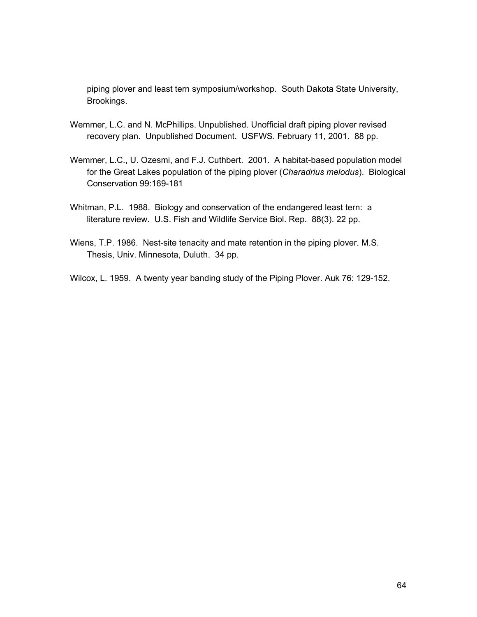piping plover and least tern symposium/workshop. South Dakota State University, Brookings.

- Wemmer, L.C. and N. McPhillips. Unpublished. Unofficial draft piping plover revised recovery plan. Unpublished Document. USFWS. February 11, 2001. 88 pp.
- Wemmer, L.C., U. Ozesmi, and F.J. Cuthbert. 2001. A habitat-based population model for the Great Lakes population of the piping plover (*Charadrius melodus*). Biological Conservation 99:169-181
- Whitman, P.L. 1988. Biology and conservation of the endangered least tern: a literature review. U.S. Fish and Wildlife Service Biol. Rep. 88(3). 22 pp.
- Wiens, T.P. 1986. Nest-site tenacity and mate retention in the piping plover. M.S. Thesis, Univ. Minnesota, Duluth. 34 pp.

Wilcox, L. 1959. A twenty year banding study of the Piping Plover. Auk 76: 129-152.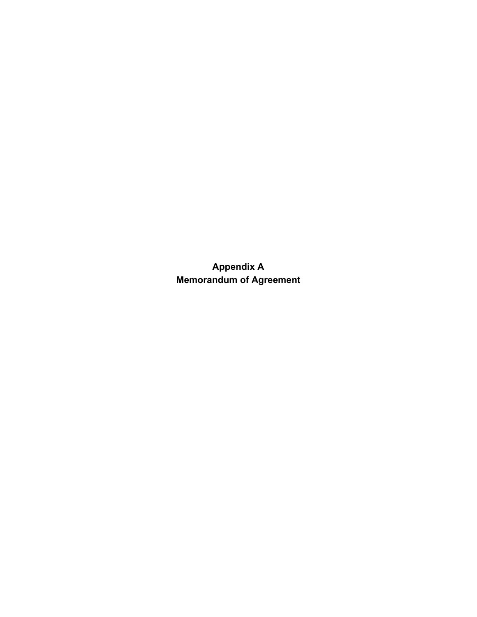**Appendix A Memorandum of Agreement**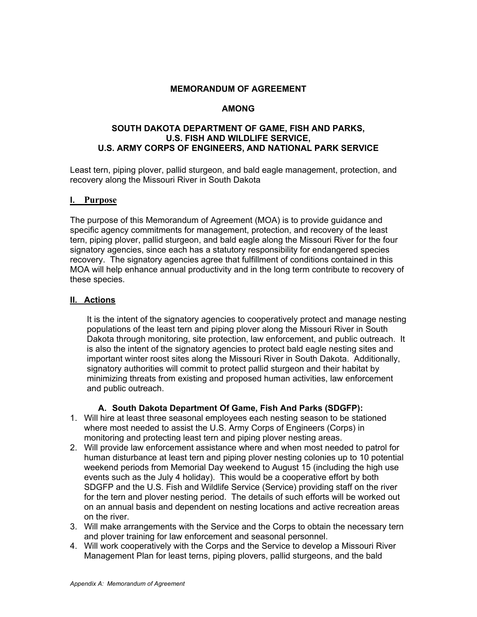#### **MEMORANDUM OF AGREEMENT**

#### **AMONG**

#### **SOUTH DAKOTA DEPARTMENT OF GAME, FISH AND PARKS, U.S. FISH AND WILDLIFE SERVICE, U.S. ARMY CORPS OF ENGINEERS, AND NATIONAL PARK SERVICE**

Least tern, piping plover, pallid sturgeon, and bald eagle management, protection, and recovery along the Missouri River in South Dakota

#### **I. Purpose**

The purpose of this Memorandum of Agreement (MOA) is to provide guidance and specific agency commitments for management, protection, and recovery of the least tern, piping plover, pallid sturgeon, and bald eagle along the Missouri River for the four signatory agencies, since each has a statutory responsibility for endangered species recovery. The signatory agencies agree that fulfillment of conditions contained in this MOA will help enhance annual productivity and in the long term contribute to recovery of these species.

#### **II. Actions**

It is the intent of the signatory agencies to cooperatively protect and manage nesting populations of the least tern and piping plover along the Missouri River in South Dakota through monitoring, site protection, law enforcement, and public outreach. It is also the intent of the signatory agencies to protect bald eagle nesting sites and important winter roost sites along the Missouri River in South Dakota. Additionally, signatory authorities will commit to protect pallid sturgeon and their habitat by minimizing threats from existing and proposed human activities, law enforcement and public outreach.

## **A. South Dakota Department Of Game, Fish And Parks (SDGFP):**

- 1. Will hire at least three seasonal employees each nesting season to be stationed where most needed to assist the U.S. Army Corps of Engineers (Corps) in monitoring and protecting least tern and piping plover nesting areas.
- 2. Will provide law enforcement assistance where and when most needed to patrol for human disturbance at least tern and piping plover nesting colonies up to 10 potential weekend periods from Memorial Day weekend to August 15 (including the high use events such as the July 4 holiday). This would be a cooperative effort by both SDGFP and the U.S. Fish and Wildlife Service (Service) providing staff on the river for the tern and plover nesting period. The details of such efforts will be worked out on an annual basis and dependent on nesting locations and active recreation areas on the river.
- 3. Will make arrangements with the Service and the Corps to obtain the necessary tern and plover training for law enforcement and seasonal personnel.
- 4. Will work cooperatively with the Corps and the Service to develop a Missouri River Management Plan for least terns, piping plovers, pallid sturgeons, and the bald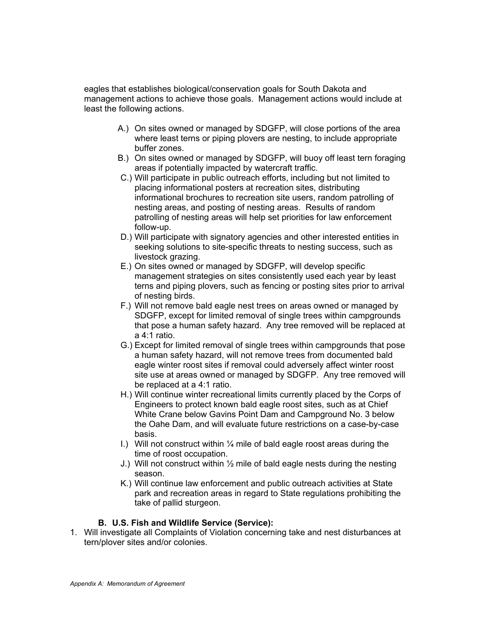eagles that establishes biological/conservation goals for South Dakota and management actions to achieve those goals. Management actions would include at least the following actions.

- A.) On sites owned or managed by SDGFP, will close portions of the area where least terns or piping plovers are nesting, to include appropriate buffer zones.
- B.) On sites owned or managed by SDGFP, will buoy off least tern foraging areas if potentially impacted by watercraft traffic.
- C.) Will participate in public outreach efforts, including but not limited to placing informational posters at recreation sites, distributing informational brochures to recreation site users, random patrolling of nesting areas, and posting of nesting areas. Results of random patrolling of nesting areas will help set priorities for law enforcement follow-up.
- D.) Will participate with signatory agencies and other interested entities in seeking solutions to site-specific threats to nesting success, such as livestock grazing.
- E.) On sites owned or managed by SDGFP, will develop specific management strategies on sites consistently used each year by least terns and piping plovers, such as fencing or posting sites prior to arrival of nesting birds.
- F.) Will not remove bald eagle nest trees on areas owned or managed by SDGFP, except for limited removal of single trees within campgrounds that pose a human safety hazard. Any tree removed will be replaced at a 4:1 ratio.
- G.) Except for limited removal of single trees within campgrounds that pose a human safety hazard, will not remove trees from documented bald eagle winter roost sites if removal could adversely affect winter roost site use at areas owned or managed by SDGFP. Any tree removed will be replaced at a 4:1 ratio.
- H.) Will continue winter recreational limits currently placed by the Corps of Engineers to protect known bald eagle roost sites, such as at Chief White Crane below Gavins Point Dam and Campground No. 3 below the Oahe Dam, and will evaluate future restrictions on a case-by-case basis.
- I.) Will not construct within  $\frac{1}{4}$  mile of bald eagle roost areas during the time of roost occupation.
- J.) Will not construct within ½ mile of bald eagle nests during the nesting season.
- K.) Will continue law enforcement and public outreach activities at State park and recreation areas in regard to State regulations prohibiting the take of pallid sturgeon.

## **B. U.S. Fish and Wildlife Service (Service):**

1. Will investigate all Complaints of Violation concerning take and nest disturbances at tern/plover sites and/or colonies.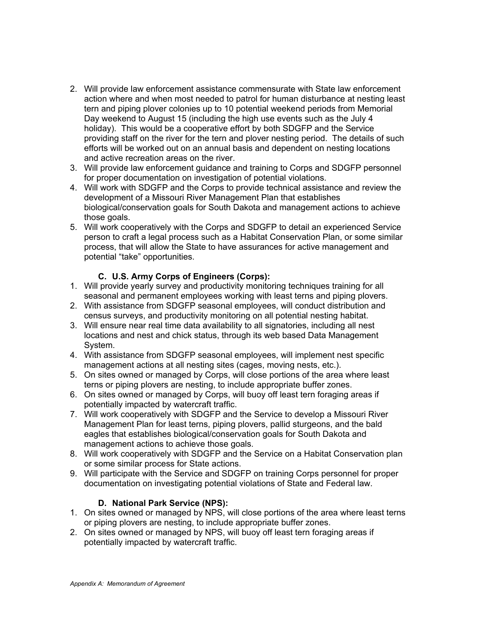- 2. Will provide law enforcement assistance commensurate with State law enforcement action where and when most needed to patrol for human disturbance at nesting least tern and piping plover colonies up to 10 potential weekend periods from Memorial Day weekend to August 15 (including the high use events such as the July 4 holiday). This would be a cooperative effort by both SDGFP and the Service providing staff on the river for the tern and plover nesting period. The details of such efforts will be worked out on an annual basis and dependent on nesting locations and active recreation areas on the river.
- 3. Will provide law enforcement guidance and training to Corps and SDGFP personnel for proper documentation on investigation of potential violations.
- 4. Will work with SDGFP and the Corps to provide technical assistance and review the development of a Missouri River Management Plan that establishes biological/conservation goals for South Dakota and management actions to achieve those goals.
- 5. Will work cooperatively with the Corps and SDGFP to detail an experienced Service person to craft a legal process such as a Habitat Conservation Plan, or some similar process, that will allow the State to have assurances for active management and potential "take" opportunities.

# **C. U.S. Army Corps of Engineers (Corps):**

- 1. Will provide yearly survey and productivity monitoring techniques training for all seasonal and permanent employees working with least terns and piping plovers.
- 2. With assistance from SDGFP seasonal employees, will conduct distribution and census surveys, and productivity monitoring on all potential nesting habitat.
- 3. Will ensure near real time data availability to all signatories, including all nest locations and nest and chick status, through its web based Data Management System.
- 4. With assistance from SDGFP seasonal employees, will implement nest specific management actions at all nesting sites (cages, moving nests, etc.).
- 5. On sites owned or managed by Corps, will close portions of the area where least terns or piping plovers are nesting, to include appropriate buffer zones.
- 6. On sites owned or managed by Corps, will buoy off least tern foraging areas if potentially impacted by watercraft traffic.
- 7. Will work cooperatively with SDGFP and the Service to develop a Missouri River Management Plan for least terns, piping plovers, pallid sturgeons, and the bald eagles that establishes biological/conservation goals for South Dakota and management actions to achieve those goals.
- 8. Will work cooperatively with SDGFP and the Service on a Habitat Conservation plan or some similar process for State actions.
- 9. Will participate with the Service and SDGFP on training Corps personnel for proper documentation on investigating potential violations of State and Federal law.

# **D. National Park Service (NPS):**

- 1. On sites owned or managed by NPS, will close portions of the area where least terns or piping plovers are nesting, to include appropriate buffer zones.
- 2. On sites owned or managed by NPS, will buoy off least tern foraging areas if potentially impacted by watercraft traffic.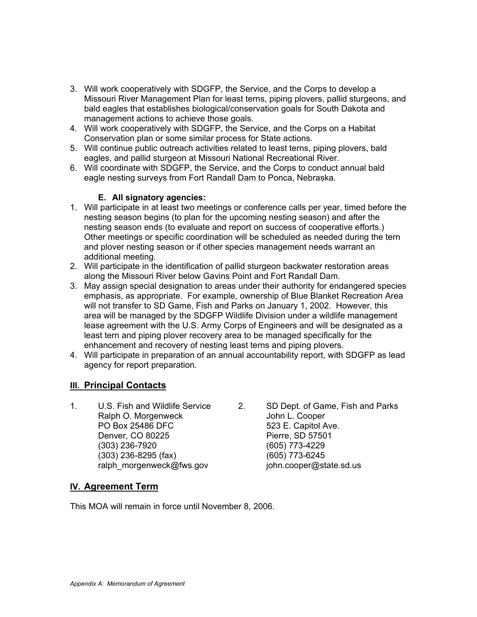- 3. Will work cooperatively with SDGFP, the Service, and the Corps to develop a Missouri River Management Plan for least terns, piping plovers, pallid sturgeons, and bald eagles that establishes biological/conservation goals for South Dakota and management actions to achieve those goals.
- 4. Will work cooperatively with SDGFP, the Service, and the Corps on a Habitat Conservation plan or some similar process for State actions.
- 5. Will continue public outreach activities related to least terns, piping plovers, bald eagles, and pallid sturgeon at Missouri National Recreational River.
- 6. Will coordinate with SDGFP, the Service, and the Corps to conduct annual bald eagle nesting surveys from Fort Randall Dam to Ponca, Nebraska.

# **E. All signatory agencies:**

- 1. Will participate in at least two meetings or conference calls per year, timed before the nesting season begins (to plan for the upcoming nesting season) and after the nesting season ends (to evaluate and report on success of cooperative efforts.) Other meetings or specific coordination will be scheduled as needed during the tern and plover nesting season or if other species management needs warrant an additional meeting.
- 2. Will participate in the identification of pallid sturgeon backwater restoration areas along the Missouri River below Gavins Point and Fort Randall Dam.
- 3. May assign special designation to areas under their authority for endangered species emphasis, as appropriate. For example, ownership of Blue Blanket Recreation Area will not transfer to SD Game, Fish and Parks on January 1, 2002. However, this area will be managed by the SDGFP Wildlife Division under a wildlife management lease agreement with the U.S. Army Corps of Engineers and will be designated as a least tern and piping plover recovery area to be managed specifically for the enhancement and recovery of nesting least terns and piping plovers.
- 4. Will participate in preparation of an annual accountability report, with SDGFP as lead agency for report preparation.

# **III. Principal Contacts**

1. U.S. Fish and Wildlife Service 2. SD Dept. of Game, Fish and Parks Ralph O. Morgenweck **Internal Convention** John L. Cooper PO Box 25486 DFC 523 E. Capitol Ave. Denver, CO 80225 **Pierre**, SD 57501 (303) 236-7920 (605) 773-4229 (303) 236-8295 (fax) (605) 773-6245 ralph\_morgenweck@fws.gov iohn.cooper@state.sd.us

# **IV. Agreement Term**

This MOA will remain in force until November 8, 2006.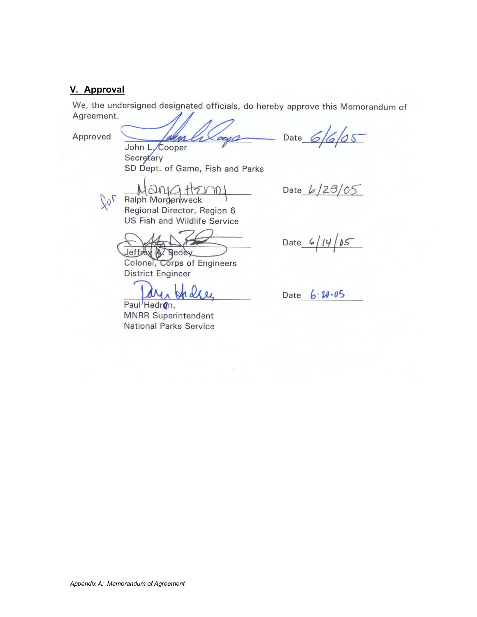# **V. Approval**

We, the undersigned designated officials, do hereby approve this Memorandum of Agreement.

Approved

 $20<sup>2</sup>$ 

m ren John L. Cooper

Secretary SD Dept. of Game, Fish and Parks

 $QMCH$ 5V M Ralph Morgenweck

Regional Director, Region 6 US Fish and Wildlife Service

**Jeffrey** A. Bedey

Colonel, Corps of Engineers **District Engineer** 

Paul<sup>/</sup>Hedren, **MNRR Superintendent National Parks Service** 

 $5/6/05$ Date

Date  $6/23/05$ 

Date  $6/14/85$ 

 $6.20.05$ Date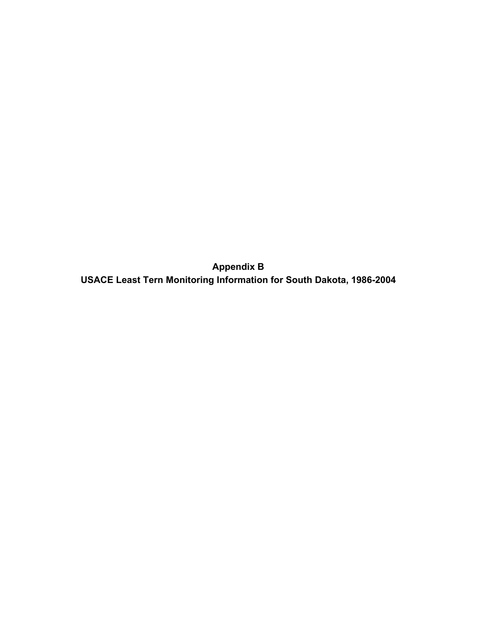**Appendix B USACE Least Tern Monitoring Information for South Dakota, 1986-2004**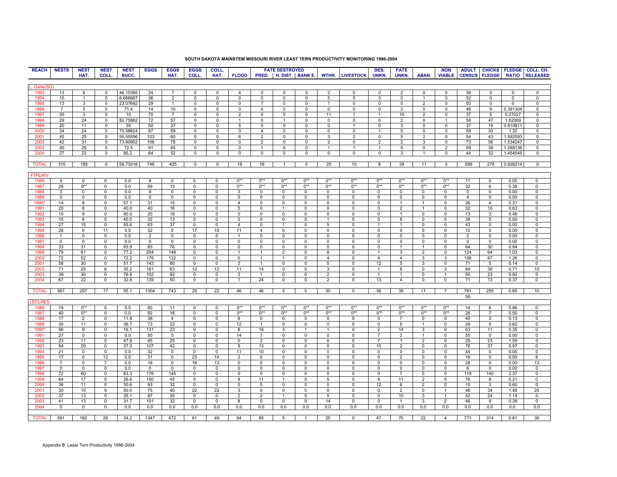| <b>REACH</b>       | <b>NESTS</b>   | <b>NEST</b>    | <b>NEST</b>         | <b>NEST</b> | <b>EGGS</b>  | <b>EGGS</b>    | <b>EGGS</b>         | COLL.          |                     |                                | <b>FATE DESTROYED</b>  |             |                 |                        | DES.                 | <b>FATE</b>    |                   | <b>NON</b>     |                |                |                | ADULT CHICKS FLEDGE COLL. CH. |
|--------------------|----------------|----------------|---------------------|-------------|--------------|----------------|---------------------|----------------|---------------------|--------------------------------|------------------------|-------------|-----------------|------------------------|----------------------|----------------|-------------------|----------------|----------------|----------------|----------------|-------------------------------|
|                    |                | HAT.           | COLL.               | SUCC.       |              | HAT.           | COLL.               | HAT.           | <b>FLOOD</b>        |                                | PRED. H. DIST. BANK E. |             |                 | <b>WTHR. LIVESTOCK</b> | UNKN.                | UNKN.          | ABAN.             | <b>VIABLE</b>  | <b>CENSUS</b>  | <b>FLEDGE</b>  | <b>RATIO</b>   | <b>RELEASED</b>               |
|                    |                |                |                     |             |              |                |                     |                |                     |                                |                        |             |                 |                        |                      |                |                   |                |                |                |                |                               |
| Oahe <sup>(9</sup> |                |                |                     |             |              |                |                     |                |                     |                                |                        |             |                 |                        |                      |                |                   |                |                |                |                |                               |
| 1993               | 13             | 6              | $\mathbf 0$         | 46.15385    | 24           | $\overline{7}$ | $\Omega$            | 0              | 4                   | 0                              | 0                      | $\Omega$    | 2               | 0                      | 0                    | $\overline{2}$ | 0                 | 0              | 39             | 0              | 0              | 0                             |
| 1994               | 15             | $\mathbf{1}$   | $\mathbf 0$         | 6.666667    | 36           | 2              | 0                   | 0              | $\mathbf{0}$        | $\mathbf 0$                    | $\mathbf 0$            | 0           | $5\overline{5}$ | 5                      | 3                    | $\mathbf{0}$   | $\overline{1}$    | 0              | 52             | 0              | 0              | 0                             |
| 1995               | 13             | 3              | $\overline{0}$      | 23.07692    | 29           | $\overline{1}$ | $\overline{0}$      | $\overline{0}$ | $\overline{0}$      | $\overline{7}$                 | $\overline{0}$         | 0           | $\mathbf{1}$    | $\overline{0}$         | $\overline{0}$       | $\overline{0}$ | $\overline{2}$    | $^{\circ}$     | 50             | $\overline{0}$ | $\overline{0}$ | $\overline{0}$                |
| 1996               | $\overline{7}$ | 5              | 0                   | 71.4        | 14           | 10             | 0                   | 0              | 0                   | 0                              | 0                      | 0           | 0               | 0                      | 0                    | 2              | 0                 | 0              | 46             | 9              | 0.391304       | 0                             |
| 1997               | 30             | 3              | $\mathbf 0$         | 10          | 70           | $\overline{7}$ | $\mathbf 0$         | 0              | 2                   | $\mathbf 0$                    | $\mathbf 0$            | 0           | 11              | $\mathbf{1}$           | $\mathbf{1}$         | 10             | 2                 | $^{\circ}$     | 37             | 5              | 0.27027        | $\mathbf 0$                   |
| 1998               | 29             | 24             | $^{\circ}$          | 82.75862    | 72           | 57             | $\mathbf 0$         | 0              | $\mathbf{1}$        | $\Omega$                       | $\mathbf{1}$           | $\Omega$    | $\Omega$        | 0                      | $\mathbf 0$          | $\overline{2}$ | $\mathsf 0$       |                | 58             | 47             | 1.62069        | $\Omega$                      |
| 1999               | 20             | 11             | 0                   | 55          | 50           | 27             | $\mathbf 0$         | 0              | 5                   | 0                              | $\mathbf 0$            | 0           | $\mathbf 0$     | $\mathbf{1}$           | 0                    | 3              | $\mathsf 0$       | $\mathbf 0$    | 37             | 15             | 0.810811       | 0                             |
| 2000               | 34             | 24             | $\mathbf 0$         | 70.58824    | 87           | 59             | 0                   | 0              | 0                   | $\overline{4}$                 | $\mathbf 0$            | $\mathbf 0$ | 0               | 0                      | $\mathbf{1}$         | 5              | $\mathbf 0$       | $^{\circ}$     | 50             | 33             | 1.32           | $\mathbf 0$                   |
| 2001               | 45             | 25             | $^{\circ}$          | 55.55556    | 103          | 60             | $\mathbf 0$         | 0              | 6                   | $\overline{2}$                 | $\mathbf 0$            | 0           | 3               | $\overline{2}$         | 0                    | 5              | $\overline{2}$    | $\Omega$       | 54             | 43             | 1.592593       | $\Omega$                      |
| 2002               | 42             | 31             | $^{\circ}$          | 73.80952    | 106          | 78             | 0                   | $\overline{0}$ | 0                   | 2                              | $\overline{0}$         | 0           | $\overline{2}$  | $\overline{0}$         | $\overline{2}$       | 2              | 3                 | $^{\circ}$     | 73             | 56             | 1.534247       | $\mathbf 0$                   |
|                    | 40             |                |                     |             |              | 65             |                     | 0              |                     |                                | 0                      |             | $\mathbf{1}$    |                        |                      |                |                   |                | 59             | 38             |                | 0                             |
| 2003<br>2004       | 27             | 29             | 0<br>$\overline{0}$ | 72.5        | 91<br>64     | 52             | 0<br>$\overline{0}$ | $\overline{0}$ | 0<br>$\overline{0}$ | $\mathbf{1}$<br>$\overline{0}$ | $\overline{0}$         | 0           | $\overline{0}$  | 1<br>$\overline{0}$    | -1<br>$\overline{0}$ | 5<br>3         | 0<br>$\mathbf{1}$ | 2              | 44             | 32             | 1.288136       | $\Omega$                      |
|                    |                | 23             |                     | 85.2        |              |                |                     |                |                     |                                |                        | 0           |                 |                        |                      |                |                   | 0              |                |                | 1.454545       |                               |
|                    |                |                |                     |             |              |                |                     |                |                     |                                |                        |             |                 |                        |                      |                |                   |                |                |                |                |                               |
| <b>TOTAL</b>       | 315            | 185            | $\mathbf 0$         | 58.73016    | 746          | 425            | 0                   | $\mathbf 0$    | 18                  | 16                             | $\mathbf{1}$           | 0           | 25              | 10                     | 8                    | 39             | 11                | 3              | 599            | 278            | 0.928214       | $\mathsf 0$                   |
|                    |                |                |                     |             |              |                |                     |                |                     |                                |                        |             |                 |                        |                      |                |                   |                |                |                |                |                               |
| <b>FTRLRIV</b>     |                |                |                     |             |              |                |                     |                |                     |                                |                        |             |                 |                        |                      |                |                   |                |                |                |                |                               |
| 1986               | $\overline{4}$ | 0              | $\mathbf 0$         | 0.0         | 8            | $\mathbf 0$    | $\Omega$            | 0              | $0**$               | $0**$                          | $0**$                  | $0**$       | $0**$           | $0**$                  | $0**$                | $0**$          | $0**$             | $0**$          | 11             | $\mathbf 0$    | 0.00           | $\mathbf 0$                   |
| 1987               | 28             | $0**$          | $\overline{0}$      | 0.0         | 59           | 13             | $\mathbf 0$         | $\overline{0}$ | $0**$               | $0**$                          | $0**$                  | $0**$       | $0**$           | $0**$                  | $0**$                | $0**$          | $0**$             | $0**$          | 32             | 6              | 0.38           | $\overline{0}$                |
| 1988               | 3              | 0              | 0                   | 0.0         | 9            | 0              | $^{\circ}$          | 0              | 3                   | 0                              | 0                      | 0           | $\mathbf{0}$    | 0                      | $\mathbf{0}$         | 0              | 0                 | 0              | 0              | $\mathbf{0}$   | 0.00           | 0                             |
| 1989               | $^{\circ}$     | $\mathbf{0}$   | $\mathbf 0$         | 0.0         | $\mathbf{0}$ | $\mathbf 0$    | 0                   | 0              | $^{\circ}$          | $\mathbf{0}$                   | $^{\circ}$             | 0           | $^{\circ}$      | $^{\circ}$             | $\mathbf{0}$         | $^{\circ}$     | $^{\circ}$        | 0              | $\overline{4}$ | $\mathbf{0}$   | 0.00           | 0                             |
| 1990               | 14             | 8              | $\mathsf 0$         | 57.1        | 31           | 15             | 0                   | 0              | $\overline{4}$      | $\mathsf 0$                    | $\mathsf 0$            | 0           | $\mathsf 0$     | $\mathsf 0$            | 0                    | $\overline{1}$ | $\mathbf{1}$      | 0              | 26             | $\overline{4}$ | 0.31           | 0                             |
| 1991               | 20             | 8              | 0                   | 40.0        | 40           | 16             | 0                   | 0              | 5                   | $\mathbf 0$                    | $\mathbf{1}$           | 0           | 0               | 0                      | 3                    | $\overline{2}$ | $\mathbf{1}$      | 0              | 32             | 10             | 0.63           | $\mathbf 0$                   |
| 1992               | 10             | 9              | $\mathbf 0$         | 90.0        | 20           | 18             | $\mathbf 0$         | 0              | $^{\circ}$          | $\mathbf{0}$                   | 0                      | $\mathbf 0$ | $\mathbf{0}$    | $^{\circ}$             | $\mathbf 0$          | $\overline{1}$ | $\mathbf 0$       | 0              | 13             | 3              | 0.46           | 0                             |
| 1993               | 15             | 6              | $\mathbf 0$         | 40.0        | 32           | 13             | $\Omega$            | 0              | $\mathsf 0$         | $\mathbf 0$                    | $\mathbf 0$            | $\mathbf 0$ |                 | $\mathbf 0$            | $\mathbf 0$          | 8              | $\Omega$          | $\Omega$       | 38             | $\mathbf 0$    | 0.00           | $\mathbf 0$                   |
| 1994               | 27             | 15             | $\mathbf 0$         | 55.6        | 63           | 37             | $\mathbf 0$         | 0              | $\overline{4}$      | $\mathbf 0$                    | $\mathbf{1}$           | $\mathbf 0$ | 5               | $\mathsf 0$            | $\mathbf{1}$         | $\mathbf{1}$   | $\mathbf 0$       | 0              | 43             | $\mathbf 0$    | 0.00           | $\mathbf 0$                   |
| 1995               | 26             | 0              | 11                  | 0.0         | 32           | 0              | 17                  | 10             | 11                  | $\overline{4}$                 | 0                      | 0           | $^{\circ}$      | $\mathbf 0$            | 0                    | 0              | 0                 | 0              | 10             | $\mathbf{0}$   | 0.00           | 0                             |
| 1996               |                | 0              | 0                   | 0.0         | 2            | 0              | $\mathbf 0$         | 0              | $\overline{1}$      | $\mathbf 0$                    | 0                      | 0           | $\mathbf 0$     | 0                      | 0                    | 0              | $\mathbf 0$       | $\mathbf 0$    | $\overline{2}$ | $\mathbf 0$    | 0.00           | 0                             |
| 1997               | $\mathbf{0}$   | $\mathbf 0$    | $\overline{0}$      | 0.0         | 0            | $\mathbf 0$    | $\mathbf 0$         | 0              | 0                   | $\mathbf 0$                    | 0                      | $\mathbf 0$ | $\mathbf{0}$    | $^{\circ}$             | 0                    | $^{\circ}$     | $\mathbf 0$       | 0              | 0              | $\mathbf 0$    | 0.00           | $\mathbf 0$                   |
| 1998               | 33             | 31             | 0                   | 93.9        | 83           | 76             | 0                   | 0              | 0                   | 0                              | 0                      | 0           | 0               | 0                      | 0                    | -1             | -1                | 0              | 64             | 30             | 0.94           | 0                             |
| 1999               | 79             | 61             | $\mathsf 0$         | 77.2        | 204          | 148            | 0                   | 0              | $\mathbf{1}$        | $\mathbf{1}$                   | $\overline{2}$         | 0           | 8               | 0                      | $\mathbf{1}$         | 3              | 2                 | 0              | 124            | 64             | 1.03           | $\mathbf 0$                   |
| 2000               | 72             | 52             | $\mathbf 0$         | 72.2        | 176          | 132            | $\mathbf 0$         | 0              | $\mathbf 0$         | $\mathbf{1}$                   | $\overline{1}$         | $\mathbf 0$ | $\overline{4}$  | $\mathbf 0$            | $\overline{4}$       | $\overline{4}$ | 3                 | 3              | 106            | 67             | 1.26           | $\Omega$                      |
| 2001               | 58             | 30             | $\overline{0}$      | 51.7        | 143          | 80             | $\mathbf 0$         | 0              | $\overline{2}$      | $\mathbf{1}$                   | $\mathsf{O}$           | 0           | 5               | 0                      | 12                   | 5              | 3                 | 0              | 71             | 5              | 0.14           | $\mathbf 0$                   |
| 2002               | 71             | 25             | 6                   | 35.2        | 161          | 63             | 12                  | 12             | 11                  | 14                             | 0                      | 0           | 3               | 0                      | $\mathbf{1}$         | 8              | 0                 | 3              | 84             | 30             | 0.71           | 10                            |
| 2003               | 39             | 30             | $\mathbf 0$         | 76.9        | 102          | 82             | $\mathbf 0$         | 0              | 3                   | $\mathbf{1}$                   | $\mathbf 0$            | $\mathbf 0$ | $\overline{2}$  | $^{\circ}$             | $\mathbf{1}$         | $\mathbf{1}$   | $\mathbf 0$       | $\mathbf{1}$   | 50             | 23             | 0.92           | $\Omega$                      |
| 2004               | 67             | 22             | $\overline{0}$      | 32.8        | 139          | 50             | $\overline{0}$      | 0              | $\mathbf{1}$        | 24                             | 0                      | $\mathbf 0$ | $\overline{2}$  | $^{\circ}$             | 13                   | $\overline{4}$ | $\mathbf 0$       | 0              | 71             | 13             | 0.37           | $\overline{0}$                |
|                    |                |                |                     |             |              |                |                     |                |                     |                                |                        |             |                 |                        |                      |                |                   |                |                |                |                |                               |
| <b>TOTAL</b>       | 567            | 297            | 17                  | 55.1        | 1304         | 743            | 29                  | 22             | 46                  | 46                             | 5                      | 0           | 30              | 0                      | 36                   | 39             | 11                | $\overline{7}$ | 781            | 255            | 0.65           | 10                            |
|                    |                |                |                     |             |              |                |                     |                |                     |                                |                        |             |                 |                        |                      |                |                   |                | 58             |                |                |                               |
| <b>LECLRE</b>      |                |                |                     |             |              |                |                     |                |                     |                                |                        |             |                 |                        |                      |                |                   |                |                |                |                |                               |
| 1986               | 19             | $0**$          | $\mathbf 0$         | 0.0         | 60           | 11             | $\mathbf 0$         | $\mathbf 0$    | $0**$               | $0**$                          | $0**$                  | $0**$       | $0**$           | $0**$                  | $0**$                | $0**$          | $0**$             | $0**$          | 14             | 6              | 0.86           | $\mathbf 0$                   |
| 1987               | 40             | $0**$          | $\mathbf 0$         | 0.0         | 82           | 16             | 0                   | 0              | $0**$               | $0**$                          | $0**$                  | $0**$       | $0**$           | $0**$                  | $0**$                | $0**$          | $0**$             | $0**$          | 28             | $\overline{7}$ | 0.50           | 0                             |
| 1988               | 17             | $\overline{2}$ | $\mathsf 0$         | 11.8        | 38           | $\overline{4}$ | $\mathbf 0$         | 0              | 8                   | $\Omega$                       | $\mathbf 0$            | $\mathbf 0$ | $\mathbf 0$     | $\mathbf 0$            | 0                    | $\overline{7}$ | $\mathbf 0$       | $\mathbf 0$    | 45             | 3              | 0.13           | $\mathbf 0$                   |
| 1989               | 30             | 11             | $\mathsf 0$         | 36.7        | 73           | 22             | 0                   | 0              | 12                  | $\mathbf{1}$                   | $\mathbf 0$            | 0           | $\mathsf 0$     | 0                      | 0                    | 5              | $\mathbf{1}$      | 0              | 29             | 9              | 0.62           | $\mathbf 0$                   |
| 1990'              | 56             | 9              | 0                   | 16.1        | 131          | 23             | 0                   | 0              | 6                   | 18                             | 3                      |             | 1               | 0                      | $\overline{2}$       | 14             | 3                 | 0              | 63             | 11             | 0.35           | $\mathbf 0$                   |
| 1991               | 27             | 0              | 0                   | 0.0         | 50           | $\mathbf 0$    | $\mathbf 0$         | 0              | 14                  | 3                              | 0                      | $\mathbf 0$ | $^{\circ}$      | 0                      | $\overline{7}$       | 2              | $\mathbf{1}$      | $\mathbf{0}$   | 55             | $\mathbf 0$    | 0.00           | $^{\circ}$                    |
| 1992               | 23             | 11             | $\mathbf 0$         | 47.8        | 45           | 25             | 0                   | 0              | $\mathbf 0$         | $\overline{2}$                 | $\mathbf 0$            | $\mathbf 0$ | $\mathbf 0$     | $\mathbf 0$            | $\overline{7}$       | $\overline{1}$ | $\overline{2}$    | $\Omega$       | 29             | 23             | 1.59           | $\mathbf 0$                   |
| 1993               | 54             | 20             | 0                   | 37.0        | 107          | 42             | 0                   | 0              | 9                   | 13                             | 0                      | $\mathbf 0$ | $\mathbf 0$     | 0                      | 10                   | $\overline{2}$ | 0                 | $\mathbf 0$    | 76             | 37             | 0.97           | 0                             |
| 1994               | 21             | 0              | 0                   | 0.0         | 32           | 0              | 0                   | 0              | 11                  | 10                             | 0                      | 0           | $\mathbf 0$     | 0                      | 0                    | 0              | $\mathbf 0$       | $\Omega$       | 44             | $\mathbf 0$    | 0.00           | 0                             |
| 1995               | 17             | $\mathbf 0$    | 12                  | 0.0         | 31           | $\mathbf 0$    | 23                  | 14             | 3                   | $\mathbf 0$                    | $\mathbf 0$            | $\mathbf 0$ | $\mathbf 0$     | $\mathbf 0$            | 0                    | $\overline{2}$ | $\mathbf 0$       | $\Omega$       | 16             | $\mathbf 0$    | 0.00           | $6\overline{6}$               |
| 1996               | $\overline{7}$ | $\mathbf 0$    | $\overline{7}$      | 0.0         | 16           | $\mathbf 0$    | 16                  | 13             | $\mathbf 0$         | $\mathsf 0$                    | $\mathsf{O}$           | $\mathbf 0$ | $\mathsf 0$     | $\mathbf 0$            | 0                    | $\mathbf 0$    | 0                 | 0              | 28             | $\mathsf{O}$   | 0.00           | 13                            |
| 1997               | 0              | 0              | 0                   | 0.0         | $\mathbf 0$  | $\mathbf 0$    | 0                   | 0              | 0                   | $\mathbf 0$                    | 0                      | 0           | 0               | 0                      | 0                    | 0              | 0                 | 0              | 6              | $\mathbf 0$    | 0.00           | 0                             |
| 1998               | 72             | 60             | $\overline{0}$      | 83.3        | 176          | 145            | 0                   | 0              | 0                   | 0                              | 0                      | 0           | 0               | 0                      | 0                    | $\overline{7}$ | 5                 | 0              | 118            | 140            | 2.37           | $\overline{0}$                |
| 1999               | 64             | 17             | $\overline{0}$      | 26.6        | 150          | 45             | 0                   | $\overline{0}$ | 8                   | 11                             |                        | $\mathbf 0$ | 5               | $\mathbf 0$            | 9                    | 11             | 2                 | $\Omega$       | 76             | 8              | 0.21           | $\Omega$                      |
| 2000               | 36             | 11             | 0                   | 30.6        | 93           | 32             | 0                   | 0              | 0                   | 5                              | 0                      | 0           | 0               | 0                      | 12                   | 6              | 2                 | 0              | 10             | 3              | 0.60           | 0                             |
| 2001               | 30             | 15             | 9                   | 50.0        | 75           | 40             | 22                  | 22             | 3                   | $\mathsf 0$                    | $\mathsf{O}$           | $\mathbf 0$ | $\mathsf 0$     | $\mathsf 0$            | 0                    | $\overline{2}$ | 0                 |                | 46             | 34             | 1.48           | 20                            |
|                    | 37             |                | $\mathbf 0$         |             | 87           |                |                     | 0              |                     | $\overline{2}$                 | $\mathbf{1}$           | $\mathbf 0$ |                 |                        | 0                    | 10             |                   | $\mathbf{1}$   | 42             |                | 1.14           | 0                             |
| 2002               |                | 13             |                     | 35.1        |              | 35             | 0                   |                | $\overline{2}$      |                                |                        |             | 5               | 0                      |                      |                | 3                 |                |                | 24             |                |                               |
| 2003               | 41             | 13             | $\mathsf 0$         | 31.7        | 101          | 32             | 0                   | 0              | 8                   | 0                              | $\mathbf 0$            | 0           | 14              | 0                      | 0                    | $\mathbf{1}$   | 3                 | $\overline{2}$ | 46             | 9              | 0.39           | $\mathbf 0$                   |
| 2004               | $\mathbf 0$    | 0              | $\mathsf 0$         | 0.0         | 0.0          | 0.0            | 0.0                 | 0.0            | 0.0                 | 0.0                            | 0.0                    | 0.0         | 0.0             | 0.0                    | 0.0                  | 0.0            | 0.0               | 0.0            | 0.0            | 0.0            | 0.0            | 0.0                           |
|                    |                |                |                     |             |              |                |                     |                |                     |                                |                        |             |                 |                        |                      |                |                   |                |                |                |                |                               |
| TOTA               | 591            | 182            | 28                  | 34.2        | 1347         | 472            | 61                  | 49             | 84                  | 65                             | 5                      |             | 25              | $\Omega$               | 47                   | 70             | 22                | $\overline{4}$ | 771            | 314            | 0.81           | 39                            |

#### **SOUTH DAKOTA MAINSTEM MISSOURI RIVER LEAST TERN PRODUCTIVITY MONITORING 1986-2004**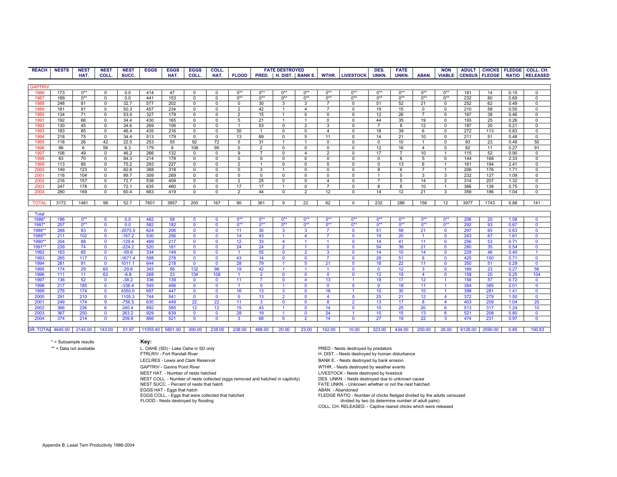| <b>REACH</b>      | <b>NESTS</b> | <b>NEST</b> | <b>NEST</b>  | <b>NEST</b> | <b>EGGS</b> | <b>EGGS</b>    | <b>EGGS</b>  | COLL.        |                |                | <b>FATE DESTROYED</b>   |                  |                |                      | DES.           | <b>FATE</b>      |                         | <b>NON</b>            |         |                      |              | ADULT CHICKS FLEDGE COLL. CH. |
|-------------------|--------------|-------------|--------------|-------------|-------------|----------------|--------------|--------------|----------------|----------------|-------------------------|------------------|----------------|----------------------|----------------|------------------|-------------------------|-----------------------|---------|----------------------|--------------|-------------------------------|
|                   |              | HAT.        | COLL.        | SUCC.       |             | HAT.           | <b>COLL</b>  | HAT.         | <b>FLOOD</b>   | PRED.          |                         | H. DIST. BANK E. | WTHR.          | <b>LIVESTOCK</b>     | UNKN.          | UNKN.            | ABAN.                   | <b>VIABLE</b>         |         | <b>CENSUS FLEDGE</b> | <b>RATIO</b> | <b>RELEASED</b>               |
|                   |              |             |              |             |             |                |              |              |                |                |                         |                  |                |                      |                |                  |                         |                       |         |                      |              |                               |
| <b>GAPTRIV</b>    |              |             |              |             |             |                |              |              |                |                |                         |                  |                |                      |                |                  |                         |                       |         |                      |              |                               |
| 1986              | 173          | $0**$       | $\mathbf 0$  | 0.0         | 414         | 47             | $\Omega$     | $\mathbf 0$  | $0**$          | $0**$          | $0**$                   | $0**$            | $0**$          | $0**$                | $0**$          | $0**$            | $0**$                   | $0**$                 | 181     | 14                   | 0.15         | $\mathsf 0$                   |
| 1987              | 189          | $0**$       | $\mathbf 0$  | 0.0         | 441         | 153            | $\mathbf 0$  | $\mathbf 0$  | $0**$          | $0**$          | $0**$                   | $0**$            | $0**$          | $0**$                | $0**$          | $0**$            | $0**$                   | $0**$                 | 232     | 80                   | 0.69         | $\overline{0}$                |
| 1988              | 248          | 81          | $\mathbf 0$  | 32.7        | 577         | 202            | $\Omega$     | $\mathbf 0$  | $\mathbf 0$    | 30             | 3                       | 3                |                | $\Omega$             | 51             | 52               | 21                      | $\Omega$              | 252     | 62                   | 0.49         | $\Omega$                      |
| 1989              | 181          | 91          | $\mathbf 0$  | 50.3        | 457         | 234            | $\mathbf 0$  | $\mathbf 0$  | $\overline{2}$ | 42             | $\overline{1}$          | $\overline{4}$   | $\overline{7}$ | $\mathbf 0$          | 19             | 15               | $\mathbf 0$             | $\Omega$              | 210     | 58                   | 0.55         | $\Omega$                      |
| 1990              | 134          | 71          | $\mathbf 0$  | 53.0        | 327         | 179            | $\mathbf 0$  | $\mathbf 0$  | 2              | 15             | $\overline{1}$          | $\Omega$         | $\mathbf 0$    | $\mathbf 0$          | 12             | 26               | $\overline{7}$          | $\mathbf 0$           | 167     | 38                   | 0.46         | $\overline{0}$                |
|                   | 192          |             |              | 34.4        | 430         | 165            |              |              |                |                |                         |                  |                | $\mathbf 0$          | 44             |                  | 19                      | $\Omega$              | 193     |                      | 0.26         | $\mathbf 0$                   |
| 1991              |              | 66          | $\mathbf 0$  |             |             |                | 0            | $\mathbf 0$  | 5              | 21             |                         |                  | 0              |                      | $\overline{7}$ | 35               |                         |                       |         | 25                   |              |                               |
| 1992              | 130          | 45          | $\mathbf 0$  | 34.6        | 269         | 106            | $\Omega$     | $\Omega$     | $\overline{1}$ | 53             | $\Omega$                | $\overline{2}$   | 3              | $\Omega$             |                | 8                | 12                      | $\Omega$              | 187     | 20                   | 0.21         | $\Omega$                      |
| 1993              | 183          | 85          | $\Omega$     | 46.4        | 435         | 216            | $\Omega$     | $\Omega$     | 30             | -1             | $\mathbf 0$             | $\Omega$         | $\overline{4}$ | $\Omega$             | 18             | 39               | 6                       | $\mathbf 0$           | 272     | 113                  | 0.83         | $\mathbf 0$                   |
| 1994              | 218          | 75          | $\mathbf 0$  | 34.4        | 513         | 179            | $\mathbf 0$  | 0            | 13             | 69             | 0                       | 5                | 11             | $\mathbf 0$          | 14             | 21               | 10                      | $\mathbf 0$           | 211     | 51                   | 0.48         | $\mathsf 0$                   |
| 1995              | 118          | 26          | 42           | 22.0        | 253         | 55             | 92           | 72           | 5              | 31             | $\overline{1}$          |                  | 0              | $\Omega$             | $\overline{0}$ | 10               | $\overline{\mathbf{1}}$ | $\Omega$              | 93      | 23                   | 0.49         | 50                            |
| 1996              | 96           | 6           | 56           | 6.3         | 179         | $\overline{9}$ | 108          | 95           | $\overline{0}$ | $\overline{2}$ | $\overline{0}$          | $\Omega$         | $\overline{0}$ | $\overline{0}$       | 12             | 16               | $\overline{4}$          | $\Omega$              | 82      | 11                   | 0.27         | 91                            |
| 1997              | 106          | 49          | $\mathbf 0$  | 46.2        | 266         | 132            | $\mathbf 0$  | $\mathbf 0$  | 9              | $\overline{7}$ | $\Omega$                | $\overline{4}$   | 2              | $\overline{0}$       | 17             | $\overline{7}$   | 10                      |                       | 115     | 52                   | 0.90         | $\overline{\mathbf{0}}$       |
| 1998              | 83           | 70          | $\mathbf 0$  | 84.3        | 214         | 178            | $\mathbf 0$  | $\mathbf 0$  | $\mathbf 0$    | $\mathbf 0$    | $\Omega$                | $\Omega$         | $\mathbf 0$    | $\mathbf 0$          | $\mathsf 0$    | 8                | 5                       | $\overline{0}$        | 144     | 168                  | 2.33         | $\overline{0}$                |
| 1999              | 113          | 85          | $\mathbf 0$  | 75.2        | 293         | 227            | $\mathbf 0$  | $\mathbf 0$  | $\overline{2}$ |                | $\Omega$                | $\Omega$         | 5              | $\Omega$             | $\mathbf 0$    | 13               | 6                       |                       | 161     | 194                  | 2.41         | $\Omega$                      |
| 2000              | 149          | 123         | $\Omega$     | 82.6        | 388         | 318            | $\mathbf 0$  | $\mathbf 0$  | $\mathbf 0$    | 3              |                         | $\Omega$         | $\Omega$       | $\mathbf 0$          | 8              | 6                | $\overline{7}$          |                       | 206     | 176                  | 1.71         | $\mathbf 0$                   |
| 2001              | 116          | 104         | $\mathbf 0$  | 89.7        | 309         | 269            | $\mathbf 0$  | $\mathbf 0$  | $\mathbf 0$    | $\mathbf 0$    | $\mathbf 0$             | $\Omega$         | $\Omega$       | $\Omega$             | $\mathbf{1}$   | 5                | 3                       | 3                     | 232     | 127                  | 1.09         | $\Omega$                      |
| 2002              | 216          | 157         | $\mathbf 0$  | 72.7        | 538         | 409            | 0            | 0            | $\overline{2}$ | 25             | 0                       | $\mathbf 0$      | $\overline{4}$ | $\mathbf 0$          | $\overline{7}$ | 5                | 14                      | $\overline{2}$        | 314     | 207                  | 1.32         | 0                             |
| 2003              | 247          | 178         | 0            | 72.1        | 635         | 460            | $\mathbf 0$  | $\mathsf 0$  | 17             | 17             | $\overline{1}$          | $\mathbf 0$      | $\overline{7}$ | $\mathbf 0$          | 8              | 8                | 10                      | $\overline{1}$        | 366     | 138                  | 0.75         | $\mathsf 0$                   |
| 2004              | 280          | 169         | 0            | 60.4        | 663         | 419            | 0            | $\mathbf 0$  | $\overline{2}$ | 44             | $\mathbf 0$             | 2                | 12             | $\overline{0}$       | 14             | 12               | 21                      | 3                     | 359     | 186                  | 1.04         | $\overline{0}$                |
|                   |              |             |              |             |             |                |              |              |                |                |                         |                  |                |                      |                |                  |                         |                       |         |                      |              |                               |
| <b>TOTAL</b>      | 3172         | 1481        | 98           | 52.7        | 7601        | 3957           | 200          | 167          | 90             | 361            | 9                       | 22               | 62             | $^{\circ}$           | 232            | 286              | 156                     | 12                    | 3977    | 1743                 | 0.88         | 141                           |
|                   |              |             |              |             |             |                |              |              |                |                |                         |                  |                |                      |                |                  |                         |                       |         |                      |              |                               |
| <b>Total</b>      |              |             |              |             |             |                |              |              |                |                |                         |                  |                |                      |                |                  |                         |                       |         |                      |              |                               |
| 1986*             | 196          | $0**$       | $\Omega$     | 0.0         | 482         | 58             | $\Omega$     | $\mathbf{0}$ | $0**$          | $0**$          | $0**$                   | $0**$            | $0**$          | $0**$                | $0**$          | $0**$            | $0**$                   | $0**$                 | 206     | 20                   | 1.08         | $\mathbf 0$                   |
| 1987*             | 257          | $0**$       | $\mathbf{0}$ | 0.0         | 582         | 182            | $\mathbf 0$  | $\mathbf 0$  | $0**$          | $0**$          | $0**$                   | $0**$            | $0**$          | $0**$                | $0**$          | $0**$            | $0**$                   | $0**$                 | 292     | 93                   | 0.67         | $\mathbf 0$                   |
| 1988*             | 268          | 83          | $\mathbf{0}$ | $-2075.0$   | 624         | 206            | $\mathbf{0}$ | $\mathbf{0}$ | 11             | 30             | 3                       | 3                |                | $\Omega$             | 51             | 59               | 21                      | $\mathbf 0$           | 297     | 65                   | 0.63         | $\mathbf{0}$                  |
| 1989*             | 211          | 102         | $\mathbf{0}$ | $-167.2$    | 530         | 256            | $\mathbf{0}$ | $\mathbf{0}$ | 14             | 43             | $\overline{1}$          | $\overline{4}$   | $\overline{7}$ | $\mathbf 0$          | 19             | 20               | $\overline{1}$          | $\mathbf 0$           | 243     | 67                   | 1.61         | $\overline{\mathbf{0}}$       |
| 1990 <sup>*</sup> | 204          | 88          | $\mathbf{0}$ | $-129.4$    | 489         | 217            | $\mathbf{0}$ | $\mathbf{0}$ | 12             | 33             | $\overline{4}$          |                  |                | $\mathbf 0$          | 14             | 41               | 11                      | $\mathbf{0}$          | 256     | 53                   | 0.71         | $\mathbf 0$                   |
| 1991*             | 239          | 74          | $\Omega$     | $-224.2$    | 520         | 181            | $\mathbf{0}$ | $\Omega$     | 24             | 24             | $\overline{2}$          |                  | $\Omega$       | $\Omega$             | 54             | 39               | 21                      | $\mathbf 0$           | 280     | 35                   | 0.54         | $\mathbf{0}$                  |
| 1992              | 163          | 65          | $\mathbf{0}$ | $-59.6$     | 334         | 149            | $\mathbf{0}$ | $\mathbf{0}$ | $\overline{1}$ | 55             | $\Omega$                | $\overline{2}$   | $\mathbf{3}$   | $\Omega$             | 14             | 10 <sup>10</sup> | 14                      | $\mathbf 0$           | 229     | 46                   | 0.40         |                               |
|                   | 265          | 117         | $\mathbf{0}$ | $-1671.4$   | 598         | 278            | $\mathbf{0}$ | $\mathbf{0}$ | 43             | 14             | $\mathbf 0$             | $\mathbf{0}$     |                | $\mathbf{0}$         | 28             | 51               | $6\phantom{1}6$         | $\mathbf{0}$          | 425     | 150                  | 0.71         | $\mathbf 0$                   |
| 1993<br>1994      | 281          | 91          | $\mathbf{0}$ | 1011.1      | 644         | 218            | $\mathbf{0}$ | $\mathbf{0}$ | 28             | 79             |                         | 5                | 21             | 5                    | 18             | 22               | 11                      | $\Omega$              | 350     |                      | 0.29         | $\overline{\mathbf{0}}$       |
|                   |              |             |              |             |             |                |              |              |                |                |                         |                  |                |                      |                |                  |                         |                       |         | 51                   | 0.27         |                               |
| 1995              | 174          | 29          | 65           | $-29.6$     | 345         | 56             | 132          | 96           | 19             | 42             |                         |                  |                | $\Omega$             | $\mathbf{0}$   | 12               | 3                       | $\mathbf 0$           | 169     | 23                   |              | 56                            |
| 1996              | 111          | 11          | 63           | $-6.8$      | 268         | 23             | 134          | 108          | $\overline{1}$ | $\overline{2}$ | $\mathbf{0}$            | $\Omega$         | $\mathbf{0}$   | $\mathbf{0}$         | 12             | 18               | $\overline{4}$          | $\Omega$              | 158     | 20                   | 0.25         | 104                           |
| 1997              | 136          | 52          | $\mathbf{0}$ | $-38.2$     | 336         | 139            | $\mathbf 0$  | $\mathbf{0}$ | 11             | $\overline{7}$ | $\overline{\mathbf{0}}$ | $\overline{4}$   | 13             |                      | 18             | 17               | 12                      |                       | 158     | 57                   | 0.72         | $\overline{\mathbf{0}}$       |
| 1998              | 217          | 185         | $\Omega$     | $-336.4$    | 545         | 456            | $\mathbf{0}$ | $\Omega$     | $\overline{1}$ | $\Omega$       | $\overline{1}$          | $\Omega$         | $\Omega$       | $\mathbf 0$          | $\overline{0}$ | 18               | 11                      |                       | 384     | 385                  | 2.01         | $\overline{\mathbf{0}}$       |
| 1999              | 276          | 174         | $\mathbf{0}$ | 4350.0      | 697         | 447            | $\mathbf{0}$ | $\mathbf{0}$ | 16             | 13             | 3                       | n                | 18             |                      | 10             | 30               | 10                      |                       | 398     | 281                  | 1.41         | $\overline{0}$                |
| 2000              | 291          | 210         | $\mathbf{0}$ | 1105.3      | 744         | 541            | $\mathbf{0}$ | $\mathbf{0}$ | $\mathbf{0}$   | 13             | $\overline{2}$          | $\Omega$         | 4              | $\Omega$             | 25             | 21               | 12                      | $\boldsymbol{\Delta}$ | 372     | 279                  | 1.50         | $\mathbf 0$                   |
| 2001              | 249          | 174         | 9            | $-756.5$    | 630         | 449            | 22           | 22           | 11             | $\mathbf{3}$   | $\mathbf 0$             | $\Omega$         | 8              | $\overline{2}$       | 13             | 17               | 8                       | $\overline{4}$        | 403     | 209                  | 1.04         | 20                            |
| 2002              | 366          | 226         | 6            | 240.4       | 892         | 585            | 12           | 12           | 15             | 43             | $\overline{1}$          | $\mathbf{0}$     | 14             | $\mathbf 0$          | 10             | 25               | 20                      | 6                     | 513     | 317                  | 1.24         | 10                            |
| 2003              | 367          | 250         | $\mathbf{0}$ | 263.2       | 929         | 639            | $\mathbf 0$  | $\mathbf{0}$ | 28             | 19             | $\overline{1}$          | $\Omega$         | 24             | $\blacktriangleleft$ | 10             | 15               | 13                      | 6                     | 521     | 208                  | 0.80         | $\mathbf{0}$                  |
| 2004              | 374          | 214         | $\mathbf{0}$ | 209.8       | 866         | 521            | $\mathbf{0}$ | $\Omega$     | 3              | 68             | $\mathbf{0}$            | $\overline{2}$   | 14             | $\Omega$             | 27             | 19               | 22                      | 3                     | 474     | 231                  | 0.97         | $\mathbf{0}$                  |
|                   |              |             |              |             |             |                |              |              |                |                |                         |                  |                |                      |                |                  |                         |                       |         |                      |              |                               |
| <b>GR. TOTAL</b>  | 4645.00      | 2145.00     | 143.00       | 51.97       | 11055.40    | 5601.00        | 300.00       | 238.00       | 238.00         | 488.00         | 20.00                   | 23.00            | 142.00         | 10.00                | 323.00         | 434.00           | 200.00                  | 26.00                 | 6128.00 | 2590.00              | 0.85         | 190.63                        |

\* = Subsample results **Key:**

\*\* = Data not available 
L. OAHE (SD) - Lake Oahe in SD only<br>FTRLRIV - Fort Randall River 
PRED - Nests destroyed by human of PRED - Nests destroyed by human of PRED - Nests destroyed by human of LECLRES - Lewis and Clark Reservoir BANK E. - Nests destroyed by bank erosion GAPTRIV - Gavins Point River WTHR. - Nests destroyed by weather events NEST HAT. - Number of nests hatched<br>NEST COLL. - Number of nests collected (eggs removed and hatched in captivity) DES. UNKN. - Nests destroyed due to unknown cause NEST COLL. - Number of nests collected (eggs removed and hatched in captivity) NEST SUCC. - Percent of nests that hatch NEST SUCC. - Percent of nests that hatch FATE UNKN. - Unknown whether or not the nest hatched EGGS HAT - Eggs that hatch ABAN. - Abandoned EGGS COLL. - Eggs that were collected that hatched

H. DIST. - Nests destroyed by human disturbance divided by two (to determine number of adult pairs) COLL. CH. RELEASED. - Captive reared chicks which were released FLEDGE RATIO - Number of chicks fledged divided by the adults censused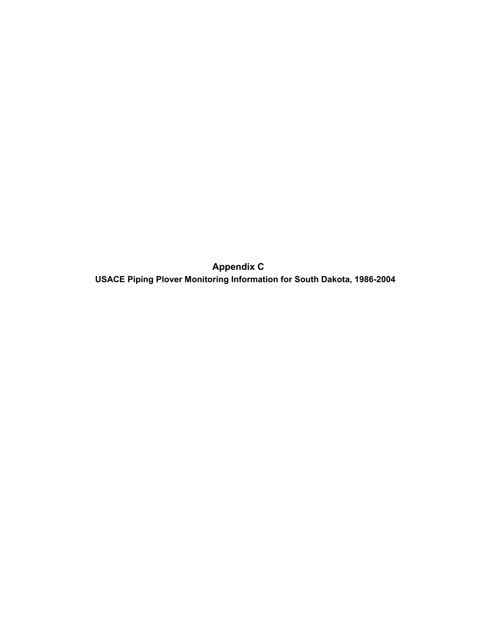**Appendix C USACE Piping Plover Monitoring Information for South Dakota, 1986-2004**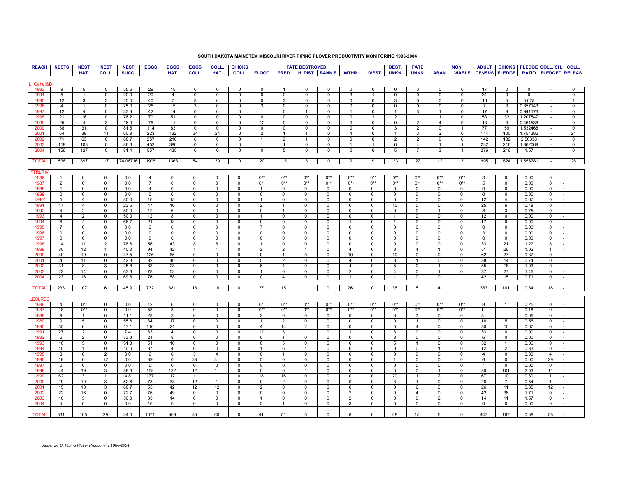## **SOUTH DAKOTA MAINSTEM MISSOURI RIVER PIPING PLOVER PRODUCTIVITY MONITORING 1986-2004**

| <b>REACH</b>   | <b>NESTS</b>   | <b>NEST</b>    | <b>NEST</b>    | <b>NEST</b> | <b>EGGS</b>    | <b>EGGS</b>    | <b>EGGS</b>    | COLL.          | <b>CHICKS</b>  |                |                | <b>FATE DESTROYED</b> |                        |                |               | DEST.          | <b>FATE</b>     |                | <b>NON</b>              |                         |                 | ADULT CHICKS FLEDGE COLL. CH. COLL. |                |                       |
|----------------|----------------|----------------|----------------|-------------|----------------|----------------|----------------|----------------|----------------|----------------|----------------|-----------------------|------------------------|----------------|---------------|----------------|-----------------|----------------|-------------------------|-------------------------|-----------------|-------------------------------------|----------------|-----------------------|
|                |                | HAT.           | COLL.          | SUCC.       |                | HAT.           | COLL.          | HAT.           | COLL.          | <b>FLOOD</b>   |                |                       | PRED. H. DIST. BANK E. | WTHR.          | <b>LIVEST</b> | UNKN.          | UNKN.           | ABAN.          | <b>VIABLE</b>           | <b>CENSUS FLEDGE</b>    |                 |                                     |                | RATIO FLEDGED RELEAS. |
|                |                |                |                |             |                |                |                |                |                |                |                |                       |                        |                |               |                |                 |                |                         |                         |                 |                                     |                |                       |
|                |                |                |                |             |                |                |                |                |                |                |                |                       |                        |                |               |                |                 |                |                         |                         |                 |                                     |                |                       |
| Oahe(SD        |                |                |                |             |                |                |                |                |                |                |                |                       |                        |                |               |                |                 |                |                         |                         |                 |                                     |                |                       |
| 1993           | 9              | 5              | $\mathbf 0$    | 55.6        | 29             | 15             | $\mathbf 0$    | $\mathbf{0}$   | $\mathbf 0$    | $\mathbf{0}$   | $\overline{1}$ | $\mathbf 0$           | $^{\circ}$             | $^{\circ}$     | 0             | $\mathbf 0$    | 3               | $\mathbf 0$    | $^{\circ}$              | 17                      | $\mathbf{0}$    | $\mathbf 0$                         |                | 0                     |
| 1994           | 5              | $\mathbf{1}$   | $\mathbf 0$    | 20.0        | 20             | $\overline{4}$ | 0              | $\mathbf 0$    | $\mathbf 0$    | $^{\circ}$     | $^{\circ}$     | $^{\circ}$            | $\mathbf 0$            | 3              | $\mathbf{1}$  | $\mathbf 0$    | $^{\circ}$      | $\mathbf 0$    | $\mathbf 0$             | 31                      | $\mathbf{0}$    | $\mathbf 0$                         | $\epsilon$     | $\mathbf 0$           |
| 1995           | 12             | 3              | 3              | 25.0        | 40             | $\overline{7}$ | 8              | 6              | 0              | 0              | 3              | 0                     | 0                      | $\mathbf 0$    | 0             | 3              | 0               | 0              | $\mathbf 0$             | 16                      | 5               | 0.625                               | $\sim$         | $\overline{4}$        |
| 1996           | $\overline{4}$ | $\overline{1}$ | $\mathbf 0$    | 25.0        | 25             | 15             | 3              | $\Omega$       | $\mathbf 0$    | 3              | 0              | $\Omega$              | $\mathbf 0$            | $\mathbf 0$    | $^{\circ}$    | $\mathbf 0$    | $\mathbf 0$     | $\mathbf 0$    | $\mathbf 0$             | $\overline{7}$          | 3               | 0.857143                            |                | 0                     |
| 1997           | 12             | $\overline{4}$ | $\mathbf 0$    | 33.3        | 42             | 14             | 0              | $\Omega$       | $\Omega$       | -1             | $\Omega$       | 1                     | $\Omega$               |                | $^{\circ}$    | $\mathbf{1}$   | 3               |                | $\mathbf 0$             | 17                      | 8               | 0.941176                            | $\sim$         | 0                     |
| 1998           | 21             | 16             | 0              | 76.2        | 70             | 51             | 0              | 0              | 0              | 0              | 0              | 0                     | $\mathbf 0$            | $\mathbf 0$    | -1            | $\overline{2}$ |                 |                | 0                       | 53                      | 32              | 1.207547                            | $\sim$         | $\overline{0}$        |
| 1999           | 25             | $\overline{4}$ | 3              | 16.0        | 76             | 11             | 9              | $\mathbf{0}$   | $^{\circ}$     | 12             | 0              | $\Omega$              | 0                      | $\Omega$       | $^{\circ}$    | 0              | 2               | $\overline{4}$ | $^{\circ}$              | 13                      | $\mathbf{3}$    | 0.461538                            |                | 0                     |
| 2000           | 38             | 31             | $\mathbf 0$    | 81.6        | 114            | 83             | 0              | $\Omega$       | $\Omega$       | $\Omega$       | $\mathbf 0$    | $\Omega$              | $^{\circ}$             | $^{\circ}$     | $^{\circ}$    | 3              | $\overline{2}$  | $\mathbf 0$    | $\mathbf{1}$            | 77                      | 59              | 1.532468                            |                | $\Omega$              |
| 2001           | 64             | 39             | 11             | 60.9        | 223            | 132            | 34             | 24             | $\mathbf 0$    | $\overline{2}$ | -1             | -1                    | $\Omega$               | $\overline{4}$ | $^{\circ}$    |                | 3               | $\overline{2}$ | $\mathbf 0$             | 114                     | 100             | 1.754386                            | $\sim$         | 24                    |
| 2002           | 71             | 63             | $\mathbf 0$    | 88.7        | 257            | 216            | 0              | $\mathbf 0$    | 0              | $\overline{1}$ | 2              | $\overline{1}$        | 0                      | 0              | 0             | 2              | 2               | 0              | 0                       | 142                     | 182             | 2.56338                             | $\sim$         | 0                     |
|                | 119            | 103            |                | 86.6        | 452            | 380            |                | 0              | 0              | $\mathbf{1}$   | $\mathbf{1}$   | $\mathbf 0$           |                        | $\mathbf{1}$   | 1             |                |                 |                | $\mathbf{1}$            | 232                     | 216             | 1.862069                            |                | 0                     |
| 2003           |                |                | 0              |             |                |                | 0              |                |                |                |                |                       | 0                      |                |               | 6              | $\overline{4}$  |                |                         |                         |                 |                                     | $\sim$         |                       |
| 2004           | 156            | 127            | $\mathbf 0$    | 81.4        | 557            | 435            | 0              | $\mathbf 0$    | $\mathbf 0$    | $\mathbf 0$    | 5              | $\mathbf 0$           | $\mathbf 0$            | 0              | 6             | 5              | $\overline{7}$  | 3              | $\mathbf{1}$            | 276                     | 216             | 1.57                                | $\sim$         | $\mathbf 0$           |
|                |                |                |                |             |                |                |                |                |                |                |                |                       |                        |                |               |                |                 |                |                         |                         |                 |                                     |                |                       |
| <b>TOTAL</b>   | 536            | 397            | 17             | 74.06716    | 1905           | 1363           | 54             | 30             | $\overline{0}$ | 20             | 13             | $\mathbf{3}$          | $\overline{0}$         | 9              | 9             | 23             | 27              | 12             | $\mathbf{3}$            | 995                     | 824             | 1.656281                            | $\sim$         | 28                    |
|                |                |                |                |             |                |                |                |                |                |                |                |                       |                        |                |               |                |                 |                |                         |                         |                 |                                     |                |                       |
| <b>FTRLRIV</b> |                |                |                |             |                |                |                |                |                |                |                |                       |                        |                |               |                |                 |                |                         |                         |                 |                                     |                |                       |
| 1986           |                | $\Omega$       | $\Omega$       | 0.0         | 4              | 0              | 0              | $\Omega$       | $\Omega$       | $0**$          | $0**$          | $0**$                 | $0**$                  | $0**$          | $0**$         | $0**$          | $0**$           | $0**$          | $0**$                   | 3                       | $\mathbf 0$     | 0.00                                | 0              |                       |
| 1987           | 2              | 0              | $\mathbf{0}$   | 0.0         | $\overline{7}$ | $\Omega$       | $\Omega$       | $\mathbf 0$    | $\mathbf 0$    | $0**$          | $0**$          | $0**$                 | $0**$                  | $0**$          | $0**$         | $0**$          | $0**$           | $0**$          | $0**$                   | 5                       | $\mathbf 0$     | 0.00                                | 0              |                       |
| 1988           | $\mathbf{1}$   | $\Omega$       | $\mathbf 0$    | 0.0         | $\overline{4}$ | $\mathbf 0$    | $\mathbf 0$    | $\mathbf 0$    | $\mathbf 0$    |                | $^{\circ}$     | $\mathbf 0$           | $\mathbf 0$            | $\mathbf 0$    | $\mathbf 0$   | $\mathbf 0$    | 0               | $\mathbf 0$    | $\mathbf 0$             | $^{\circ}$              | $\mathbf 0$     | 0.00                                | 0              |                       |
| 1989           | 0              | 0              | $\mathbf 0$    | 0.0         | $\mathbf 0$    | 0              | $\mathbf 0$    | 0              | 0              | $\mathbf 0$    | 0              | $\Omega$              | 0                      | 0              | 0             | 0              | 0               | 0              | $\mathbf 0$             | $\mathbf 0$             | $\mathbf 0$     | 0.00                                | $\mathsf 0$    |                       |
| 1990           | 5              | $\overline{4}$ | $\mathbf 0$    | 80.0        | 16             | 15             | $\mathbf 0$    | $\mathbf 0$    | $\mathbf 0$    |                | $\mathbf 0$    | $\Omega$              | $\mathbf 0$            | $\Omega$       | $\mathbf 0$   | $\Omega$       | $^{\circ}$      | $\mathbf{0}$   | $\mathbf 0$             | 12                      | $\overline{4}$  | 0.67                                | $\mathbf 0$    |                       |
| 1991           | 17             | $\overline{4}$ | 0              | 23.5        | 47             | 10             | $\Omega$       | $^{\circ}$     | 0              | $\overline{2}$ |                | $^{\circ}$            | $^{\circ}$             | $^{\circ}$     | 0             | 10             | 0               | $\mathbf{0}$   | $\mathbf 0$             | 25                      | 6               | 0.48                                | 0              |                       |
| 1992           | $\overline{4}$ | 2              | $\overline{0}$ | 50.0        | 12             | 6              | 0              | 0              | 0              | 0              |                | $\mathbf 0$           | 0                      | 0              | 0             | 0              | 0               |                | $\overline{\mathbf{0}}$ | $\overline{\mathbf{8}}$ | 3               | 0.75                                | $\overline{0}$ |                       |
| 1993           | 4              | $\overline{2}$ | 0              | 50.0        | 12             | 8              | 0              | 0              | 0              |                | 0              | $^{\circ}$            | 0                      | $^{\circ}$     | 0             | $\mathbf{1}$   | 0               | 0              | 0                       | 12                      | $\mathbf 0$     | 0.00                                | 0              |                       |
| 1994           | 6              | $\overline{4}$ | $\mathbf 0$    | 66.7        | 21             | 13             | $^{\circ}$     | $^{\circ}$     | 0              | $^{\circ}$     | $^{\circ}$     | $^{\circ}$            | $^{\circ}$             | $\mathbf{1}$   | $\mathbf{0}$  | $\mathbf{1}$   | $^{\circ}$      | $\mathbf{0}$   | 0                       | 17                      | $\mathbf{0}$    | 0.00                                | $\mathbf 0$    |                       |
| 1995           | $\overline{7}$ | $\mathbf 0$    | $\mathbf 0$    | 0.0         | 9              | $\Omega$       | $\Omega$       | $\mathbf 0$    | $\mathbf 0$    | $\overline{7}$ | $\mathbf 0$    | $\Omega$              | $\Omega$               | $\Omega$       | $\mathbf 0$   | $\mathbf 0$    | 0               | $\mathbf 0$    | $\mathbf 0$             | $\mathbf 0$             | $\mathbf 0$     | 0.00                                | $\mathsf 0$    |                       |
|                |                |                |                |             |                |                |                |                |                |                |                |                       |                        |                |               |                |                 |                |                         |                         |                 |                                     |                |                       |
| 1996           | $\mathbf{0}$   | $^{\circ}$     | 0              | 0.0         | 0              | $^{\circ}$     | $^{\circ}$     | $^{\circ}$     | 0              | $^{\circ}$     | $^{\circ}$     | $^{\circ}$            | $^{\circ}$             | $^{\circ}$     | $^{\circ}$    | $^{\circ}$     | $\mathbf{0}$    | $\mathbf{0}$   | $\mathbf 0$             | 3                       | $\mathbf 0$     | 0.00                                | $\mathbf 0$    |                       |
| 1997           | $\Omega$       | 0              | 0              | 0.0         | 0              | $\Omega$       | $\Omega$       | $^{\circ}$     | 0              | $^{\circ}$     | $^{\circ}$     | $\Omega$              | $\Omega$               | $^{\circ}$     | 0             | $\mathbf{0}$   | 0               | $\mathbf{0}$   | $^{\circ}$              | $^{\circ}$              | $\mathbf 0$     | 0.00                                | $\mathbf 0$    |                       |
| 1998           | 14             | 11             | $\overline{2}$ | 78.6        | 56             | 43             | 8              | 8              | $\Omega$       |                | $\Omega$       | $\Omega$              | $\Omega$               | $\Omega$       | $\Omega$      | $\Omega$       | $\Omega$        | $\Omega$       | $\mathsf 0$             | 33                      | 21              | 1.27                                | 8              |                       |
| 1999           | 30             | 12             | $\overline{1}$ | 40.0        | 94             | 42             | $\mathbf{1}$   | $\mathbf{1}$   | $\mathbf 0$    | $\overline{2}$ | $\overline{2}$ | $\mathbf{1}$          | $\mathbf 0$            | $\overline{4}$ | 0             | 3              | $\overline{4}$  | $\mathbf{1}$   | $\mathbf 0$             | 51                      | 26              | 1.02                                | $\mathbf{1}$   |                       |
| 2000           | 40             | 19             | $\mathbf 0$    | 47.5        | 126            | 65             | $\mathbf 0$    | 0              | 0              | $\mathbf{0}$   |                | 0                     | 0                      | 10             | $\mathbf 0$   | 10             | 0               | 0              | 0                       | 62                      | 27              | 0.87                                | $\mathbf 0$    |                       |
| 2001           | 26             | 11             | $\mathbf 0$    | 42.3        | 82             | 40             | $\Omega$       | $\Omega$       | $\Omega$       | 5              | 2              | $\Omega$              | $\Omega$               | $\overline{4}$ | $\Omega$      | 3              | $\mathbf{1}$    | $\mathbf 0$    | 0                       | 38                      | 14              | 0.74                                | 0              |                       |
| 2002           | 31             | 8              | 3              | 25.8        | 88             | 28             | 9              | 9              | $\mathbf 0$    | 6              | $\overline{4}$ | $\mathbf 0$           | $\mathbf 0$            | $\overline{4}$ | $\mathbf 0$   | 5              | 0               | $\overline{1}$ | $\mathbf 0$             | 35                      | 18              | 1.03                                | 9              |                       |
| 2003           | 22             | 14             | 0              | 63.6        | 78             | 53             | 0              | 0              | 0              |                | 0              | $^{\circ}$            | $\mathbf 0$            | 2              | 0             | 4              | 0               | 1              | 0                       | 37                      | 27              | 1.46                                | 0              |                       |
| 2004           | 23             | 16             | 0              | 69.6        | 76             | 58             | 0              | 0              | 0              | 0              | $\overline{4}$ | $\mathbf 0$           | 0                      | $\overline{1}$ | 0             | $\mathbf{1}$   | 0               | 0              | $\overline{1}$          | 42                      | 15              | 0.71                                | $\mathsf 0$    |                       |
|                |                |                |                |             |                |                |                |                |                |                |                |                       |                        |                |               |                |                 |                |                         |                         |                 |                                     |                |                       |
| <b>TOTAL</b>   | 233            | 107            | 6              | 45.9        | 732            | 381            | 18             | 18             | 0              | 27             | 15             | -1                    | $\mathbf 0$            | 26             | $\mathbf 0$   | 38             | $5\phantom{.0}$ | $\overline{4}$ | $\overline{1}$          | 383                     | 161             | 0.84                                | 18             |                       |
|                |                |                |                |             |                |                |                |                |                |                |                |                       |                        |                |               |                |                 |                |                         |                         |                 |                                     |                |                       |
| <b>ECLRES</b>  |                |                |                |             |                |                |                |                |                |                |                |                       |                        |                |               |                |                 |                |                         |                         |                 |                                     |                |                       |
| 1986           | 4              | $0**$          | $\mathbf 0$    | 0.0         | 12             | 6              | 0              | 0              | 0              | $0**$          | $0**$          | $0**$                 | $0**$                  | $0**$          | $0**$         | $0**$          | $0**$           | $0**$          | $0**$                   | 8                       | $\mathbf{1}$    | 0.25                                | $\mathbf 0$    |                       |
| 1987           | 18             | $0**$          | $\mathbf 0$    | 0.0         | 58             | 3              | 0              | 0              | 0              | $0**$          | $0**$          | $0**$                 | $0**$                  | $0**$          | $0**$         | $0**$          | $0**$           | $0**$          | $0**$                   | 11                      | $\mathbf{1}$    | 0.18                                | 0              |                       |
| 1988           | 9              | $\mathbf{1}$   | $\mathbf 0$    | 11.1        | 28             | 3              | 0              | 0              | 0              | $\overline{2}$ | 0              | $^{\circ}$            | 0                      | 0              | 0             | 3              | 3               | 0              | $\mathbf 0$             | 31                      | $\mathbf{1}$    | 0.06                                | $\mathbf 0$    |                       |
| 1989           | 9              | 5              | $\mathbf 0$    | 55.6        | 34             | 17             | $\mathbf 0$    | $\mathbf 0$    | $\mathbf 0$    |                | 2              | 0                     | $\mathbf 0$            | $\mathbf 0$    | $\mathbf 0$   | $\mathbf 0$    | 1               | $\mathbf 0$    | $\mathbf 0$             | 18                      | $5\overline{5}$ | 0.56                                | $\mathbf 0$    |                       |
| 1990           | 35             | 6              | $\mathbf 0$    | 17.1        | 116            | 21             | $\mathbf 0$    | 0              | 0              | $\overline{4}$ | 14             | $\overline{2}$        | $^{\circ}$             | 0              | $\mathbf 0$   | 5              | $\overline{4}$  | $\mathbf 0$    | $\overline{0}$          | 30                      | 10              | 0.67                                | 0              |                       |
| 1991           | 27             | 2              | $\mathbf 0$    | 7.4         | 83             | $\overline{4}$ | $\mathbf 0$    | $^{\circ}$     | 0              | 12             | 3              | $\mathbf{1}$          | $\mathbf 0$            | $\overline{1}$ | $\mathbf 0$   | 8              | 0               | $\mathbf{0}$   | $\mathbf 0$             | 33                      | $\mathbf 0$     | 0.00                                | 0              |                       |
|                |                |                |                |             |                |                |                |                |                |                |                | $\Omega$              |                        | $\Omega$       |               |                |                 |                |                         |                         |                 |                                     |                |                       |
| 1992           | 6              | 2              | $\mathbf 0$    | 33.3        | 21             | 8              | $^{\circ}$     | $^{\circ}$     | 0              | $\Omega$       |                |                       | $\mathbf 0$            |                | $\mathbf 0$   | 3              | 0               | $\mathbf{0}$   | $\mathbf 0$             | 6                       | $\mathbf 0$     | 0.00                                | $\mathbf 0$    |                       |
| 1993           | 16             | 5              | 0              | 31.3        | 51             | 16             | $\mathbf 0$    | 0              | 0              | 0              | 5              | 0                     | 0                      | 0              | 0             | 5              | $\mathbf{1}$    | 0              | $\mathbf 0$             | 32                      | $\mathbf{1}$    | 0.06                                | 0              |                       |
| 1994           | 10             |                | 0              | 10.0        | 37             | 4              | 0              | 0              | 0              |                | 6              |                       | 0                      | 0              | 0             | 0              | 0               |                | $\mathbf 0$             | 12                      | $\overline{2}$  | 0.33                                | 0              |                       |
| 1995           | 3              | $\mathbf{0}$   | 2              | 0.0         | 6              | $\mathbf 0$    | 5              | $\overline{4}$ | $\mathbf 0$    | $^{\circ}$     |                | $\mathbf 0$           | $\mathbf 0$            | $\Omega$       | $\mathbf 0$   | $\mathbf 0$    | $\mathbf 0$     | $\mathbf{0}$   | $\mathbf 0$             | $\overline{4}$          | $\mathbf 0$     | 0.00                                | $\overline{4}$ |                       |
| 1996           | 18             | $\mathbf 0$    | 17             | 0.0         | 39             | $\mathbf 0$    | 38             | 31             | $\mathbf 0$    | $^{\circ}$     | $\mathbf 0$    | $\Omega$              | $\mathbf 0$            | $\mathbf 0$    | 0             | $\mathbf{1}$   | 0               | $\mathbf{0}$   | $\mathbf 0$             | 6                       | $^{\circ}$      | 0.00                                | 29             |                       |
| 1997           | $\Omega$       | $\Omega$       | $\mathbf 0$    | 0.0         | 0              | 0              | $\Omega$       | $^{\circ}$     | 0              | $\Omega$       | $\Omega$       | $^{\circ}$            | $^{\circ}$             | $^{\circ}$     | 0             | 0              | 0               | 0              | $\mathbf 0$             | $\overline{1}$          | $\mathbf 0$     | 0.00                                | 0              |                       |
| 1998           | 44             | 39             | 3              | 88.6        | 158            | 132            | 12             | 11             | 0              | $\Omega$       | $^{\circ}$     |                       | $\Omega$               | $\Omega$       | $\mathbf 0$   | $\Omega$       | 0               | $\mathbf{1}$   | $\mathbf 0$             | 80                      | 101             | 2.53                                | 11             |                       |
| 1999           | 62             | 3              | $\overline{1}$ | 4.8         | 177            | 12             | $\overline{1}$ |                | $\Omega$       | 18             | 16             | $\Omega$              | $\Omega$               | $\Omega$       | 0             | 20             | $\mathbf{1}$    | $\overline{2}$ | $\mathbf 0$             | 67                      | 10              | 0.30                                | $\mathbf{1}$   |                       |
| 2000           | 19             | 10             | 3              | 52.6        | 73             | 38             | 12             |                | $\Omega$       |                |                | $\Omega$              | $\Omega$               | $\Omega$       | $\mathbf 0$   | 3              | 1               | $\mathbf 0$    | $\mathsf 0$             | 26                      | $\overline{7}$  | 0.54                                | $\mathbf{1}$   |                       |
| 2001           | 15             | 10             | 3              | 66.7        | 53             | 42             | 12             | 12             | $\Omega$       | $\overline{2}$ | $^{\circ}$     | $\Omega$              | $\Omega$               | $\Omega$       | $\mathbf 0$   | $\mathbf 0$    | 0               | $\mathbf 0$    | 0                       | 26                      | 11              | 0.85                                | 12             |                       |
| 2002           | 22             | 16             | 0              | 72.7        | 76             | 49             | 0              | $^{\circ}$     | $^{\circ}$     | $^{\circ}$     | $^{\circ}$     | $^{\circ}$            | $^{\circ}$             | 2              | 0             | $\mathbf{0}$   | $\overline{4}$  | $\mathbf{0}$   | $\mathbf 0$             | 42                      | 36              | 1.71                                | 0              |                       |
| 2003           | 10             | 5              | 0              | 50.0        | 33             | 14             | $\mathbf 0$    | 0              | $\mathbf 0$    |                | $\Omega$       | $\Omega$              | $\mathbf 0$            | $\overline{2}$ | $\mathbf 0$   | $\mathbf 0$    | 0               | $\overline{2}$ | $\overline{0}$          | 14                      | 11              | 1.57                                | $\overline{0}$ |                       |
| 2004           | $\overline{4}$ | 0              | 0              | 0.0         | 16             | 0              | 0              | 0              | $\Omega$       | $^{\circ}$     |                | $^{\circ}$            | $^{\circ}$             | 3              | 0             | 0              | 0               | 0              | 0                       | 0                       | $\mathbf 0$     | 0.00                                | 0              |                       |
|                |                |                |                |             |                |                |                |                |                |                |                |                       |                        |                |               |                |                 |                |                         |                         |                 |                                     |                |                       |
| <b>TOTAL</b>   | 331            | 105            | 29             | 34.0        | 1071           | 369            | 80             | 60             | $\Omega$       | 41             | 51             | 5                     | $\Omega$               | $\mathsf{R}$   | $\Omega$      | 48             | 15              | $\epsilon$     | $\mathbf 0$             | 447                     | 197             | 0.88                                | 58             |                       |
|                |                |                |                |             |                |                |                |                |                |                |                |                       |                        |                |               |                |                 |                |                         |                         |                 |                                     |                |                       |